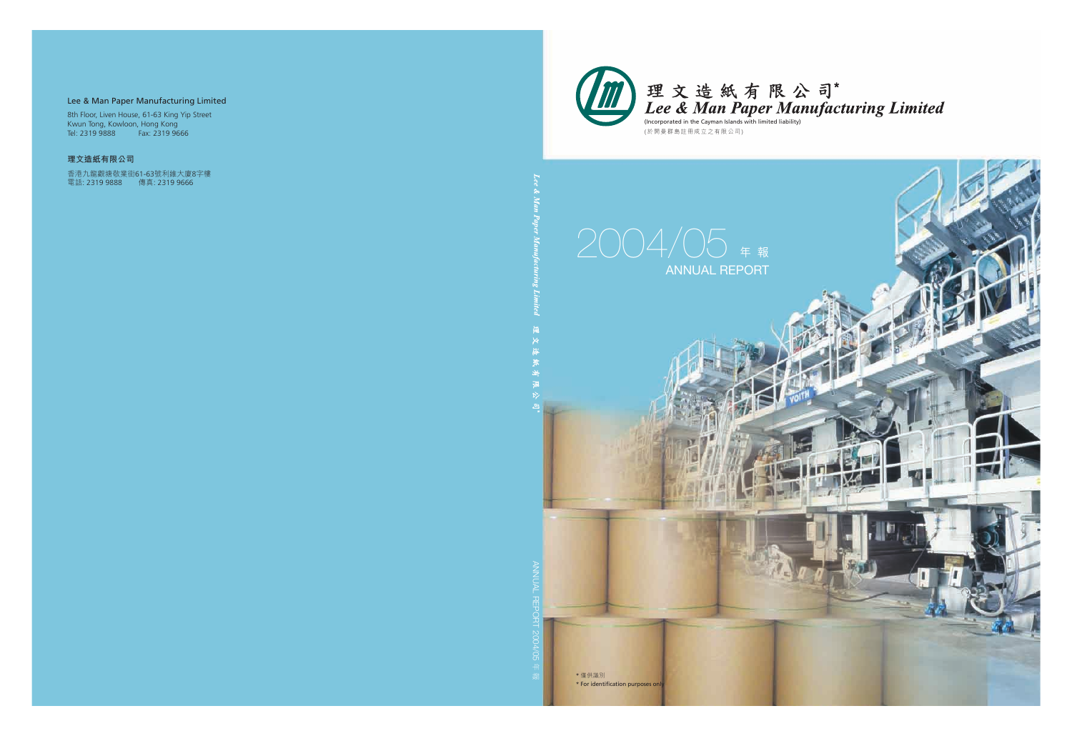

理文造紙有限公司\*<br>Lee & Man Paper Manufacturing Limited

(於開曼群島註冊成立之有限公司)

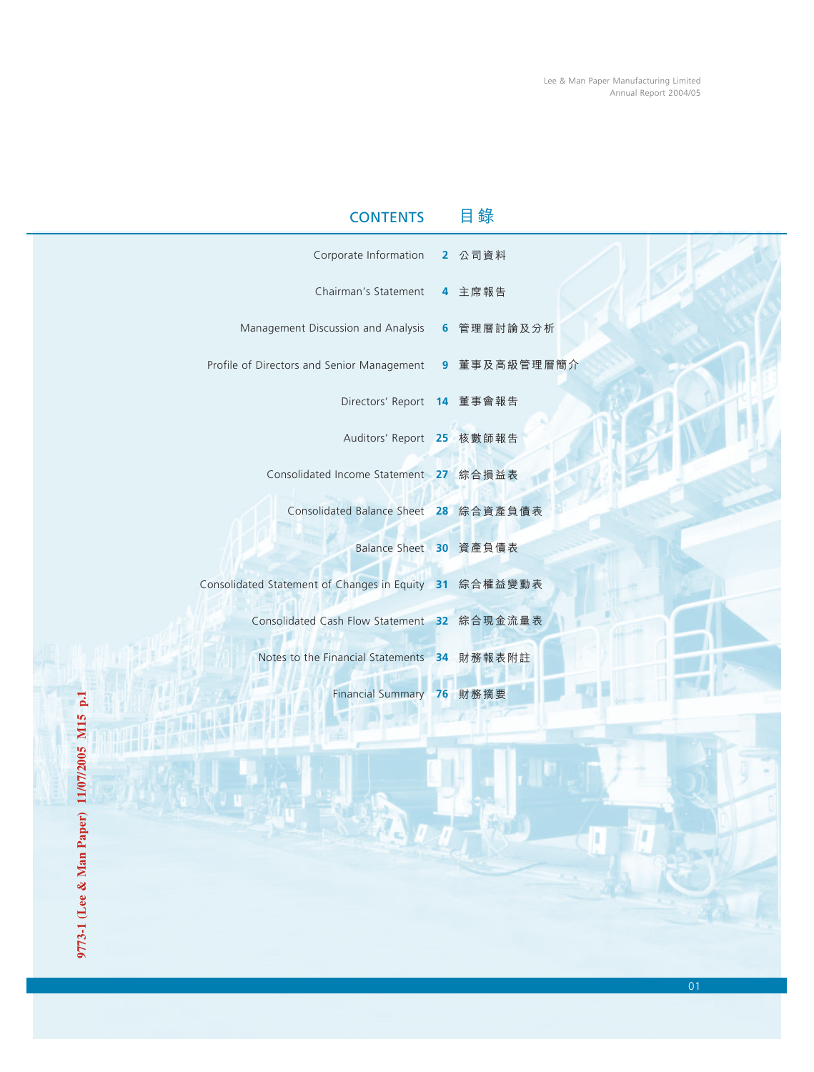| <b>CONTENTS</b>                                         | 録 |
|---------------------------------------------------------|---|
| Corporate Information 2 公司資料                            |   |
| Chairman's Statement 4 主席報告                             |   |
| Management Discussion and Analysis 6 管理層討論及分析           |   |
| Profile of Directors and Senior Management 9 董事及高級管理層簡介 |   |
| Directors' Report 14 董事會報告                              |   |
| Auditors' Report 25 核數師報告                               |   |
| Consolidated Income Statement 27 綜合損益表                  |   |
| Consolidated Balance Sheet 28 綜合資產負債表                   |   |
| Balance Sheet 30 資產負債表                                  |   |
| Consolidated Statement of Changes in Equity 31 綜合權益變動表  |   |
| Consolidated Cash Flow Statement 32 綜合現金流量表             |   |
| Notes to the Financial Statements 34 財務報表附註             |   |
| Financial Summary 76 財務摘要                               |   |
|                                                         |   |

**MHT** 

l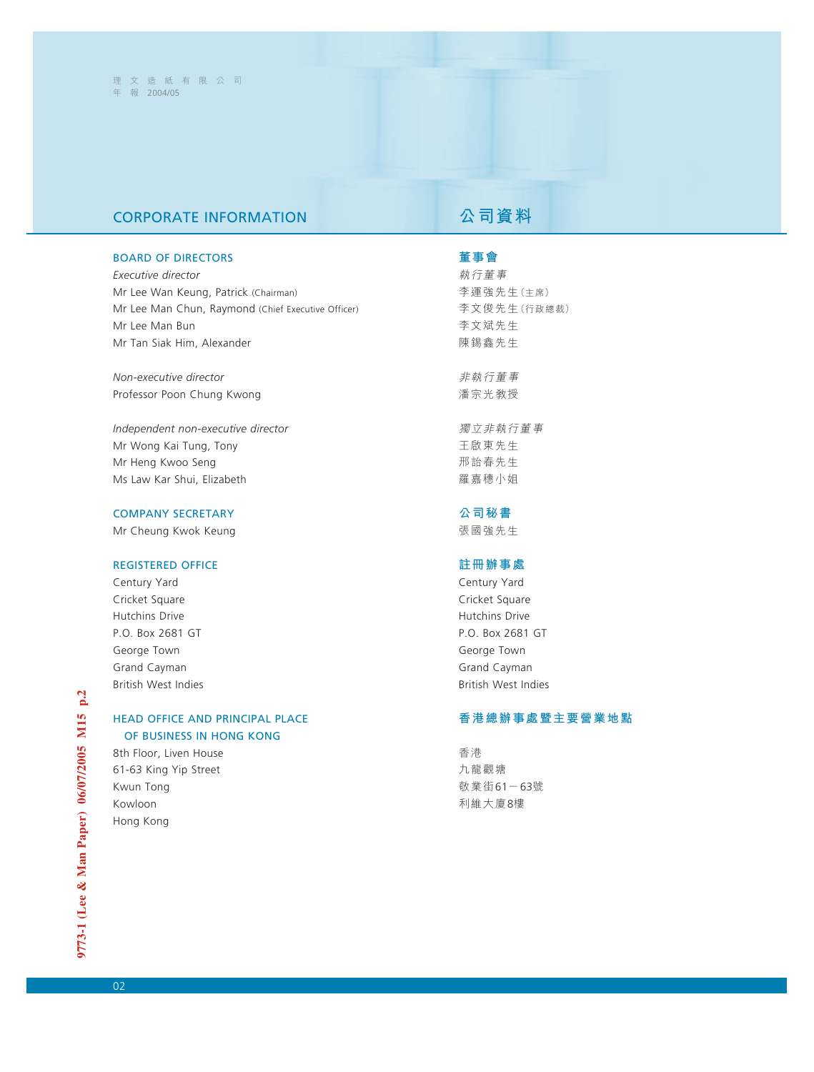# **CORPORATE INFORMATION A 公司資料**

### BOARD OF DIRECTORS

*Executive director* Mr Lee Wan Keung, Patrick (Chairman) Mr Lee Man Chun, Raymond (Chief Executive Officer) Mr Lee Man Bun Mr Tan Siak Him, Alexander

*Non-executive director* Professor Poon Chung Kwong

*Independent non-executive director* Mr Wong Kai Tung, Tony Mr Heng Kwoo Seng Ms Law Kar Shui, Elizabeth

### COMPANY SECRETARY

Mr Cheung Kwok Keung

### REGISTERED OFFICE

Century Yard Cricket Square Hutchins Drive P.O. Box 2681 GT George Town Grand Cayman British West Indies

### HEAD OFFICE AND PRINCIPAL PLACE OF BUSINESS IN HONG KONG

8th Floor, Liven House 61-63 King Yip Street Kwun Tong Kowloon Hong Kong

### **董事會**

執行董事 李運強先生(主席) 李文俊先生(行政總裁) 李文斌先生 陳錫鑫先生

非執行董事 潘宗光教授

獨立非執行董事 王啟東先生 邢詒春先生 羅嘉穗小姐

**公司秘書** 張國強先生

### **註冊辦事處**

Century Yard Cricket Square Hutchins Drive P.O. Box 2681 GT George Town Grand Cayman British West Indies

### **香港總辦事處暨主要營業地點**

香港 九龍觀塘 敬業街61-63號 利維大廈8樓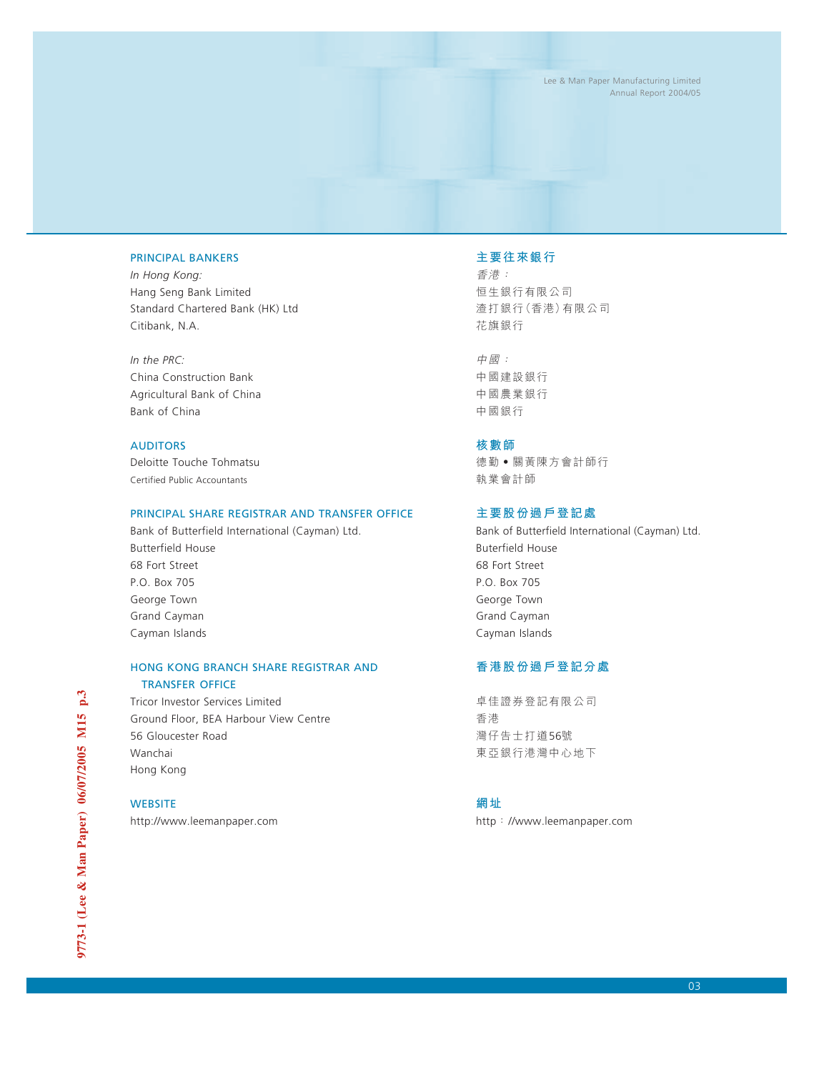### PRINCIPAL BANKERS

*In Hong Kong:* Hang Seng Bank Limited Standard Chartered Bank (HK) Ltd Citibank, N.A.

*In the PRC:* China Construction Bank Agricultural Bank of China Bank of China

### AUDITORS

Deloitte Touche Tohmatsu Certified Public Accountants

### PRINCIPAL SHARE REGISTRAR AND TRANSFER OFFICE

Bank of Butterfield International (Cayman) Ltd. Butterfield House 68 Fort Street P.O. Box 705 George Town Grand Cayman Cayman Islands

### HONG KONG BRANCH SHARE REGISTRAR AND TRANSFER OFFICE

Tricor Investor Services Limited Ground Floor, BEA Harbour View Centre 56 Gloucester Road Wanchai Hong Kong

### **WEBSITE**

http://www.leemanpaper.com

### **主要往來銀行**

香港: 囱生銀行有限公司 渣打銀行(香港)有限公司 花旗銀行

中國: 中國建設銀行 中國農業銀行 中國銀行

### **核數師**

德勤‧關黃陳方會計師行 執業會計師

### **主要股份過戶登記處**

Bank of Butterfield International (Cayman) Ltd. Buterfield House 68 Fort Street P.O. Box 705 George Town Grand Cayman Cayman Islands

## **香港股份過戶登記分處**

卓佳證券登記有限公司 香港 灣仔告士打道56號 東亞銀行港灣中心地下

**網址**

http://www.leemanpaper.com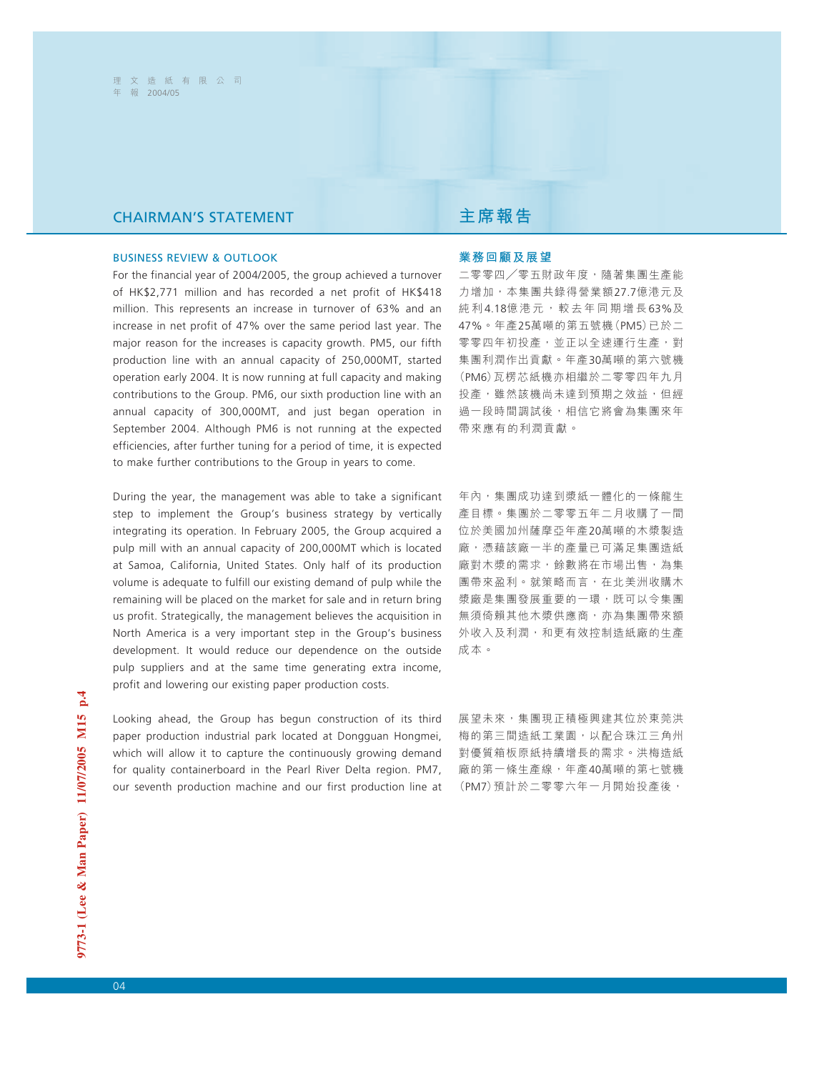# CHAIRMAN'S STATEMENT **主席報告**

### BUSINESS REVIEW & OUTLOOK

For the financial year of 2004/2005, the group achieved a turnover of HK\$2,771 million and has recorded a net profit of HK\$418 million. This represents an increase in turnover of 63% and an increase in net profit of 47% over the same period last year. The major reason for the increases is capacity growth. PM5, our fifth production line with an annual capacity of 250,000MT, started operation early 2004. It is now running at full capacity and making contributions to the Group. PM6, our sixth production line with an annual capacity of 300,000MT, and just began operation in September 2004. Although PM6 is not running at the expected efficiencies, after further tuning for a period of time, it is expected to make further contributions to the Group in years to come.

During the year, the management was able to take a significant step to implement the Group's business strategy by vertically integrating its operation. In February 2005, the Group acquired a pulp mill with an annual capacity of 200,000MT which is located at Samoa, California, United States. Only half of its production volume is adequate to fulfill our existing demand of pulp while the remaining will be placed on the market for sale and in return bring us profit. Strategically, the management believes the acquisition in North America is a very important step in the Group's business development. It would reduce our dependence on the outside pulp suppliers and at the same time generating extra income, profit and lowering our existing paper production costs.

Looking ahead, the Group has begun construction of its third paper production industrial park located at Dongguan Hongmei, which will allow it to capture the continuously growing demand for quality containerboard in the Pearl River Delta region. PM7, our seventh production machine and our first production line at

### **業務回顧及展望**

二零零四/零五財政年度,隨著集團生產能 力增加,本集團共錄得營業額27.7億港元及 純利 4.18億港元,較去年同期增長 63%及 47%。年產25萬噸的第五號機(PM5)已於二 零零四年初投產,並正以全速運行生產,對 集團利潤作出貢獻。年產30萬噸的第六號機 (PM6)瓦楞芯紙機亦相繼於二零零四年九月 投產,雖然該機尚未達到預期之效益,但經 過一段時間調試後,相信它將會為集團來年 帶來應有的利潤貢獻。

年內,集團成功達到漿紙一體化的一條龍生 產目標。集團於二零零五年二月收購了一間 位於美國加州薩摩亞年產20萬噸的木漿製造 廠,憑藉該廠一半的產量已可滿足集團造紙 廠對木漿的需求,餘數將在市場出售,為集 團帶來盈利。就策略而言,在北美洲收購木 漿廠是集團發展重要的一環,既可以令集團 無須倚賴其他木漿供應商,亦為集團帶來額 外收入及利潤,和更有效控制造紙廠的生產 成本。

展望未來,集團現正積極興建其位於東莞洪 梅的第三間造紙工業園,以配合珠江三角州 對優質箱板原紙持續增長的需求。洪梅造紙 廠的第一條生產線,年產40萬噸的第七號機 (PM7)預計於二零零六年一月開始投產後,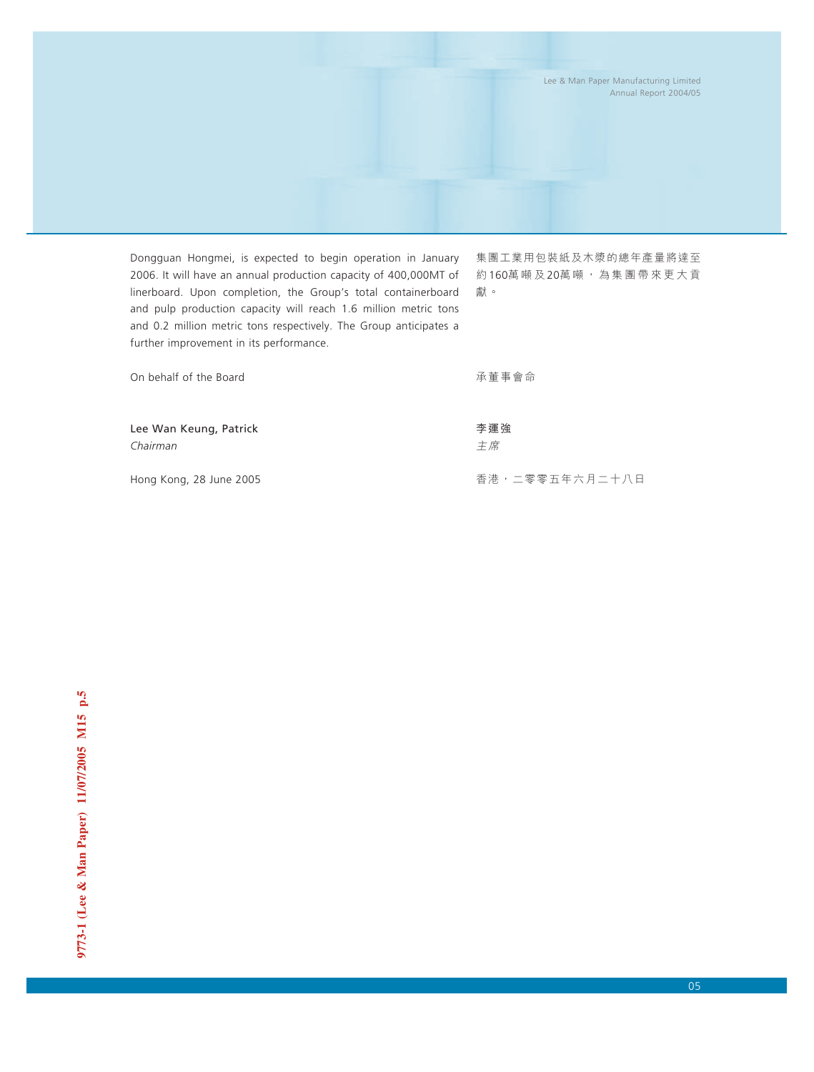Dongguan Hongmei, is expected to begin operation in January 2006. It will have an annual production capacity of 400,000MT of linerboard. Upon completion, the Group's total containerboard and pulp production capacity will reach 1.6 million metric tons and 0.2 million metric tons respectively. The Group anticipates a further improvement in its performance.

集團工業用包裝紙及木漿的總年產量將達至 約160萬噸及20萬噸,為集團帶來更大貢 獻。

| On behalf of the Board |  |  |
|------------------------|--|--|
|------------------------|--|--|

承董事會命

李運強 主席

Lee Wan Keung, Patrick *Chairman*

Hong Kong, 28 June 2005

香港,二零零五年六月二十八日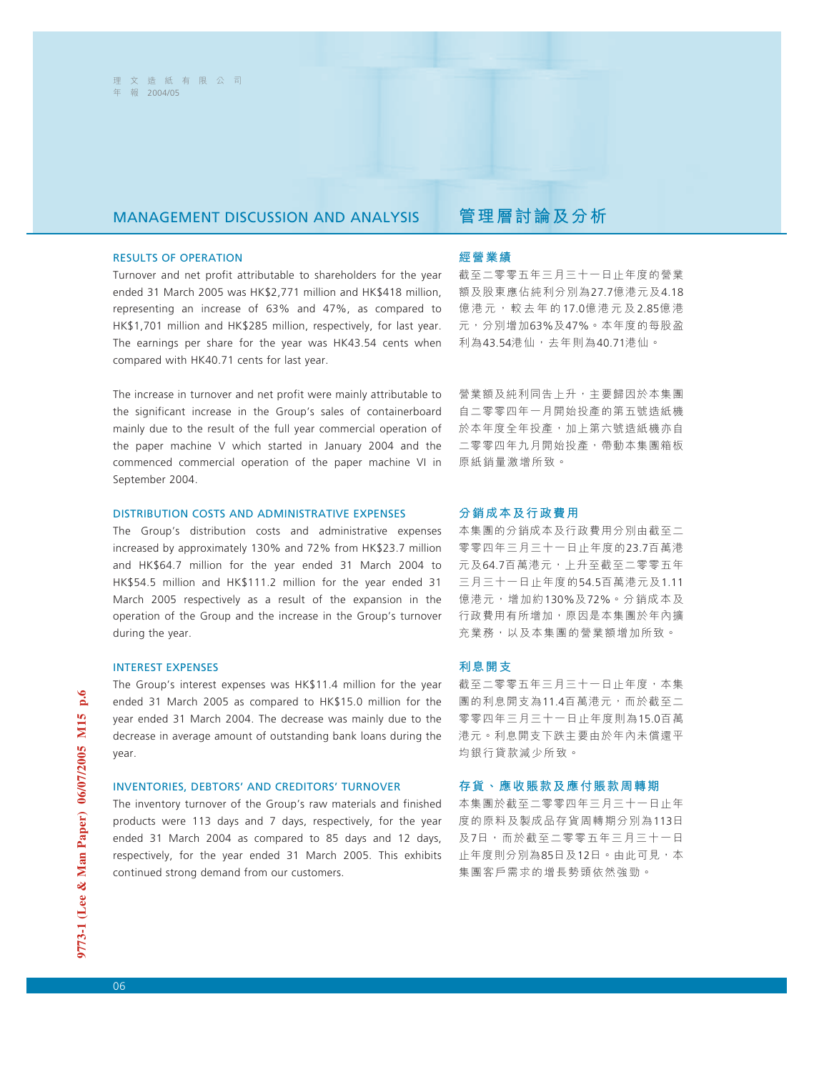# MANAGEMENT DISCUSSION AND ANALYSIS **管理層討論及分析**

### RESULTS OF OPERATION

Turnover and net profit attributable to shareholders for the year ended 31 March 2005 was HK\$2,771 million and HK\$418 million, representing an increase of 63% and 47%, as compared to HK\$1,701 million and HK\$285 million, respectively, for last year. The earnings per share for the year was HK43.54 cents when compared with HK40.71 cents for last year.

The increase in turnover and net profit were mainly attributable to the significant increase in the Group's sales of containerboard mainly due to the result of the full year commercial operation of the paper machine V which started in January 2004 and the commenced commercial operation of the paper machine VI in September 2004.

### DISTRIBUTION COSTS AND ADMINISTRATIVE EXPENSES

The Group's distribution costs and administrative expenses increased by approximately 130% and 72% from HK\$23.7 million and HK\$64.7 million for the year ended 31 March 2004 to HK\$54.5 million and HK\$111.2 million for the year ended 31 March 2005 respectively as a result of the expansion in the operation of the Group and the increase in the Group's turnover during the year.

### INTEREST EXPENSES

The Group's interest expenses was HK\$11.4 million for the year ended 31 March 2005 as compared to HK\$15.0 million for the year ended 31 March 2004. The decrease was mainly due to the decrease in average amount of outstanding bank loans during the year.

### INVENTORIES, DEBTORS' AND CREDITORS' TURNOVER

The inventory turnover of the Group's raw materials and finished products were 113 days and 7 days, respectively, for the year ended 31 March 2004 as compared to 85 days and 12 days, respectively, for the year ended 31 March 2005. This exhibits continued strong demand from our customers.

### **經營業績**

截至二零零五年三月三十一日止年度的營業 額及股東應佔純利分別為27.7億港元及4.18 億港元,較去年的 17.0億港元及 2.85億港 元,分別增加63%及47%。本年度的每股盈 利為43.54港仙,去年則為40.71港仙。

營業額及純利同告上升,主要歸因於本集團 自二零零四年一月開始投產的第五號造紙機 於本年度全年投產,加上第六號造紙機亦自 二零零四年九月開始投產,帶動本集團箱板 原紙銷量激增所致。

### **分銷成本及行政費用**

本集團的分銷成本及行政費用分別由截至二 零零四年三月三十一日止年度的23.7百萬港 元及64.7百萬港元,上升至截至二零零五年 三月三十一日止年度的54.5百萬港元及1.11 億港元,增加約130%及72%。分銷成本及 行政費用有所增加,原因是本集團於年內擴 充業務,以及本集團的營業額增加所致。

### **利息開支**

截至二零零五年三月三十一日止年度,本集 團的利息開支為11.4百萬港元,而於截至二 零零四年三月三十一日止年度則為15.0百萬 港元。利息開支下跌主要由於年內未償還平 均銀行貸款減少所致。

### **存貨、應收賬款及應付賬款周轉期**

本集團於截至二零零四年三月三十一日止年 度的原料及製成品存貨周轉期分別為113日 及7日,而於截至二零零五年三月三十一日 止年度則分別為85日及12日。由此可見,本 集團客戶需求的增長勢頭依然強勁。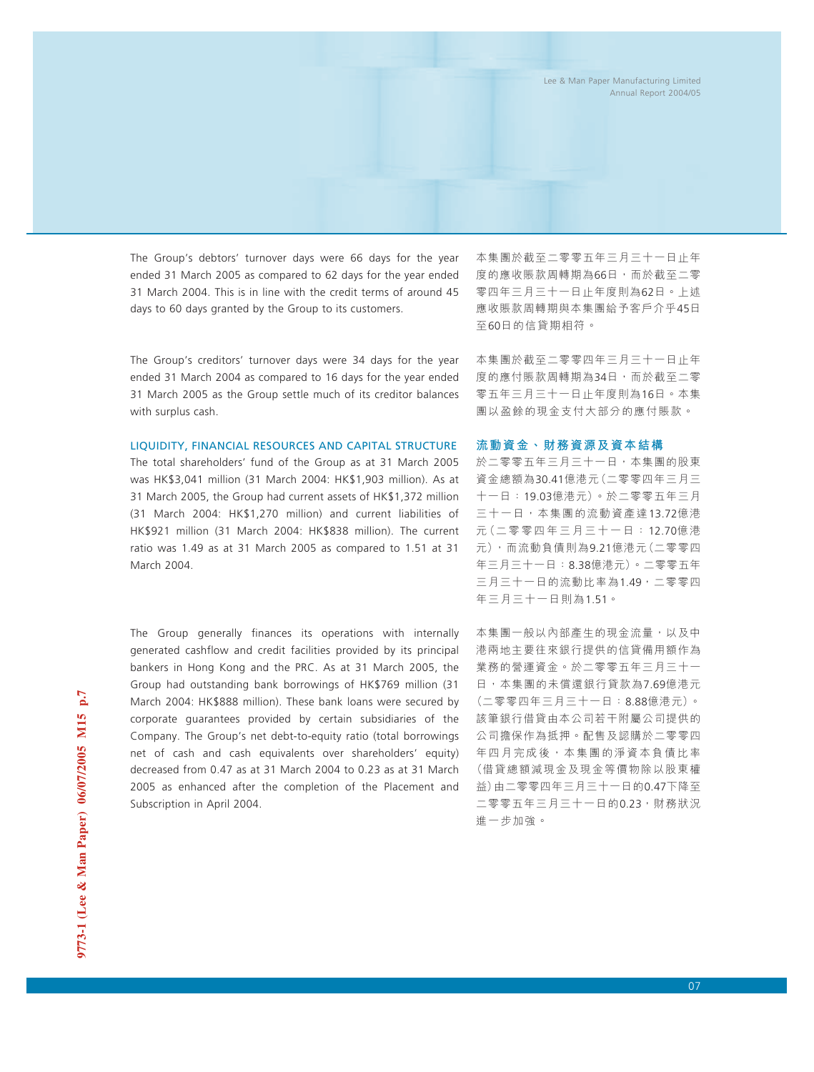The Group's debtors' turnover days were 66 days for the year ended 31 March 2005 as compared to 62 days for the year ended 31 March 2004. This is in line with the credit terms of around 45 days to 60 days granted by the Group to its customers.

The Group's creditors' turnover days were 34 days for the year ended 31 March 2004 as compared to 16 days for the year ended 31 March 2005 as the Group settle much of its creditor balances with surplus cash.

LIQUIDITY, FINANCIAL RESOURCES AND CAPITAL STRUCTURE

The total shareholders' fund of the Group as at 31 March 2005 was HK\$3,041 million (31 March 2004: HK\$1,903 million). As at 31 March 2005, the Group had current assets of HK\$1,372 million (31 March 2004: HK\$1,270 million) and current liabilities of HK\$921 million (31 March 2004: HK\$838 million). The current ratio was 1.49 as at 31 March 2005 as compared to 1.51 at 31 March 2004.

The Group generally finances its operations with internally generated cashflow and credit facilities provided by its principal bankers in Hong Kong and the PRC. As at 31 March 2005, the Group had outstanding bank borrowings of HK\$769 million (31 March 2004: HK\$888 million). These bank loans were secured by corporate guarantees provided by certain subsidiaries of the Company. The Group's net debt-to-equity ratio (total borrowings net of cash and cash equivalents over shareholders' equity) decreased from 0.47 as at 31 March 2004 to 0.23 as at 31 March 2005 as enhanced after the completion of the Placement and Subscription in April 2004.

本集團於截至二零零五年三月三十一日止年 度的應收賬款周轉期為66日,而於截至二零 零四年三月三十一日止年度則為62日。上述 應收賬款周轉期與本集團給予客戶介乎45日 至60日的信貸期相符。

本集團於截至二零零四年三月三十一日止年 度的應付賬款周轉期為34日,而於截至二零 零五年三月三十一日止年度則為16日。本集 團以盈餘的現金支付大部分的應付賬款。

### **流動資金、財務資源及資本結構**

於二零零五年三月三十一日,本集團的股東 資金總額為30.41億港元(二零零四年三月三 十一日:19.03億港元)。於二零零五年三月 三十一日,本集團的流動資產達13.72億港 元(二零零四年三月三十一日: 12.70億港 元),而流動負債則為9.21億港元(二零零四 年三月三十一日:8.38億港元)。二零零五年 三月三十一日的流動比率為1.49,二零零四 年三月三十一日則為1.51。

本集團一般以內部產生的現金流量,以及中 港兩地主要往來銀行提供的信貸備用額作為 業務的營運資金。於二零零五年三月三十一 日,本集團的未償還銀行貸款為7.69億港元 (二零零四年三月三十一日:8.88億港元)。 該筆銀行借貸由本公司若干附屬公司提供的 公司擔保作為抵押。配售及認購於二零零四 年四月完成後,本集團的淨資本負債比率 (借貸總額減現金及現金等價物除以股東權 益)由二零零四年三月三十一日的0.47下降至 二零零五年三月三十一日的0.23,財務狀況 進一步加強。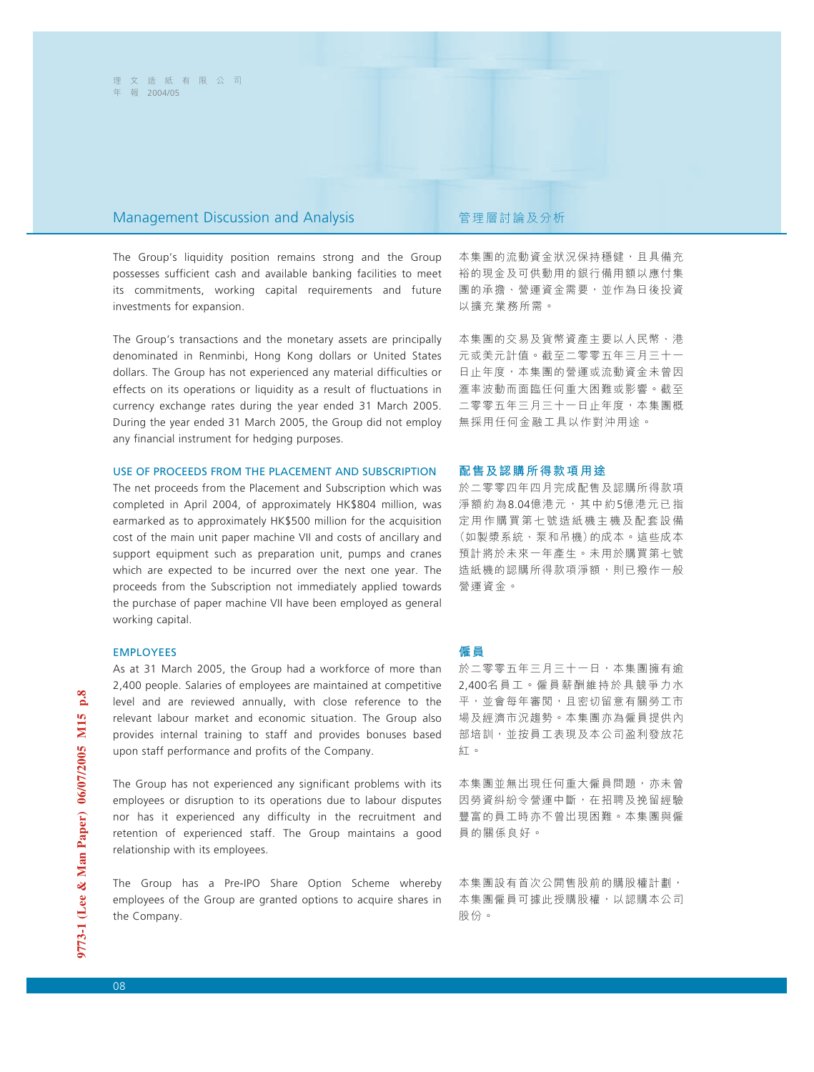### Management Discussion and Analysis **The Contract State State State State** 管理層討論及分析

The Group's liquidity position remains strong and the Group possesses sufficient cash and available banking facilities to meet its commitments, working capital requirements and future investments for expansion.

The Group's transactions and the monetary assets are principally denominated in Renminbi, Hong Kong dollars or United States dollars. The Group has not experienced any material difficulties or effects on its operations or liquidity as a result of fluctuations in currency exchange rates during the year ended 31 March 2005. During the year ended 31 March 2005, the Group did not employ any financial instrument for hedging purposes.

### USE OF PROCEEDS FROM THE PLACEMENT AND SUBSCRIPTION

The net proceeds from the Placement and Subscription which was completed in April 2004, of approximately HK\$804 million, was earmarked as to approximately HK\$500 million for the acquisition cost of the main unit paper machine VII and costs of ancillary and support equipment such as preparation unit, pumps and cranes which are expected to be incurred over the next one year. The proceeds from the Subscription not immediately applied towards the purchase of paper machine VII have been employed as general working capital.

### EMPLOYEES

As at 31 March 2005, the Group had a workforce of more than 2,400 people. Salaries of employees are maintained at competitive level and are reviewed annually, with close reference to the relevant labour market and economic situation. The Group also provides internal training to staff and provides bonuses based upon staff performance and profits of the Company.

The Group has not experienced any significant problems with its employees or disruption to its operations due to labour disputes nor has it experienced any difficulty in the recruitment and retention of experienced staff. The Group maintains a good relationship with its employees.

The Group has a Pre-IPO Share Option Scheme whereby employees of the Group are granted options to acquire shares in the Company.

本集團的流動資金狀況保持穩健,且具備充 裕的現金及可供動用的銀行備用額以應付集 團的承擔、營運資金需要,並作為日後投資 以擴充業務所需。

本集團的交易及貨幣資產主要以人民幣、港 元或美元計值。截至二零零五年三月三十一 日止年度,本集團的營運或流動資金未曾因 滙率波動而面臨任何重大困難或影響。截至 二零零五年三月三十一日止年度,本集團概 無採用任何金融工具以作對沖用途。

### **配售及認購所得款項用途**

於二零零四年四月完成配售及認購所得款項 淨額約為8.04億港元,其中約5億港元已指 定用作購買第七號造紙機主機及配套設備 (如製漿系統、泵和吊機)的成本。這些成本 預計將於未來一年產生。未用於購買第七號 造紙機的認購所得款項淨額,則已撥作一般 營運資金。

### **僱員**

於二零零五年三月三十一日,本集團擁有逾 2,400名員工。僱員薪酬維持於具競爭力水 平,並會每年審閲,且密切留意有關勞工市 場及經濟市況趨勢。本集團亦為僱員提供內 部培訓,並按員工表現及本公司盈利發放花 紅。

本集團並無出現任何重大僱員問題,亦未曾 因勞資糾紛令營運中斷,在招聘及挽留經驗 豐富的員工時亦不曾出現困難。本集團與僱 員的關係良好。

本集團設有首次公開售股前的購股權計劃, 本集團僱員可據此授購股權,以認購本公司 股份。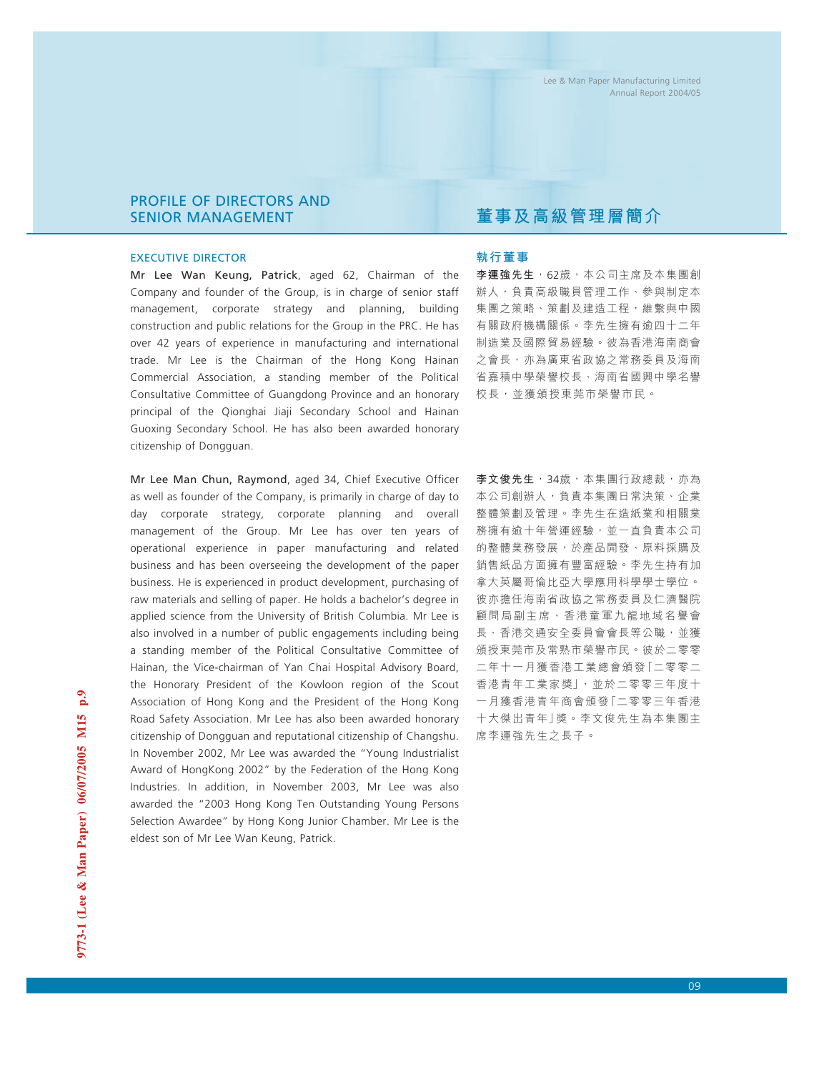## PROFILE OF DIRECTORS AND SENIOR MANAGEMENT

### EXECUTIVE DIRECTOR

Mr Lee Wan Keung, Patrick, aged 62, Chairman of the Company and founder of the Group, is in charge of senior staff management, corporate strategy and planning, building construction and public relations for the Group in the PRC. He has over 42 years of experience in manufacturing and international trade. Mr Lee is the Chairman of the Hong Kong Hainan Commercial Association, a standing member of the Political Consultative Committee of Guangdong Province and an honorary principal of the Qionghai Jiaji Secondary School and Hainan Guoxing Secondary School. He has also been awarded honorary citizenship of Dongguan.

Mr Lee Man Chun, Raymond, aged 34, Chief Executive Officer as well as founder of the Company, is primarily in charge of day to day corporate strategy, corporate planning and overall management of the Group. Mr Lee has over ten years of operational experience in paper manufacturing and related business and has been overseeing the development of the paper business. He is experienced in product development, purchasing of raw materials and selling of paper. He holds a bachelor's degree in applied science from the University of British Columbia. Mr Lee is also involved in a number of public engagements including being a standing member of the Political Consultative Committee of Hainan, the Vice-chairman of Yan Chai Hospital Advisory Board, the Honorary President of the Kowloon region of the Scout Association of Hong Kong and the President of the Hong Kong Road Safety Association. Mr Lee has also been awarded honorary citizenship of Dongguan and reputational citizenship of Changshu. In November 2002, Mr Lee was awarded the "Young Industrialist Award of HongKong 2002" by the Federation of the Hong Kong Industries. In addition, in November 2003, Mr Lee was also awarded the "2003 Hong Kong Ten Outstanding Young Persons Selection Awardee" by Hong Kong Junior Chamber. Mr Lee is the eldest son of Mr Lee Wan Keung, Patrick.

# **董事及高級管理層簡介**

## **執行董事**

**李運強先生**,62歲,本公司主席及本集團創 辦人,負責高級職員管理工作、參與制定本 集團之策略、策劃及建造工程,維繫與中國 有關政府機構關係。李先生擁有逾四十二年 制造業及國際貿易經驗。彼為香港海南商會 之會長,亦為廣東省政協之常務委員及海南 省嘉積中學榮譽校長、海南省國興中學名譽 校長,並獲頒授東莞市榮譽市民。

**李文俊先生**,34歲,本集團行政總裁,亦為 本公司創辦人,負責本集團日常決策、企業 整體策劃及管理。李先生在造紙業和相關業 務擁有逾十年營運經驗,並一直負責本公司 的整體業務發展,於產品開發、原料採購及 銷售紙品方面擁有豐富經驗。李先生持有加 拿大英屬哥倫比亞大學應用科學學士學位。 彼亦擔任海南省政協之常務委員及仁濟醫院 顧問局副主席、香港童軍九龍地域名譽會 長、香港交通安全委員會會長等公職,並獲 頒授東莞市及常熟市榮譽市民。彼於二零零 二年十一月獲香港工業總會頒發「二零零二 香港青年工業家獎」,並於二零零三年度十 一月獲香港青年商會頒發「二零零三年香港 十大傑出青年」獎。李文俊先生為本集團主 席李運強先生之長子。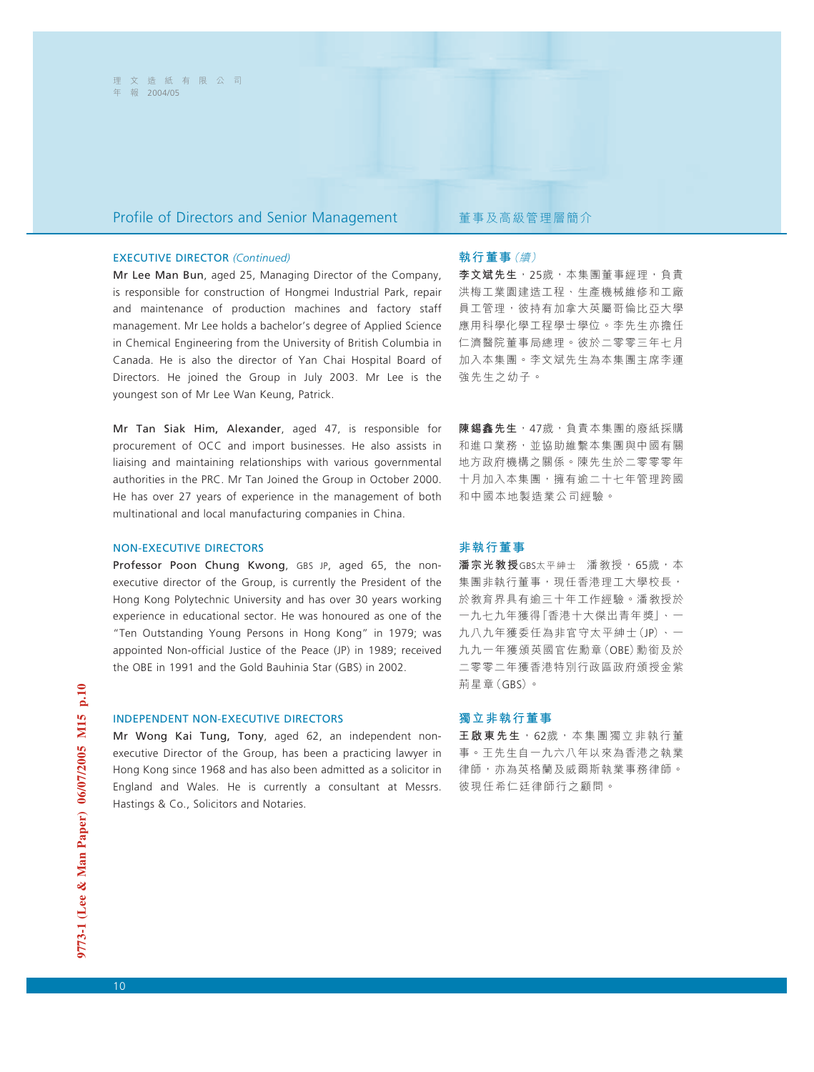## Profile of Directors and Senior Management <br>
董事及高級管理層簡介

### EXECUTIVE DIRECTOR *(Continued)*

Mr Lee Man Bun, aged 25, Managing Director of the Company, is responsible for construction of Hongmei Industrial Park, repair and maintenance of production machines and factory staff management. Mr Lee holds a bachelor's degree of Applied Science in Chemical Engineering from the University of British Columbia in Canada. He is also the director of Yan Chai Hospital Board of Directors. He joined the Group in July 2003. Mr Lee is the youngest son of Mr Lee Wan Keung, Patrick.

Mr Tan Siak Him, Alexander, aged 47, is responsible for procurement of OCC and import businesses. He also assists in liaising and maintaining relationships with various governmental authorities in the PRC. Mr Tan Joined the Group in October 2000. He has over 27 years of experience in the management of both multinational and local manufacturing companies in China.

### NON-EXECUTIVE DIRECTORS

Professor Poon Chung Kwong, GBS JP, aged 65, the nonexecutive director of the Group, is currently the President of the Hong Kong Polytechnic University and has over 30 years working experience in educational sector. He was honoured as one of the "Ten Outstanding Young Persons in Hong Kong" in 1979; was appointed Non-official Justice of the Peace (JP) in 1989; received the OBE in 1991 and the Gold Bauhinia Star (GBS) in 2002.

### INDEPENDENT NON-EXECUTIVE DIRECTORS

Mr Wong Kai Tung, Tony, aged 62, an independent nonexecutive Director of the Group, has been a practicing lawyer in Hong Kong since 1968 and has also been admitted as a solicitor in England and Wales. He is currently a consultant at Messrs. Hastings & Co., Solicitors and Notaries.

### **執行董事**(續)

**李文斌先生**,25歲,本集團董事經理,負責 洪梅工業園建造工程、生產機械維修和工廠 員工管理,彼持有加拿大英屬哥倫比亞大學 應用科學化學工程學士學位。李先生亦擔任 仁濟醫院董事局總理。彼於二零零三年七月 加入本集團。李文斌先生為本集團主席李運 強先生之幼子。

**陳錫鑫先生**,47歲,負責本集團的廢紙採購 和進口業務,並協助維繫本集團與中國有關 地方政府機構之關係。陳先生於二零零零年 十月加入本集團,擁有逾二十七年管理跨國 和中國本地製造業公司經驗。

### **非執行董事**

潘宗光教授GBS太平紳士 潘教授,65歲,本 集團非執行董事,現任香港理工大學校長, 於教育界具有逾三十年工作經驗。潘教授於 一九七九年獲得「香港十大傑出青年獎」、一 九八九年獲委任為非官守太平紳士(JP)、一 九九一年獲頒英國官佐勳章(OBE)勳銜及於 二零零二年獲香港特別行政區政府頒授金紫 荊星章(GBS)。

### **獨立非執行董事**

**王啟東先生**,62歲,本集團獨立非執行董 事。王先生自一九六八年以來為香港之執業 律師,亦為英格蘭及威爾斯執業事務律師。 彼現任希仁廷律師行之顧問。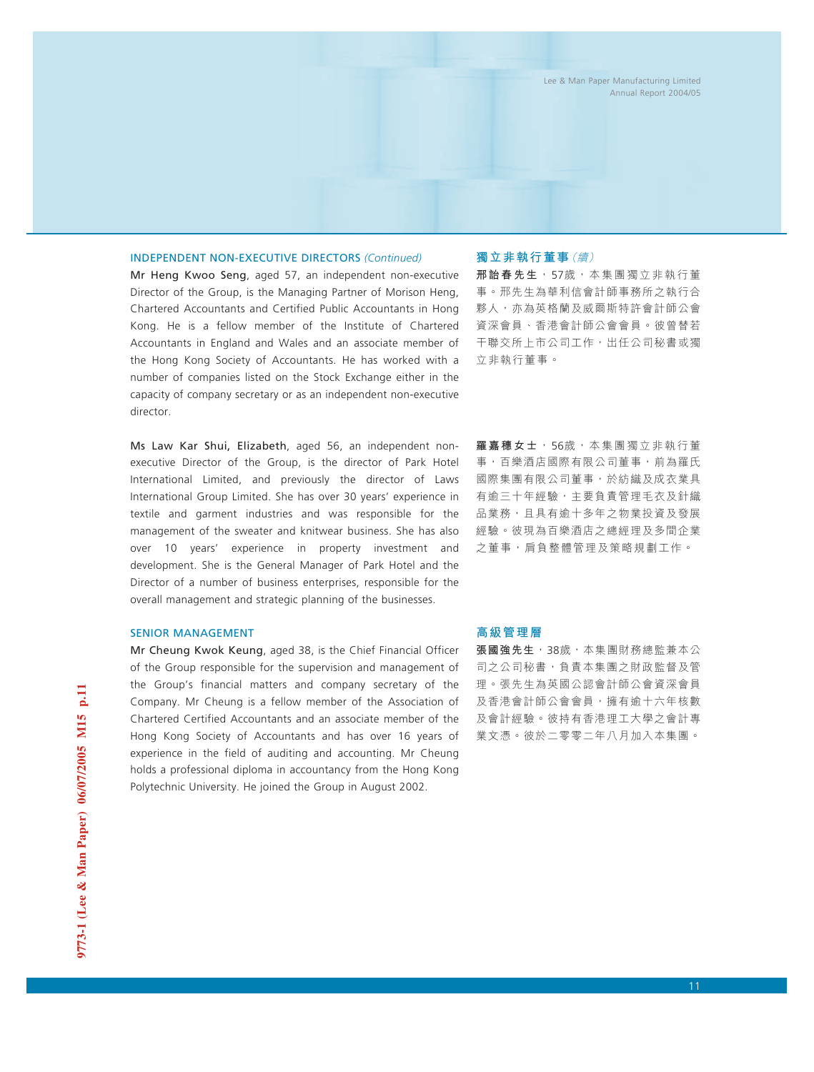### INDEPENDENT NON-EXECUTIVE DIRECTORS *(Continued)*

Mr Heng Kwoo Seng, aged 57, an independent non-executive Director of the Group, is the Managing Partner of Morison Heng, Chartered Accountants and Certified Public Accountants in Hong Kong. He is a fellow member of the Institute of Chartered Accountants in England and Wales and an associate member of the Hong Kong Society of Accountants. He has worked with a number of companies listed on the Stock Exchange either in the capacity of company secretary or as an independent non-executive director.

Ms Law Kar Shui, Elizabeth, aged 56, an independent nonexecutive Director of the Group, is the director of Park Hotel International Limited, and previously the director of Laws International Group Limited. She has over 30 years' experience in textile and garment industries and was responsible for the management of the sweater and knitwear business. She has also over 10 years' experience in property investment and development. She is the General Manager of Park Hotel and the Director of a number of business enterprises, responsible for the overall management and strategic planning of the businesses.

### SENIOR MANAGEMENT

Mr Cheung Kwok Keung, aged 38, is the Chief Financial Officer of the Group responsible for the supervision and management of the Group's financial matters and company secretary of the Company. Mr Cheung is a fellow member of the Association of Chartered Certified Accountants and an associate member of the Hong Kong Society of Accountants and has over 16 years of experience in the field of auditing and accounting. Mr Cheung holds a professional diploma in accountancy from the Hong Kong Polytechnic University. He joined the Group in August 2002.

### **獨立非執行董事**(續)

**邢詒春先生**,57歲,本集團獨立非執行董 事。邢先生為華利信會計師事務所之執行合 夥人,亦為英格蘭及威爾斯特許會計師公會 資深會員、香港會計師公會會員。彼曾替若 干聯交所上市公司工作,出任公司秘書或獨 立非執行董事。

**羅嘉穗女士**,56歲,本集團獨立非執行董 事,百樂酒店國際有限公司董事,前為羅氏 國際集團有限公司董事,於紡織及成衣業具 有逾三十年經驗,主要負責管理毛衣及針織 品業務,且具有逾十多年之物業投資及發展 經驗。彼現為百樂酒店之總經理及多間企業 之董事, 肩負整體管理及策略規劃工作。

### **高級管理層**

**張國強先生**, 38歲, 本集團財務總監兼本公 司之公司秘書,負責本集團之財政監督及管 理。張先生為英國公認會計師公會資深會員 及香港會計師公會會員,擁有逾十六年核數 及會計經驗。彼持有香港理工大學之會計專 業文憑。彼於二零零二年八月加入本集團。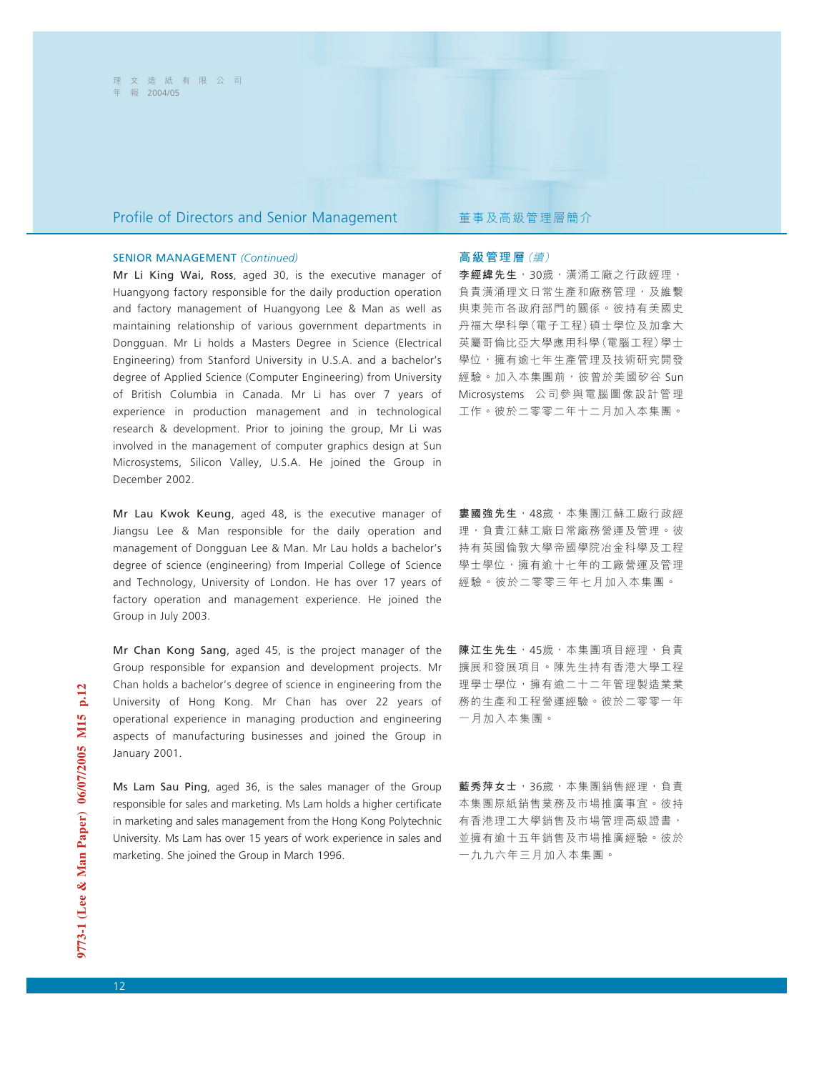## Profile of Directors and Senior Management 董事及高級管理層簡介

### SENIOR MANAGEMENT *(Continued)*

Mr Li King Wai, Ross, aged 30, is the executive manager of Huangyong factory responsible for the daily production operation and factory management of Huangyong Lee & Man as well as maintaining relationship of various government departments in Dongguan. Mr Li holds a Masters Degree in Science (Electrical Engineering) from Stanford University in U.S.A. and a bachelor's degree of Applied Science (Computer Engineering) from University of British Columbia in Canada. Mr Li has over 7 years of experience in production management and in technological research & development. Prior to joining the group, Mr Li was involved in the management of computer graphics design at Sun Microsystems, Silicon Valley, U.S.A. He joined the Group in December 2002.

Mr Lau Kwok Keung, aged 48, is the executive manager of Jiangsu Lee & Man responsible for the daily operation and management of Dongguan Lee & Man. Mr Lau holds a bachelor's degree of science (engineering) from Imperial College of Science and Technology, University of London. He has over 17 years of factory operation and management experience. He joined the Group in July 2003.

Mr Chan Kong Sang, aged 45, is the project manager of the Group responsible for expansion and development projects. Mr Chan holds a bachelor's degree of science in engineering from the University of Hong Kong. Mr Chan has over 22 years of operational experience in managing production and engineering aspects of manufacturing businesses and joined the Group in January 2001.

Ms Lam Sau Ping, aged 36, is the sales manager of the Group responsible for sales and marketing. Ms Lam holds a higher certificate in marketing and sales management from the Hong Kong Polytechnic University. Ms Lam has over 15 years of work experience in sales and marketing. She joined the Group in March 1996.

### **高級管理層**(續)

李經緯先生,30歲,潢涌工廠之行政經理, 負責潢涌理文日常生產和廠務管理,及維繫 與東莞市各政府部門的關係。彼持有美國史 丹福大學科學(電子工程)碩士學位及加拿大 英屬哥倫比亞大學應用科學(電腦工程)學士 學位,擁有逾七年生產管理及技術研究開發 經驗。加入本集團前,彼曾於美國矽谷 Sun Microsystems 公司參與電腦圖像設計管理 工作。彼於二零零二年十二月加入本集團。

**婁國強先生**,48歲,本集團江蘇工廠行政經 理,負責江蘇工廠日常廠務營運及管理。彼 持有英國倫敦大學帝國學院冶金科學及工程 學士學位,擁有逾十七年的工廠營運及管理 經驗。彼於二零零三年七月加入本集團。

**陳江生先生**,45歲,本集團項目經理,負責 擴展和發展項目。陳先生持有香港大學工程 理學士學位,擁有逾二十二年管理製造業業 務的生產和工程營運經驗。彼於二零零一年 一月加入本集團。

**藍秀萍女士**,36歲,本集團銷售經理,負責 本集團原紙銷售業務及市場推廣事宜。彼持 有香港理工大學銷售及市場管理高級證書, 並擁有逾十五年銷售及市場推廣經驗。彼於 一九九六年三月加入本集團。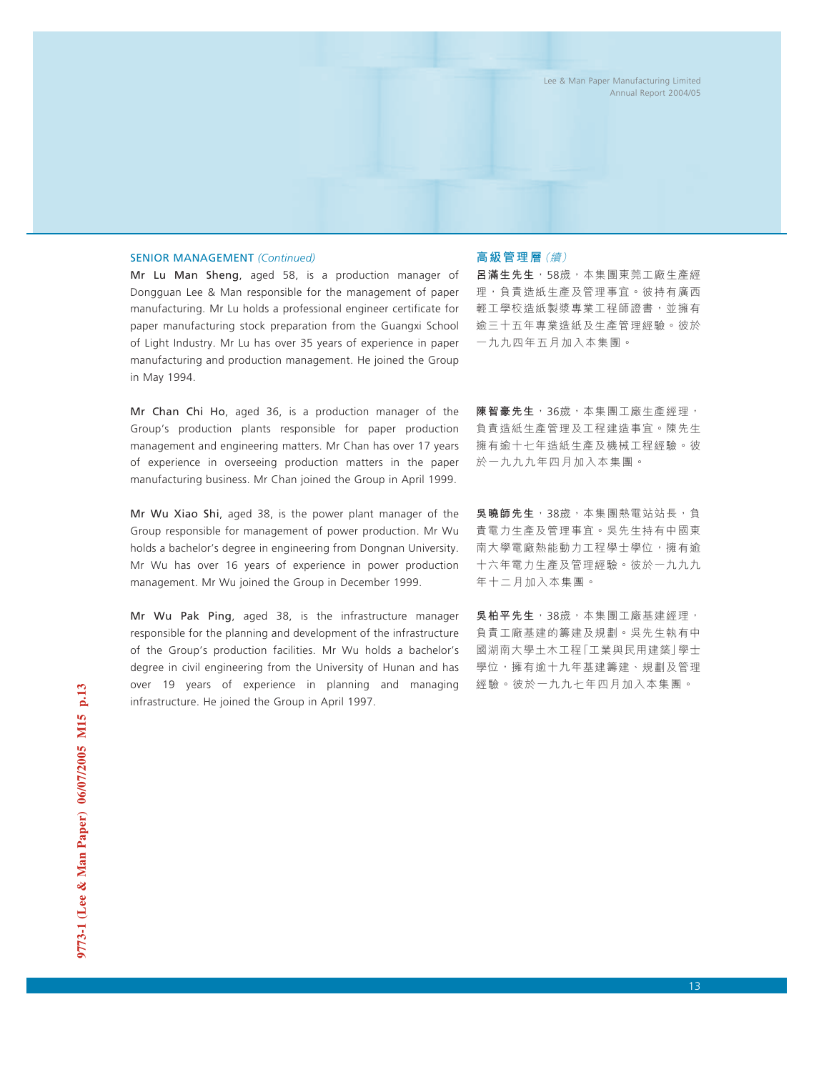### SENIOR MANAGEMENT *(Continued)*

Mr Lu Man Sheng, aged 58, is a production manager of Dongguan Lee & Man responsible for the management of paper manufacturing. Mr Lu holds a professional engineer certificate for paper manufacturing stock preparation from the Guangxi School of Light Industry. Mr Lu has over 35 years of experience in paper manufacturing and production management. He joined the Group in May 1994.

Mr Chan Chi Ho, aged 36, is a production manager of the Group's production plants responsible for paper production management and engineering matters. Mr Chan has over 17 years of experience in overseeing production matters in the paper manufacturing business. Mr Chan joined the Group in April 1999.

Mr Wu Xiao Shi, aged 38, is the power plant manager of the Group responsible for management of power production. Mr Wu holds a bachelor's degree in engineering from Dongnan University. Mr Wu has over 16 years of experience in power production management. Mr Wu joined the Group in December 1999.

Mr Wu Pak Ping, aged 38, is the infrastructure manager responsible for the planning and development of the infrastructure of the Group's production facilities. Mr Wu holds a bachelor's degree in civil engineering from the University of Hunan and has over 19 years of experience in planning and managing infrastructure. He joined the Group in April 1997.

### **高級管理層**(續)

**呂滿生先生**,58歲,本集團東莞工廠生產經 理,負責造紙生產及管理事宜。彼持有廣西 輕工學校造紙製漿專業工程師證書,並擁有 逾三十五年專業造紙及生產管理經驗。彼於 一九九四年五月加入本集團。

**陳智豪先生**,36歲,本集團工廠生產經理, 負責造紙生產管理及工程建造事宜。陳先生 擁有逾十七年造紙生產及機械工程經驗。彼 於一九九九年四月加入本集團。

**吳曉師先生**,38歲,本集團熱電站站長,負 責電力生產及管理事宜。吳先生持有中國東 南大學電廠熱能動力工程學士學位,擁有逾 十六年電力生產及管理經驗。彼於一九九九 年十二月加入本集團。

**吳柏平先生**,38歲,本集團工廠基建經理, 負責工廠基建的籌建及規劃。吳先生執有中 國湖南大學土木工程「工業與民用建築」學士 學位,擁有逾十九年基建籌建、規劃及管理 經驗。彼於一九九七年四月加入本集團。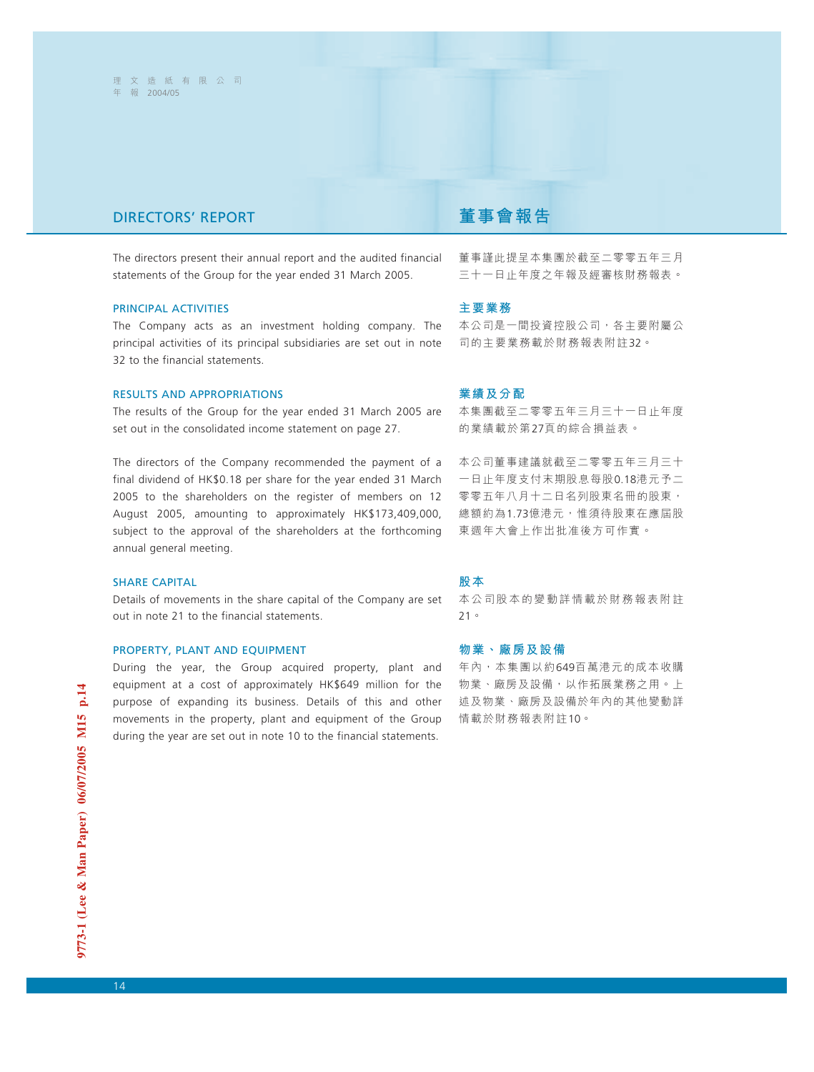# DIRECTORS' REPORT **董事會報告**

The directors present their annual report and the audited financial statements of the Group for the year ended 31 March 2005.

### PRINCIPAL ACTIVITIES

The Company acts as an investment holding company. The principal activities of its principal subsidiaries are set out in note 32 to the financial statements.

### RESULTS AND APPROPRIATIONS

The results of the Group for the year ended 31 March 2005 are set out in the consolidated income statement on page 27.

The directors of the Company recommended the payment of a final dividend of HK\$0.18 per share for the year ended 31 March 2005 to the shareholders on the register of members on 12 August 2005, amounting to approximately HK\$173,409,000, subject to the approval of the shareholders at the forthcoming annual general meeting.

### SHARE CAPITAL

Details of movements in the share capital of the Company are set out in note 21 to the financial statements.

### PROPERTY, PLANT AND EQUIPMENT

During the year, the Group acquired property, plant and equipment at a cost of approximately HK\$649 million for the purpose of expanding its business. Details of this and other movements in the property, plant and equipment of the Group during the year are set out in note 10 to the financial statements.

董事謹此提呈本集團於截至二零零五年三月 三十一日止年度之年報及經審核財務報表。

### **主要業務**

本公司是一間投資控股公司,各主要附屬公 司的主要業務載於財務報表附註32。

### **業績及分配**

本集團截至二零零五年三月三十一日止年度 的業績載於第27頁的綜合損益表。

本公司董事建議就截至二零零五年三月三十 一日止年度支付末期股息每股0.18港元予二 零零五年八月十二日名列股東名冊的股東, 總額約為1.73億港元,惟須待股東在應屆股 東週年大會上作出批准後方可作實。

### **股本**

本公司股本的變動詳情載於財務報表附註 21。

### **物業、廠房及設備**

年內,本集團以約649百萬港元的成本收購 物業、廠房及設備,以作拓展業務之用。上 述及物業、廠房及設備於年內的其他變動詳 情載於財務報表附註10。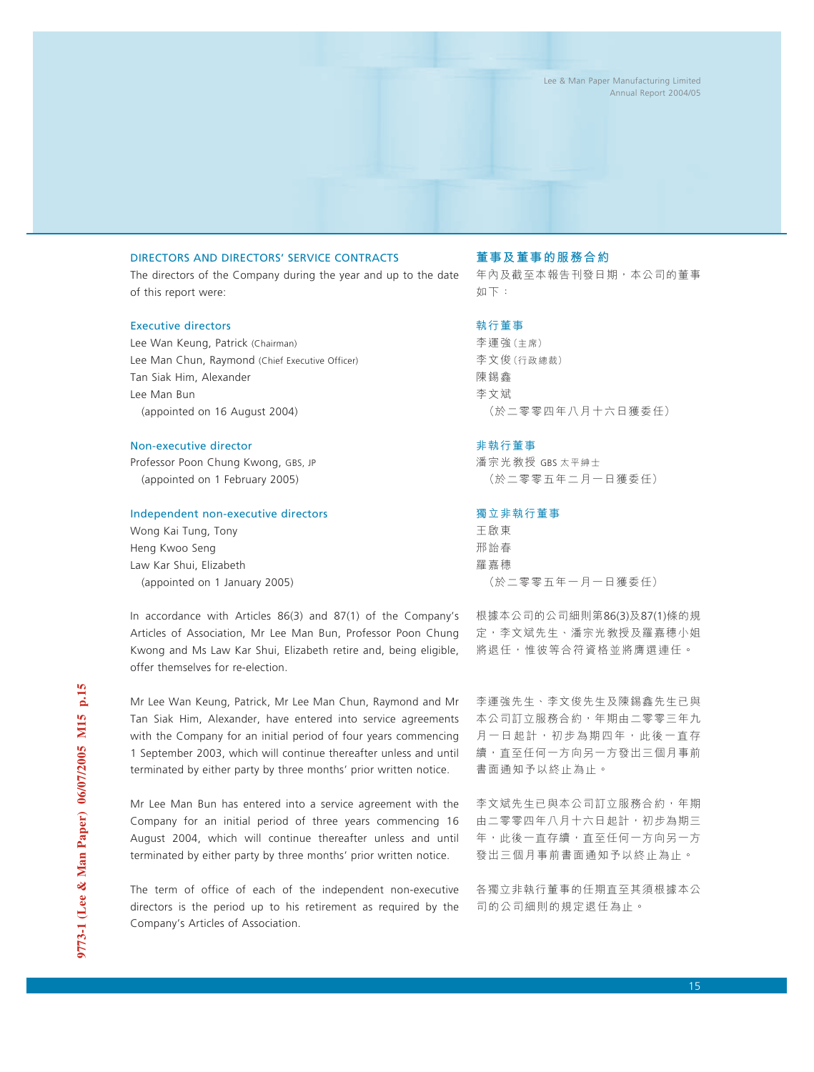## DIRECTORS AND DIRECTORS' SERVICE CONTRACTS

The directors of the Company during the year and up to the date of this report were:

### Executive directors

Lee Wan Keung, Patrick (Chairman) Lee Man Chun, Raymond (Chief Executive Officer) Tan Siak Him, Alexander Lee Man Bun (appointed on 16 August 2004)

### Non-executive director

Professor Poon Chung Kwong, GBS, JP (appointed on 1 February 2005)

### Independent non-executive directors

Wong Kai Tung, Tony Heng Kwoo Seng Law Kar Shui, Elizabeth (appointed on 1 January 2005)

In accordance with Articles 86(3) and 87(1) of the Company's Articles of Association, Mr Lee Man Bun, Professor Poon Chung Kwong and Ms Law Kar Shui, Elizabeth retire and, being eligible, offer themselves for re-election.

Mr Lee Wan Keung, Patrick, Mr Lee Man Chun, Raymond and Mr Tan Siak Him, Alexander, have entered into service agreements with the Company for an initial period of four years commencing 1 September 2003, which will continue thereafter unless and until terminated by either party by three months' prior written notice.

Mr Lee Man Bun has entered into a service agreement with the Company for an initial period of three years commencing 16 August 2004, which will continue thereafter unless and until terminated by either party by three months' prior written notice.

The term of office of each of the independent non-executive directors is the period up to his retirement as required by the Company's Articles of Association.

### **董事及董事的服務合約**

年內及截至本報告刊發日期,本公司的董事 如下:

### 執行董事

李運強(主席) 李文俊(行政總裁) 陳錫鑫 李文斌 (於二零零四年八月十六日獲委任)

### 非執行董事

潘宗光教授 GBS 太平紳士 (於二零零五年二月一日獲委任)

### 獨立非執行董事

王啟東 邢詒春 羅嘉穗 (於二零零五年一月一日獲委任)

根據本公司的公司細則第86(3)及87(1)條的規 定,李文斌先生、潘宗光教授及羅嘉穗小姐 將退任,惟彼等合符資格並將膺選連任。

李運強先生、李文俊先生及陳錫鑫先生已與 本公司訂立服務合約,年期由二零零三年九 月一日起計,初步為期四年,此後一直存 續,直至任何一方向另一方發出三個月事前 書面通知予以終止為止。

李文斌先生已與本公司訂立服務合約,年期 由二零零四年八月十六日起計,初步為期三 年,此後一直存續,直至任何一方向另一方 發出三個月事前書面通知予以終止為止。

各獨立非執行董事的任期直至其須根據本公 司的公司細則的規定退任為止。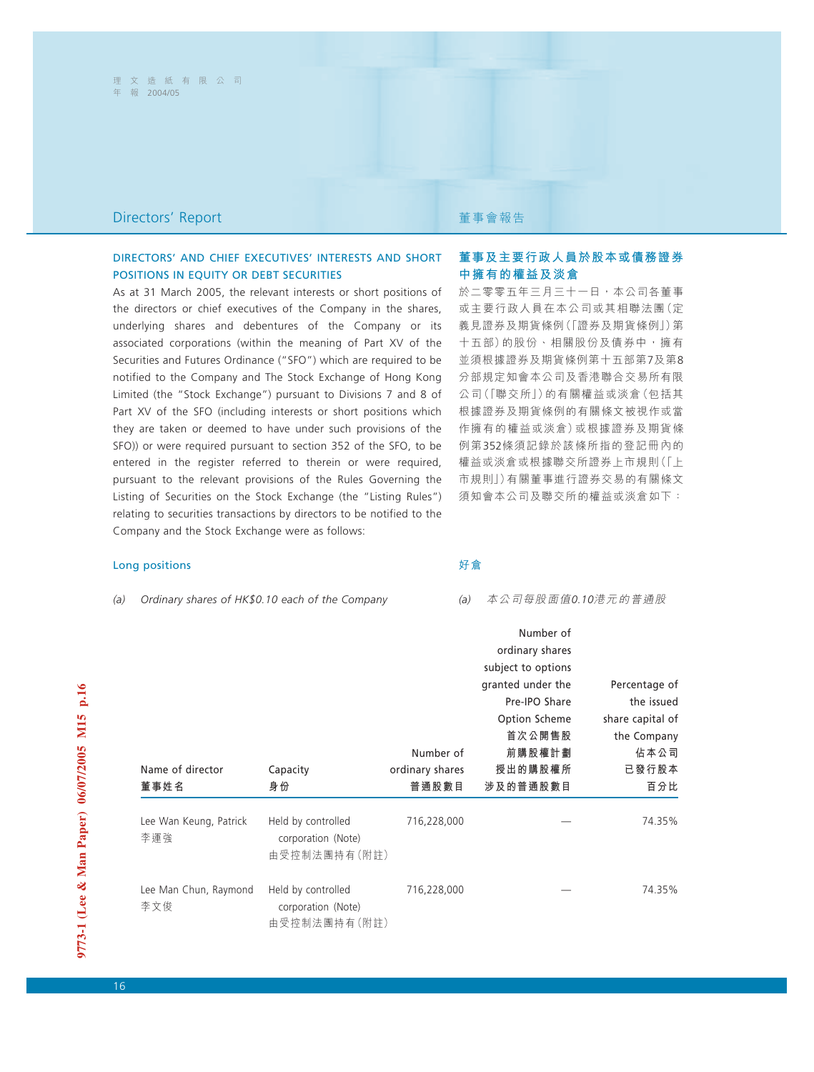## **Directors' Report <br>
■ Present Telescopy Telescopy Telescopy Telescopy Telescopy Telescopy Telescopy Telescopy Telescopy Telescopy**

## DIRECTORS' AND CHIEF EXECUTIVES' INTERESTS AND SHORT POSITIONS IN EQUITY OR DEBT SECURITIES

As at 31 March 2005, the relevant interests or short positions of the directors or chief executives of the Company in the shares, underlying shares and debentures of the Company or its associated corporations (within the meaning of Part XV of the Securities and Futures Ordinance ("SFO") which are required to be notified to the Company and The Stock Exchange of Hong Kong Limited (the "Stock Exchange") pursuant to Divisions 7 and 8 of Part XV of the SFO (including interests or short positions which they are taken or deemed to have under such provisions of the SFO)) or were required pursuant to section 352 of the SFO, to be entered in the register referred to therein or were required, pursuant to the relevant provisions of the Rules Governing the Listing of Securities on the Stock Exchange (the "Listing Rules") relating to securities transactions by directors to be notified to the Company and the Stock Exchange were as follows:

### Long positions

*(a) Ordinary shares of HK\$0.10 each of the Company*

## **董事及主要行政人員於股本或債務證券 中擁有的權益及淡倉**

於二零零五年三月三十一日,本公司各董事 或主要行政人員在本公司或其相聯法團(定 義見證券及期貨條例(「證券及期貨條例」)第 十五部)的股份、相關股份及債券中,擁有 並須根據證券及期貨條例第十五部第7及第8 分部規定知會本公司及香港聯合交易所有限 公司(「聯交所」)的有關權益或淡倉(包括其 根據證券及期貨條例的有關條文被視作或當 作擁有的權益或淡倉)或根據證券及期貨條 例第352條須記錄於該條所指的登記冊內的 權益或淡倉或根據聯交所證券上市規則(「上 市規則」)有關董事進行證券交易的有關條文 須知會本公司及聯交所的權益或淡倉如下:

### 好倉

### *(a)* 本公司每股面值*0.10*港元的普通股

|                        |                    |                 | Number of          |                  |
|------------------------|--------------------|-----------------|--------------------|------------------|
|                        |                    |                 | ordinary shares    |                  |
|                        |                    |                 | subject to options |                  |
|                        |                    |                 | granted under the  | Percentage of    |
|                        |                    |                 | Pre-IPO Share      | the issued       |
|                        |                    |                 | Option Scheme      | share capital of |
|                        |                    |                 | 首次公開售股             | the Company      |
|                        |                    | Number of       | 前購股權計劃             | 佔本公司             |
| Name of director       | Capacity           | ordinary shares | 授出的購股權所            | 已發行股本            |
| 董事姓名                   | 身份                 | 普通股數目           | 涉及的普通股數目           | 百分比              |
|                        |                    |                 |                    |                  |
| Lee Wan Keung, Patrick | Held by controlled | 716,228,000     |                    | 74.35%           |
| 李運強                    | corporation (Note) |                 |                    |                  |
|                        | 由受控制法團持有(附註)       |                 |                    |                  |
| Lee Man Chun, Raymond  | Held by controlled | 716,228,000     |                    | 74.35%           |
| 李文俊                    | corporation (Note) |                 |                    |                  |
|                        | 由受控制法團持有(附註)       |                 |                    |                  |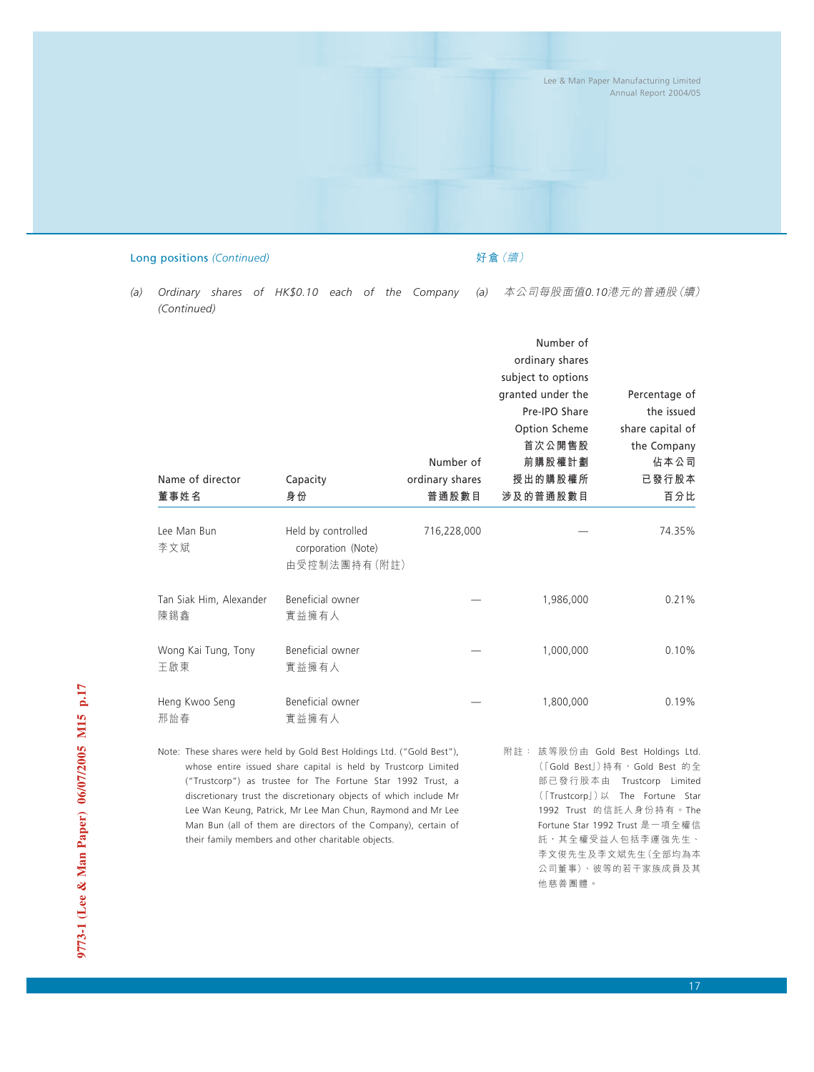Lee & Man Paper Manufacturing Limited Annual Report 2004/05

### Long positions *(Continued)*

好倉(續)

*(a) Ordinary shares of HK\$0.10 each of the Company (Continued) (a)* 本公司每股面值*0.10*港元的普通股(續)

| Name of director<br>董事姓名                                               | Capacity<br>身份                                                                                                               | Number of<br>ordinary shares<br>普通股數目 | Number of<br>ordinary shares<br>subject to options<br>granted under the<br>Pre-IPO Share<br>Option Scheme<br>首次公開售股<br>前購股權計劃<br>授出的購股權所<br>涉及的普通股數目 | Percentage of<br>the issued<br>share capital of<br>the Company<br>佔本公司<br>已發行股本<br>百分比 |
|------------------------------------------------------------------------|------------------------------------------------------------------------------------------------------------------------------|---------------------------------------|------------------------------------------------------------------------------------------------------------------------------------------------------|----------------------------------------------------------------------------------------|
| Lee Man Bun<br>李文斌                                                     | Held by controlled<br>corporation (Note)<br>由受控制法團持有(附註)                                                                     | 716,228,000                           |                                                                                                                                                      | 74.35%                                                                                 |
| Tan Siak Him, Alexander<br>陳錫鑫                                         | Beneficial owner<br>實益擁有人                                                                                                    |                                       | 1,986,000                                                                                                                                            | 0.21%                                                                                  |
| Wong Kai Tung, Tony<br>王啟東                                             | Beneficial owner<br>實益擁有人                                                                                                    |                                       | 1,000,000                                                                                                                                            | 0.10%                                                                                  |
| Heng Kwoo Seng<br>邢詒春                                                  | Beneficial owner<br>實益擁有人                                                                                                    |                                       | 1,800,000                                                                                                                                            | 0.19%                                                                                  |
| Note: These shares were held by Gold Best Holdings Ltd. ("Gold Best"), | whose entire issued share capital is held by Trustcorp Limited<br>("Trustcorn") as trustee for The Fortune Star 1992 Trust a |                                       | 附註: 該等股份由 Gold Best Holdings Ltd.                                                                                                                    | (「Gold Best」)持有, Gold Best 的全<br>部已發行股木由 Trustcorn Limited                             |

("Trustcorp") as trustee for The Fortune Star 1992 Trust, a discretionary trust the discretionary objects of which include Mr Lee Wan Keung, Patrick, Mr Lee Man Chun, Raymond and Mr Lee Man Bun (all of them are directors of the Company), certain of their family members and other charitable objects.

(「Gold Best」)持有,Gold Best 的全 部已發行股本由 Trustcorp Limited (「Trustcorp」)以 The Fortune Star 1992 Trust 的信託人身份持有。The Fortune Star 1992 Trust 是一項全權信 託,其全權受益人包括李運強先生、 李文俊先生及李文斌先生(全部均為本 公司董事)、彼等的若干家族成員及其 他慈善團體。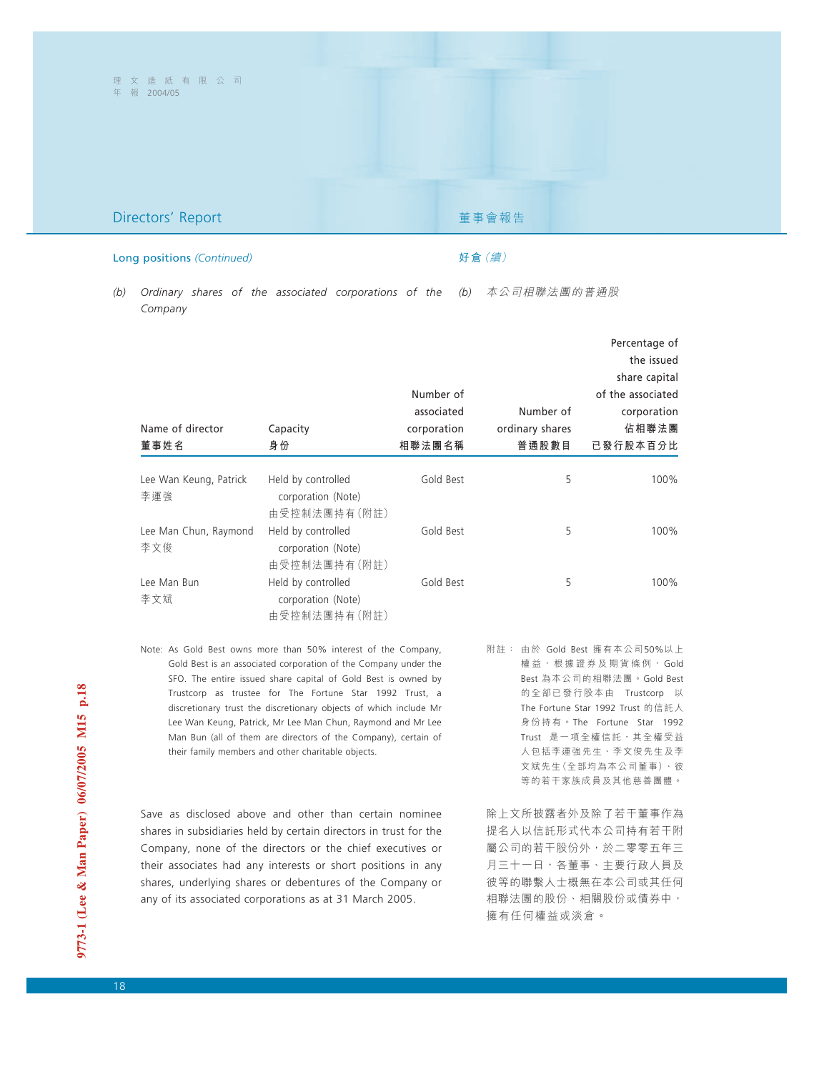## **Directors' Report <br>
■ Present Telescopy Telescopy Telescopy Telescopy Telescopy Telescopy Telescopy Telescopy Telescopy Telescopy**

# 好倉(續)

### Long positions *(Continued)*

### *(b)* 本公司相聯法團的普通股 *(b) Ordinary shares of the associated corporations of the Company*

|                               |                                          |             |                 | Percentage of     |
|-------------------------------|------------------------------------------|-------------|-----------------|-------------------|
|                               |                                          |             |                 | the issued        |
|                               |                                          |             |                 | share capital     |
|                               |                                          | Number of   |                 | of the associated |
|                               |                                          | associated  | Number of       | corporation       |
| Name of director              | Capacity                                 | corporation | ordinary shares | 佔相聯法團             |
| 董事姓名                          | 身份                                       | 相聯法團名稱      | 普通股數目           | 已發行股本百分比          |
|                               |                                          |             |                 |                   |
| Lee Wan Keung, Patrick<br>李運強 | Held by controlled<br>corporation (Note) | Gold Best   | 5               | 100%              |
|                               | 由受控制法團持有(附註)                             |             |                 |                   |
| Lee Man Chun, Raymond<br>李文俊  | Held by controlled<br>corporation (Note) | Gold Best   | 5               | 100%              |
|                               | 由受控制法團持有(附註)                             |             |                 |                   |
| Lee Man Bun<br>李文斌            | Held by controlled<br>corporation (Note) | Gold Best   | 5               | 100%              |
|                               | 由受控制法團持有(附註)                             |             |                 |                   |

Note: As Gold Best owns more than 50% interest of the Company, Gold Best is an associated corporation of the Company under the SFO. The entire issued share capital of Gold Best is owned by Trustcorp as trustee for The Fortune Star 1992 Trust, a discretionary trust the discretionary objects of which include Mr Lee Wan Keung, Patrick, Mr Lee Man Chun, Raymond and Mr Lee Man Bun (all of them are directors of the Company), certain of their family members and other charitable objects.

Save as disclosed above and other than certain nominee shares in subsidiaries held by certain directors in trust for the Company, none of the directors or the chief executives or their associates had any interests or short positions in any shares, underlying shares or debentures of the Company or any of its associated corporations as at 31 March 2005.

附註: 由於 Gold Best 擁有本公司50%以上 權益,根據證券及期貨條例, Gold Best 為本公司的相聯法團。Gold Best 的全部已發行股本由 Trustcorp 以 The Fortune Star 1992 Trust 的信託人 身份持有。The Fortune Star 1992 Trust 是一項全權信託,其全權受益 人包括李運強先生、李文俊先生及李 文斌先生(全部均為本公司董事)、彼 等的若干家族成員及其他慈善團體。

除上文所披露者外及除了若干董事作為 提名人以信託形式代本公司持有若干附 屬公司的若干股份外,於二零零五年三 月三十一日,各董事、主要行政人員及 彼等的聯繫人士概無在本公司或其任何 相聯法團的股份、相關股份或債券中, 擁有任何權益或淡倉。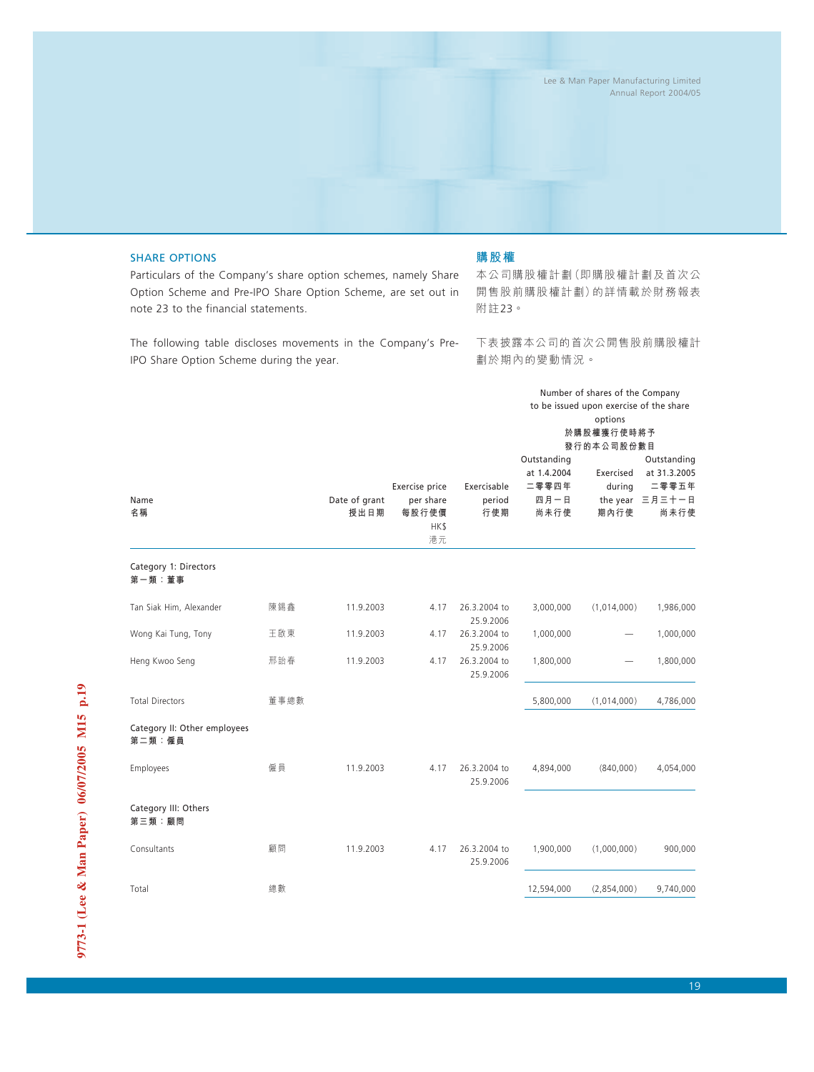### SHARE OPTIONS

### **購股權**

Particulars of the Company's share option schemes, namely Share Option Scheme and Pre-IPO Share Option Scheme, are set out in note 23 to the financial statements.

The following table discloses movements in the Company's Pre-IPO Share Option Scheme during the year.

本公司購股權計劃(即購股權計劃及首次公 開售股前購股權計劃)的詳情載於財務報表 附註23。

下表披露本公司的首次公開售股前購股權計 劃於期內的變動情況。

Number of shares of the Company

|                                        |      |                       |                                                    |                              | to be issued upon exercise of the share<br>options<br>於購股權獲行使時將予<br>發行的本公司股份數目 |                             |                                                                 |  |
|----------------------------------------|------|-----------------------|----------------------------------------------------|------------------------------|--------------------------------------------------------------------------------|-----------------------------|-----------------------------------------------------------------|--|
| Name<br>名稱                             |      | Date of grant<br>授出日期 | Exercise price<br>per share<br>每股行使價<br>HK\$<br>港元 | Exercisable<br>period<br>行使期 | Outstanding<br>at 1.4.2004<br>二零零四年<br>四月一日<br>尚未行使                            | Exercised<br>during<br>期內行使 | Outstanding<br>at 31.3.2005<br>二零零五年<br>the year 三月三十一日<br>尚未行使 |  |
| Category 1: Directors<br>第一類:董事        |      |                       |                                                    |                              |                                                                                |                             |                                                                 |  |
| Tan Siak Him, Alexander                | 陳錫鑫  | 11.9.2003             | 4.17                                               | 26.3.2004 to<br>25.9.2006    | 3,000,000                                                                      | (1,014,000)                 | 1,986,000                                                       |  |
| Wong Kai Tung, Tony                    | 王啟東  | 11.9.2003             | 4.17                                               | 26.3.2004 to<br>25.9.2006    | 1,000,000                                                                      |                             | 1,000,000                                                       |  |
| Heng Kwoo Seng                         | 邢詒春  | 11.9.2003             | 4.17                                               | 26.3.2004 to<br>25.9.2006    | 1,800,000                                                                      |                             | 1,800,000                                                       |  |
| <b>Total Directors</b>                 | 董事總數 |                       |                                                    |                              | 5,800,000                                                                      | (1,014,000)                 | 4,786,000                                                       |  |
| Category II: Other employees<br>第二類:僱員 |      |                       |                                                    |                              |                                                                                |                             |                                                                 |  |
| Employees                              | 僱員   | 11.9.2003             | 4.17                                               | 26.3.2004 to<br>25.9.2006    | 4,894,000                                                                      | (840,000)                   | 4,054,000                                                       |  |
| Category III: Others<br>第三類:顧問         |      |                       |                                                    |                              |                                                                                |                             |                                                                 |  |
| Consultants                            | 顧問   | 11.9.2003             | 4.17                                               | 26.3.2004 to<br>25.9.2006    | 1,900,000                                                                      | (1,000,000)                 | 900,000                                                         |  |
| Total                                  | 總數   |                       |                                                    |                              | 12,594,000                                                                     | (2,854,000)                 | 9,740,000                                                       |  |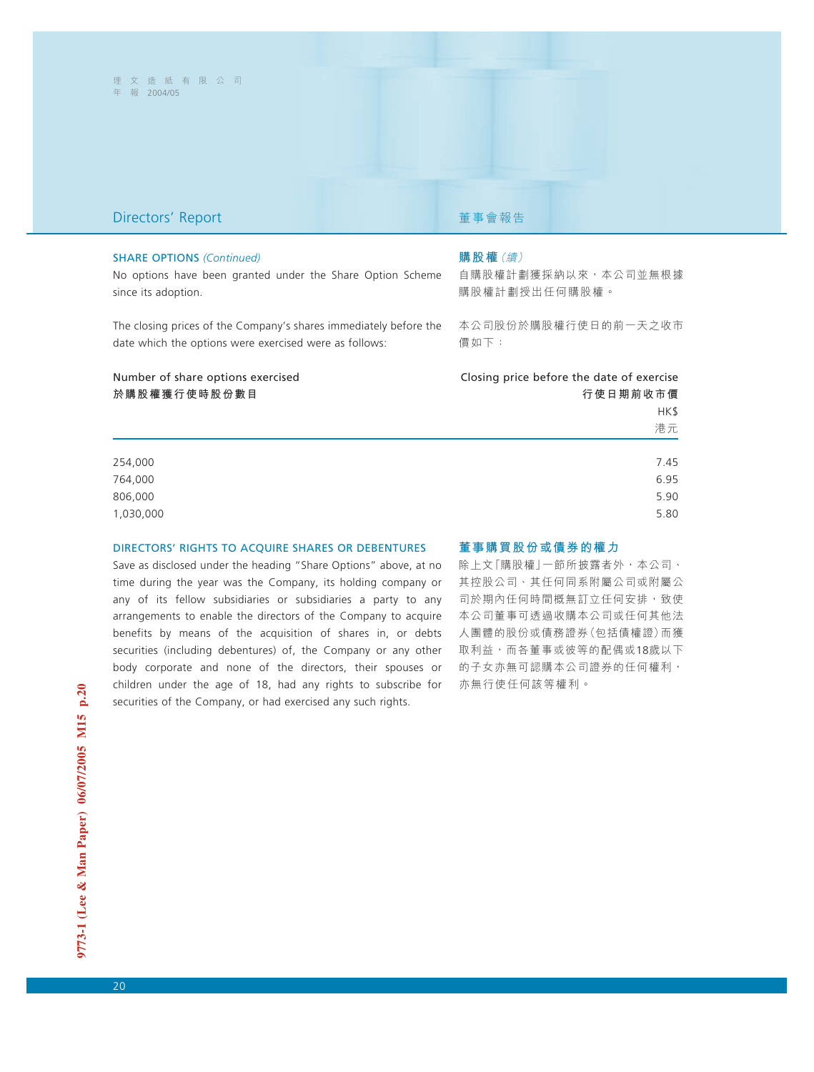## **Directors' Report <br>
■ Present Telescopy Telescopy Telescopy Telescopy Telescopy Telescopy Telescopy Telescopy Telescopy Telescopy**

### SHARE OPTIONS *(Continued)*

No options have been granted under the Share Option Scheme since its adoption.

The closing prices of the Company's shares immediately before the date which the options were exercised were as follows:

### **購股權**(續)

自購股權計劃獲採納以來,本公司並無根據 購股權計劃授出任何購股權。

本公司股份於購股權行使日的前一天之收市 價如下:

| Number of share options exercised | Closing price before the date of exercise |
|-----------------------------------|-------------------------------------------|
| 於購股權獲行使時股份數目                      | 行使日期前收市價                                  |
|                                   | HK\$                                      |
|                                   | 港元                                        |
|                                   |                                           |
| 254,000                           | 7.45                                      |
| 764,000                           | 6.95                                      |
| 806,000                           | 5.90                                      |
| 1,030,000                         | 5.80                                      |
|                                   |                                           |

### DIRECTORS' RIGHTS TO ACQUIRE SHARES OR DEBENTURES

Save as disclosed under the heading "Share Options" above, at no time during the year was the Company, its holding company or any of its fellow subsidiaries or subsidiaries a party to any arrangements to enable the directors of the Company to acquire benefits by means of the acquisition of shares in, or debts securities (including debentures) of, the Company or any other body corporate and none of the directors, their spouses or children under the age of 18, had any rights to subscribe for securities of the Company, or had exercised any such rights.

### **董事購買股份或債券的權力**

除上文「購股權」一節所披露者外,本公司、 其控股公司、其任何同系附屬公司或附屬公 司於期內任何時間概無訂立任何安排,致使 本公司董事可透過收購本公司或任何其他法 人團體的股份或債務證券(包括債權證)而獲 取利益,而各董事或彼等的配偶或18歲以下 的子女亦無可認購本公司證券的任何權利, 亦無行使任何該等權利。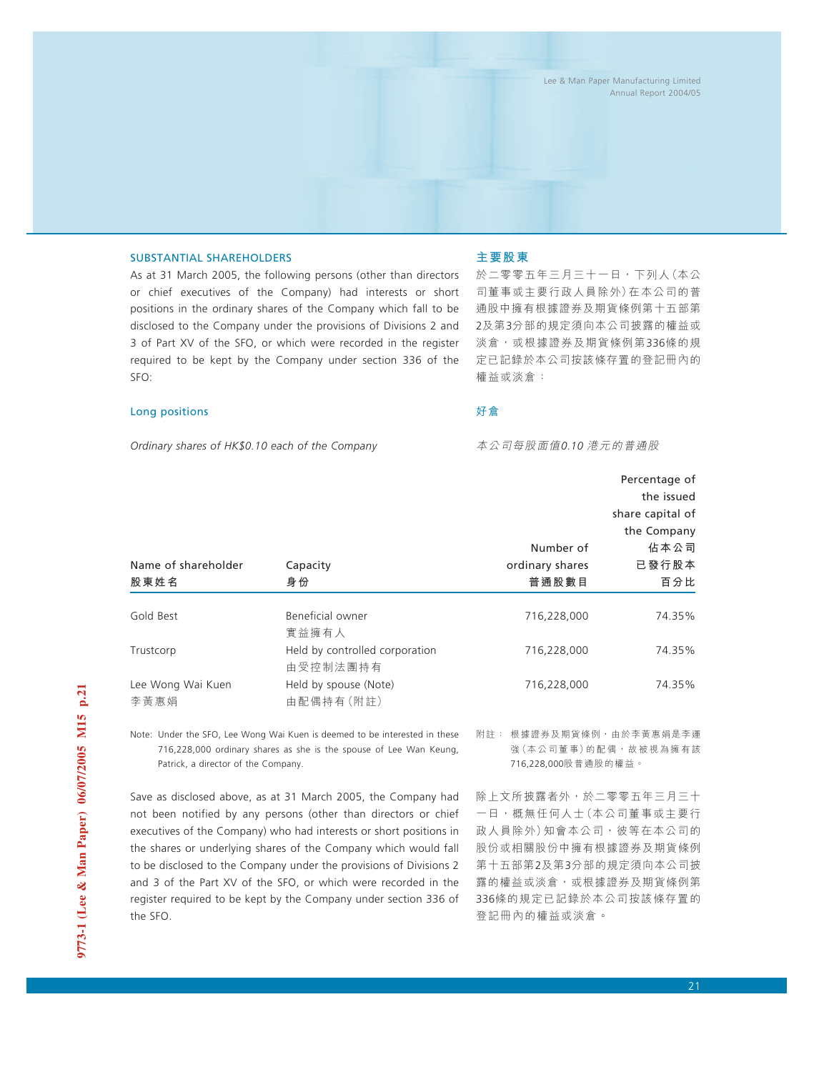### SUBSTANTIAL SHAREHOLDERS

As at 31 March 2005, the following persons (other than directors or chief executives of the Company) had interests or short positions in the ordinary shares of the Company which fall to be disclosed to the Company under the provisions of Divisions 2 and 3 of Part XV of the SFO, or which were recorded in the register required to be kept by the Company under section 336 of the SFO:

### Long positions

*Ordinary shares of HK\$0.10 each of the Company*

### **主要股東**

於二零零五年三月三十一日,下列人(本公 司董事或主要行政人員除外)在本公司的普 通股中擁有根據證券及期貨條例第十五部第 2及第3分部的規定須向本公司披露的權益或 淡倉,或根據證券及期貨條例第336條的規 定已記錄於本公司按該條存置的登記冊內的 權益或淡倉:

### 好倉

本公司每股面值*0.10* 港元的普通股

|                     |                                |                 | Percentage of    |
|---------------------|--------------------------------|-----------------|------------------|
|                     |                                |                 | the issued       |
|                     |                                |                 | share capital of |
|                     |                                |                 | the Company      |
|                     |                                | Number of       | 佔本公司             |
| Name of shareholder | Capacity                       | ordinary shares | 已發行股本            |
| 股東姓名                | 身份                             | 普通股數目           | 百分比              |
|                     |                                |                 |                  |
| Gold Best           | Beneficial owner               | 716,228,000     | 74.35%           |
|                     | 實益擁有人                          |                 |                  |
| Trustcorp           | Held by controlled corporation | 716,228,000     | 74.35%           |
|                     | 由受控制法團持有                       |                 |                  |
| Lee Wong Wai Kuen   | Held by spouse (Note)          | 716,228,000     | 74.35%           |
| 李黃惠娟                | 由配偶持有(附註)                      |                 |                  |

Note: Under the SFO, Lee Wong Wai Kuen is deemed to be interested in these 716,228,000 ordinary shares as she is the spouse of Lee Wan Keung, Patrick, a director of the Company.

Save as disclosed above, as at 31 March 2005, the Company had not been notified by any persons (other than directors or chief executives of the Company) who had interests or short positions in the shares or underlying shares of the Company which would fall to be disclosed to the Company under the provisions of Divisions 2 and 3 of the Part XV of the SFO, or which were recorded in the register required to be kept by the Company under section 336 of the SFO.

附註: 根據證券及期貨條例,由於李黃惠娟是李運 強(本公司董事)的配偶,故被視為擁有該 716,228,000股普通股的權益。

除上文所披露者外,於二零零五年三月三十 一日,概無任何人士(本公司董事或主要行 政人員除外)知會本公司,彼等在本公司的 股份或相關股份中擁有根據證券及期貨條例 第十五部第2及第3分部的規定須向本公司披 露的權益或淡倉,或根據證券及期貨條例第 336條的規定已記錄於本公司按該條存置的 登記冊內的權益或淡倉。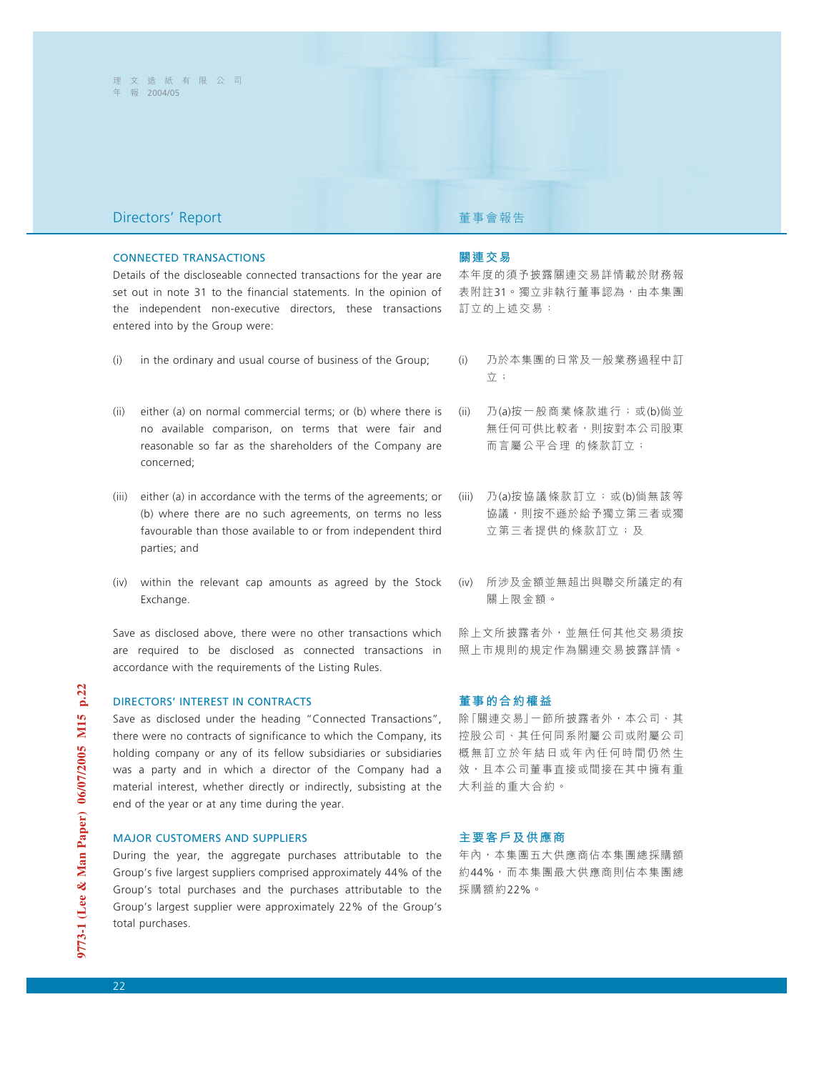## **Directors' Report <br>
■ Present Telescopy Telescopy Telescopy Telescopy Telescopy Telescopy Telescopy Telescopy Telescopy Telescopy**

### CONNECTED TRANSACTIONS

Details of the discloseable connected transactions for the year are set out in note 31 to the financial statements. In the opinion of the independent non-executive directors, these transactions entered into by the Group were:

- (i) in the ordinary and usual course of business of the Group;
- (ii) either (a) on normal commercial terms; or (b) where there is no available comparison, on terms that were fair and reasonable so far as the shareholders of the Company are concerned;
- (iii) either (a) in accordance with the terms of the agreements; or (b) where there are no such agreements, on terms no less favourable than those available to or from independent third parties; and
- (iv) within the relevant cap amounts as agreed by the Stock Exchange.

Save as disclosed above, there were no other transactions which are required to be disclosed as connected transactions in accordance with the requirements of the Listing Rules.

## DIRECTORS' INTEREST IN CONTRACTS

Save as disclosed under the heading "Connected Transactions", there were no contracts of significance to which the Company, its holding company or any of its fellow subsidiaries or subsidiaries was a party and in which a director of the Company had a material interest, whether directly or indirectly, subsisting at the end of the year or at any time during the year.

### MAJOR CUSTOMERS AND SUPPLIERS

During the year, the aggregate purchases attributable to the Group's five largest suppliers comprised approximately 44% of the Group's total purchases and the purchases attributable to the Group's largest supplier were approximately 22% of the Group's total purchases.

### **關連交易**

本年度的須予披露關連交易詳情載於財務報 表附註31。獨立非執行董事認為,由本集團 訂立的上述交易:

- (i) 乃於本集團的日常及一般業務過程中訂 立;
- (ii) 乃(a)按一般商業條款進行;或(b)倘並 無任何可供比較者,則按對本公司股東 而言屬公平合理 的條款訂立;
- (iii) 乃(a)按協議條款訂立;或(b)倘無該等 協議,則按不遜於給予獨立第三者或獨 立第三者提供的條款訂立;及
- (iv) 所涉及金額並無超出與聯交所議定的有 關上限金額。

除上文所披露者外,並無任何其他交易須按 照上市規則的規定作為關連交易披露詳情。

### **董事的合約權益**

除「關連交易」一節所披露者外,本公司、其 控股公司、其任何同系附屬公司或附屬公司 概無訂立於年結日或年內任何時間仍然生 效,且本公司董事直接或間接在其中擁有重 大利益的重大合約。

### **主要客戶及供應商**

年內,本集團五大供應商佔本集團總採購額 約44%,而本集團最大供應商則佔本集團總 採購額約22%。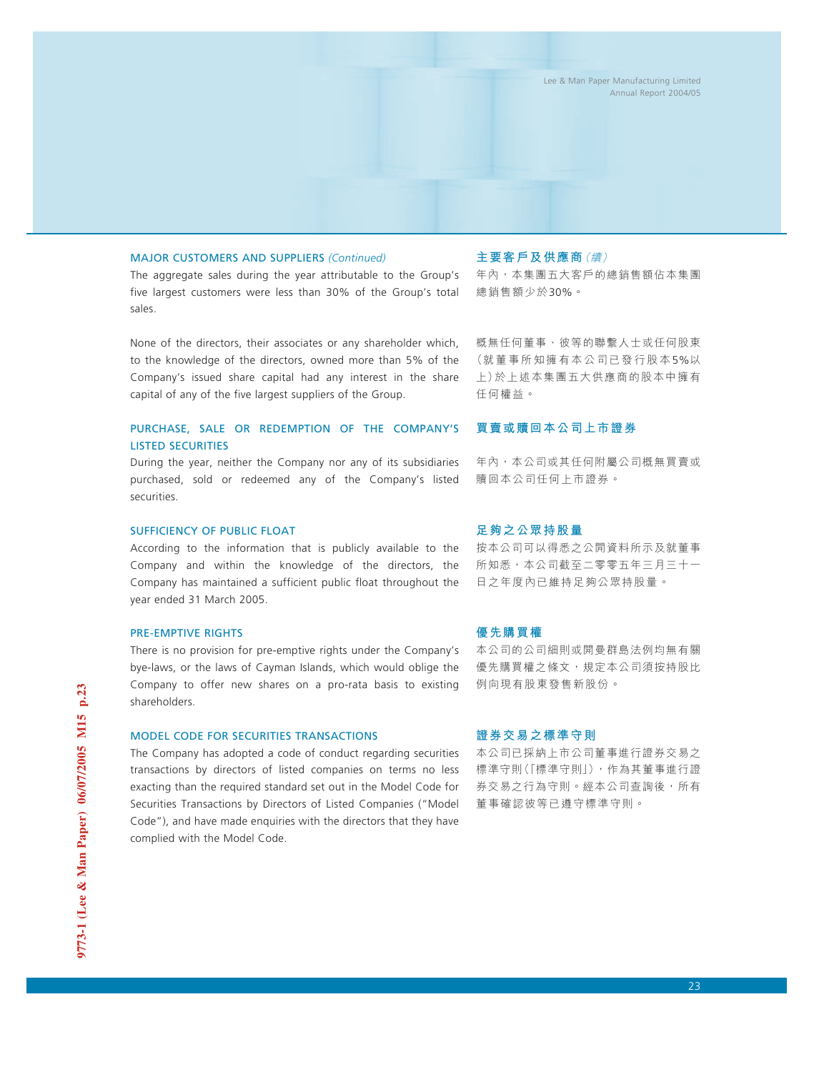### MAJOR CUSTOMERS AND SUPPLIERS *(Continued)*

The aggregate sales during the year attributable to the Group's five largest customers were less than 30% of the Group's total sales.

None of the directors, their associates or any shareholder which, to the knowledge of the directors, owned more than 5% of the Company's issued share capital had any interest in the share capital of any of the five largest suppliers of the Group.

### PURCHASE, SALE OR REDEMPTION OF THE COMPANY'S LISTED SECURITIES

During the year, neither the Company nor any of its subsidiaries purchased, sold or redeemed any of the Company's listed securities.

### SUFFICIENCY OF PUBLIC FLOAT

According to the information that is publicly available to the Company and within the knowledge of the directors, the Company has maintained a sufficient public float throughout the year ended 31 March 2005.

### PRE-EMPTIVE RIGHTS

There is no provision for pre-emptive rights under the Company's bye-laws, or the laws of Cayman Islands, which would oblige the Company to offer new shares on a pro-rata basis to existing shareholders.

### MODEL CODE FOR SECURITIES TRANSACTIONS

The Company has adopted a code of conduct regarding securities transactions by directors of listed companies on terms no less exacting than the required standard set out in the Model Code for Securities Transactions by Directors of Listed Companies ("Model Code"), and have made enquiries with the directors that they have complied with the Model Code.

### **主要客戶及供應商**(續)

年內,本集團五大客戶的總銷售額佔本集團 總銷售額少於30%。

概無任何董事、彼等的聯繫人士或任何股東 (就董事所知擁有本公司已發行股本5%以 上)於上述本集團五大供應商的股本中擁有 任何權益。

### **買賣或贖回本公司上市證券**

年內,本公司或其任何附屬公司概無買賣或 贖回本公司任何上市證券。

### **足夠之公眾持股量**

按本公司可以得悉之公開資料所示及就董事 所知悉,本公司截至二零零五年三月三十一 日之年度內已維持足夠公眾持股量。

### **優先購買權**

本公司的公司細則或開曼群島法例均無有關 優先購買權之條文,規定本公司須按持股比 例向現有股東發售新股份。

### **證券交易之標準守則**

本公司已採納上市公司董事進行證券交易之 標準守則(「標準守則」),作為其董事進行證 券交易之行為守則。經本公司查詢後,所有 董事確認彼等已遵守標準守則。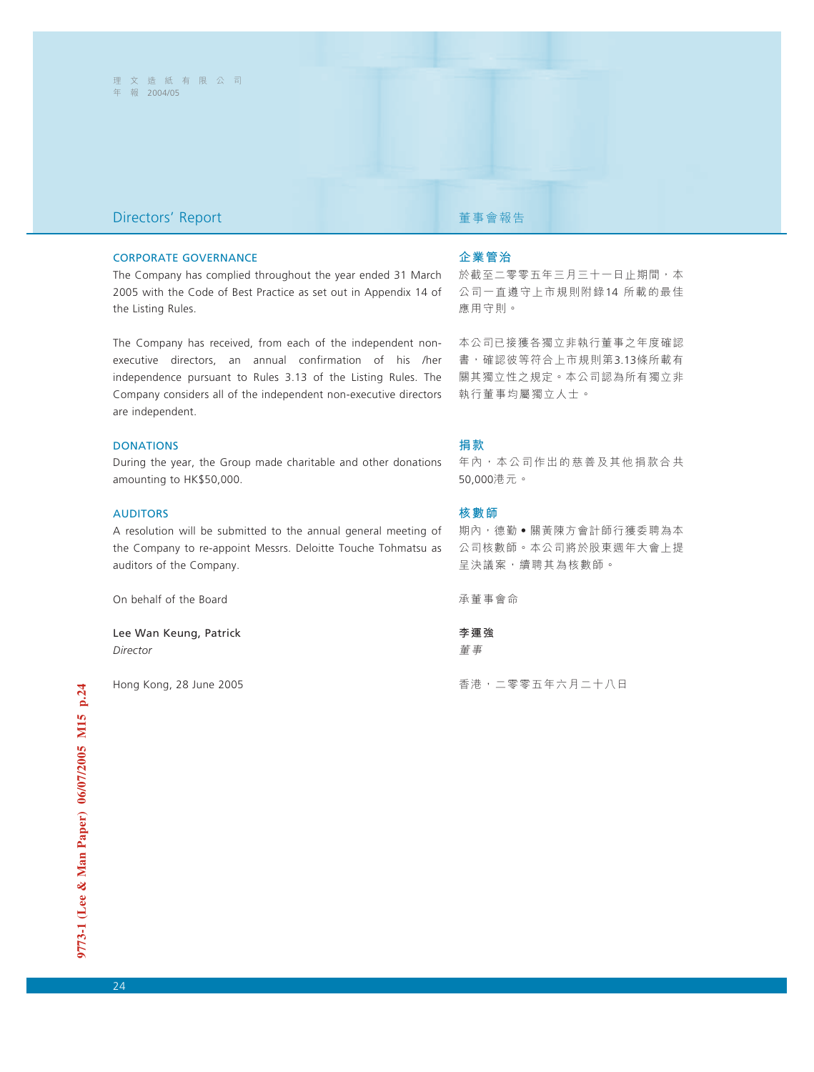## **Directors' Report <br>
■ Present Telescopy Telescopy Telescopy Telescopy Telescopy Telescopy Telescopy Telescopy Telescopy Telescopy**

### CORPORATE GOVERNANCE

The Company has complied throughout the year ended 31 March 2005 with the Code of Best Practice as set out in Appendix 14 of the Listing Rules.

The Company has received, from each of the independent nonexecutive directors, an annual confirmation of his /her independence pursuant to Rules 3.13 of the Listing Rules. The Company considers all of the independent non-executive directors are independent.

### **DONATIONS**

During the year, the Group made charitable and other donations amounting to HK\$50,000.

### AUDITORS

A resolution will be submitted to the annual general meeting of the Company to re-appoint Messrs. Deloitte Touche Tohmatsu as auditors of the Company.

On behalf of the Board

Lee Wan Keung, Patrick *Director*

Hong Kong, 28 June 2005

### **企業管治**

於截至二零零五年三月三十一日止期間,本 公司一直遵守上市規則附錄14 所載的最佳 應用守則。

本公司已接獲各獨立非執行董事之年度確認 書,確認彼等符合上市規則第3.13條所載有 關其獨立性之規定。本公司認為所有獨立非 執行董事均屬獨立人士。

### **捐款**

年內,本公司作出的慈善及其他捐款合共 50,000港元。

### **核數師**

期內,德勤●關黃陳方會計師行獲委聘為本 公司核數師。本公司將於股東週年大會上提 呈決議案,續聘其為核數師。

承董事會命

**李運強** 董事

香港,二零零五年六月二十八日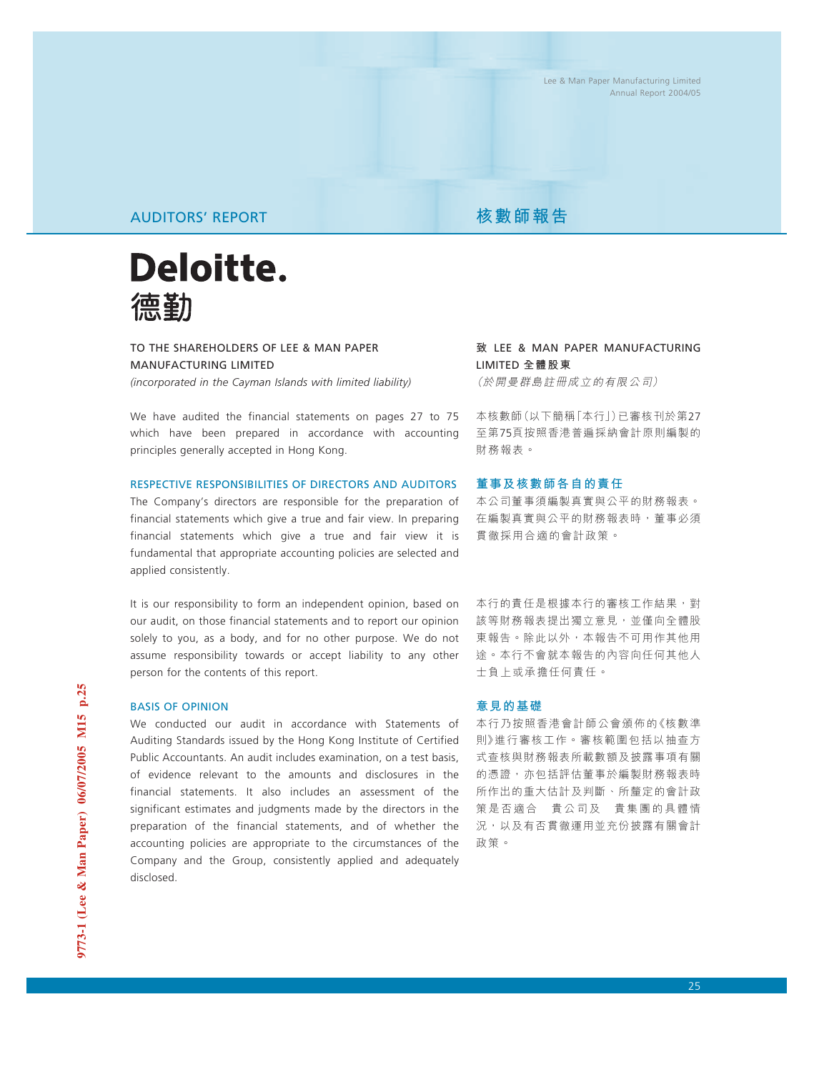# AUDITORS' REPORT **AUDITION**



TO THE SHAREHOLDERS OF LEE & MAN PAPER MANUFACTURING LIMITED *(incorporated in the Cayman Islands with limited liability)*

We have audited the financial statements on pages 27 to 75 which have been prepared in accordance with accounting principles generally accepted in Hong Kong.

## RESPECTIVE RESPONSIBILITIES OF DIRECTORS AND AUDITORS

The Company's directors are responsible for the preparation of financial statements which give a true and fair view. In preparing financial statements which give a true and fair view it is fundamental that appropriate accounting policies are selected and applied consistently.

It is our responsibility to form an independent opinion, based on our audit, on those financial statements and to report our opinion solely to you, as a body, and for no other purpose. We do not assume responsibility towards or accept liability to any other person for the contents of this report.

## BASIS OF OPINION

We conducted our audit in accordance with Statements of Auditing Standards issued by the Hong Kong Institute of Certified Public Accountants. An audit includes examination, on a test basis, of evidence relevant to the amounts and disclosures in the financial statements. It also includes an assessment of the significant estimates and judgments made by the directors in the preparation of the financial statements, and of whether the accounting policies are appropriate to the circumstances of the Company and the Group, consistently applied and adequately disclosed.

**致** LEE & MAN PAPER MANUFACTURING LIMITED **全體股東** (於開曼群島註冊成立的有限公司)

本核數師(以下簡稱「本行」)已審核刊於第27 至第75頁按照香港普遍採納會計原則編製的 財務報表。

### **董事及核數師各自的責任**

本公司董事須編製真實與公平的財務報表。 在編製真實與公平的財務報表時,董事必須 貫徹採用合適的會計政策。

本行的責任是根據本行的審核工作結果,對 該等財務報表提出獨立意見,並僅向全體股 東報告。除此以外,本報告不可用作其他用 途。本行不會就本報告的內容向任何其他人 士負上或承擔任何責任。

### **意見的基礎**

本行乃按照香港會計師公會頒佈的《核數準 則》進行審核工作。審核範圍包括以抽查方 式查核與財務報表所載數額及披露事項有關 的憑證,亦包括評估董事於編製財務報表時 所作出的重大估計及判斷、所釐定的會計政 策是否適合 貴公司及 貴集團的具體情 況,以及有否貫徹運用並充份披露有關會計 政策。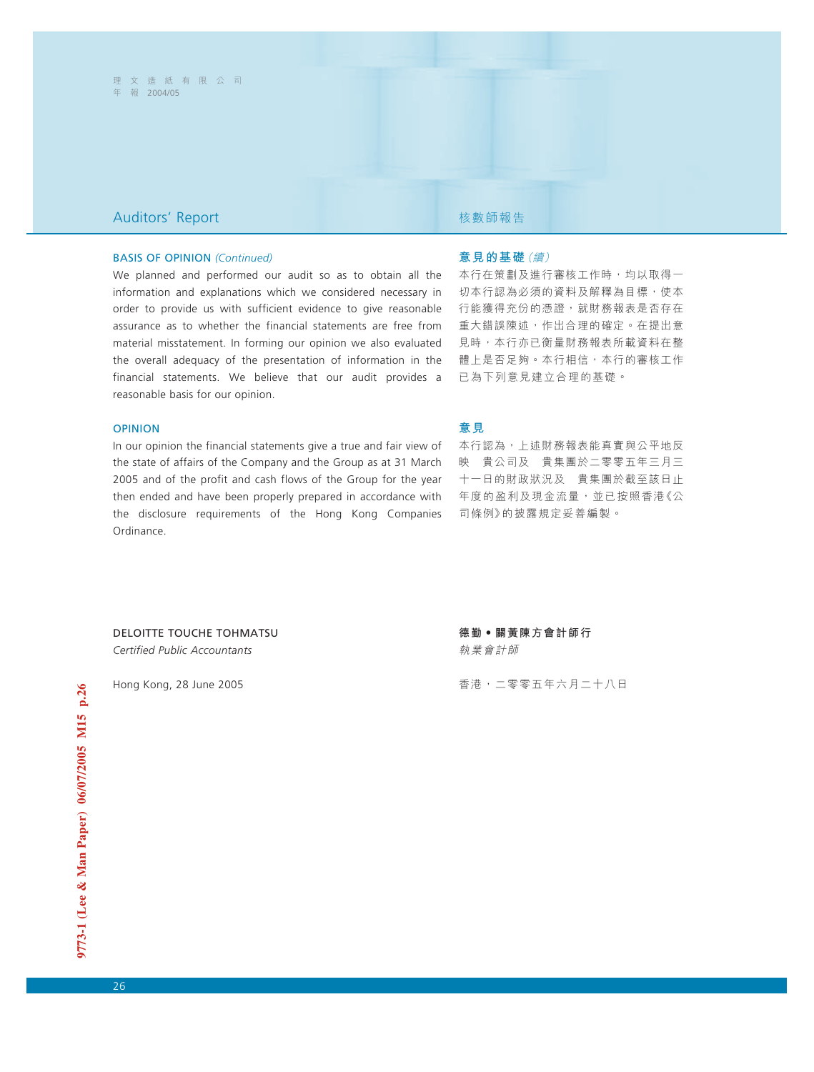## Auditors' Report 核數師報告

### BASIS OF OPINION *(Continued)*

We planned and performed our audit so as to obtain all the information and explanations which we considered necessary in order to provide us with sufficient evidence to give reasonable assurance as to whether the financial statements are free from material misstatement. In forming our opinion we also evaluated the overall adequacy of the presentation of information in the financial statements. We believe that our audit provides a reasonable basis for our opinion.

### OPINION

In our opinion the financial statements give a true and fair view of the state of affairs of the Company and the Group as at 31 March 2005 and of the profit and cash flows of the Group for the year then ended and have been properly prepared in accordance with the disclosure requirements of the Hong Kong Companies Ordinance.

### **意見的基礎**(續)

本行在策劃及進行審核工作時,均以取得一 切本行認為必須的資料及解釋為目標,使本 行能獲得充份的憑證,就財務報表是否存在 重大錯誤陳述,作出合理的確定。在提出意 見時,本行亦已衡量財務報表所載資料在整 體上是否足夠。本行相信,本行的審核工作 已為下列意見建立合理的基礎。

### **意見**

本行認為,上述財務報表能真實與公平地反 映 貴公司及 貴集團於二零零五年三月三 十一日的財政狀況及 貴集團於截至該日止 年度的盈利及現金流量,並已按照香港《公 司條例》的披露規定妥善編製。

DELOITTE TOUCHE TOHMATSU *Certified Public Accountants*

Hong Kong, 28 June 2005

**德勤‧關黃陳方會計師行** 執業會計師

香港,二零零五年六月二十八日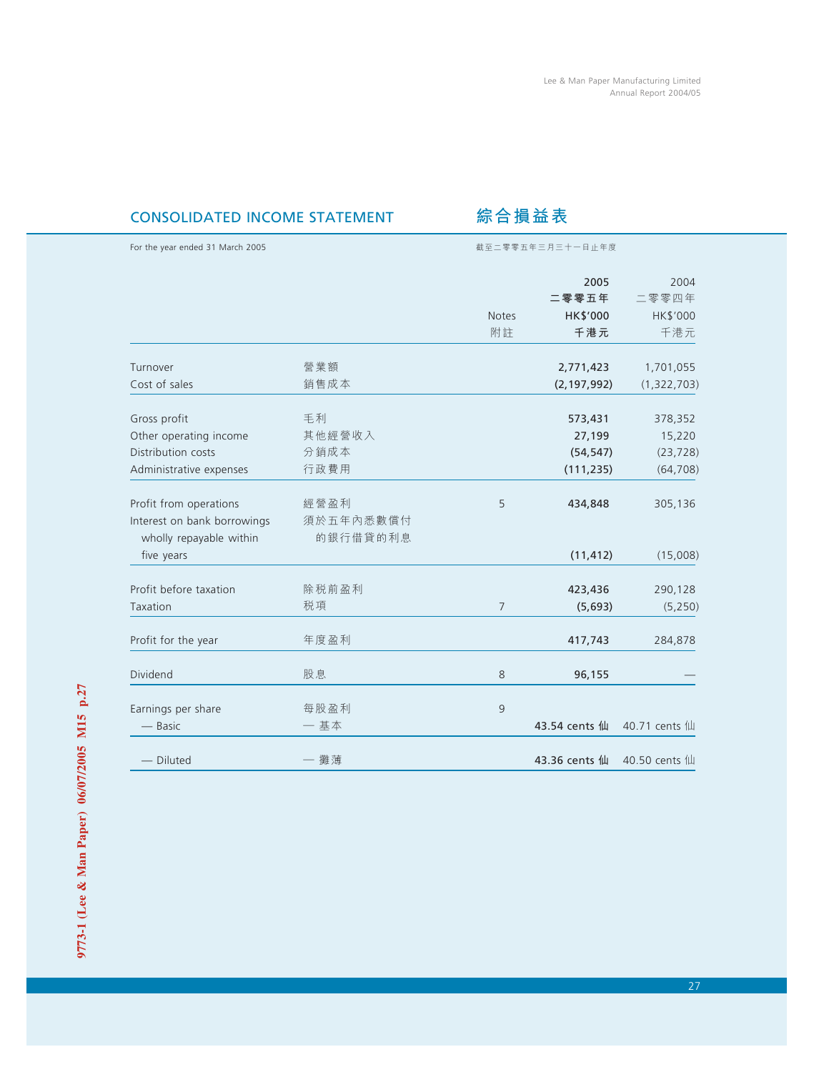# CONSOLIDATED INCOME STATEMENT **綜合損益表**

| For the year ended 31 March 2005 |           | 截至二零零五年三月三十一日止年度 |               |               |  |  |
|----------------------------------|-----------|------------------|---------------|---------------|--|--|
|                                  |           |                  | 2005          | 2004          |  |  |
|                                  |           |                  | 二零零五年         | 二零零四年         |  |  |
|                                  |           | <b>Notes</b>     | HK\$'000      | HK\$'000      |  |  |
|                                  |           | 附註               | 千港元           | 千港元           |  |  |
| Turnover                         | 營業額       |                  | 2,771,423     | 1,701,055     |  |  |
| Cost of sales                    | 銷售成本      |                  | (2, 197, 992) | (1,322,703)   |  |  |
| Gross profit                     | 毛利        |                  | 573,431       | 378,352       |  |  |
| Other operating income           | 其他經營收入    |                  | 27,199        | 15,220        |  |  |
| Distribution costs               | 分銷成本      |                  | (54, 547)     | (23, 728)     |  |  |
| Administrative expenses          | 行政費用      |                  | (111, 235)    | (64, 708)     |  |  |
| Profit from operations           | 經營盈利      | 5                | 434,848       | 305,136       |  |  |
| Interest on bank borrowings      | 須於五年內悉數償付 |                  |               |               |  |  |
| wholly repayable within          | 的銀行借貸的利息  |                  |               |               |  |  |
| five years                       |           |                  | (11, 412)     | (15,008)      |  |  |
| Profit before taxation           | 除税前盈利     |                  | 423,436       | 290,128       |  |  |
| Taxation                         | 税項        | $\overline{7}$   | (5,693)       | (5, 250)      |  |  |
| Profit for the year              | 年度盈利      |                  | 417,743       | 284,878       |  |  |
| Dividend                         | 股息        | $8\,$            | 96,155        |               |  |  |
| Earnings per share               | 每股盈利      | 9                |               |               |  |  |
| — Basic                          | 一基本       |                  | 43.54 cents 仙 | 40.71 cents 仙 |  |  |
| - Diluted                        | 一 攤薄      |                  | 43.36 cents 仙 | 40.50 cents 仙 |  |  |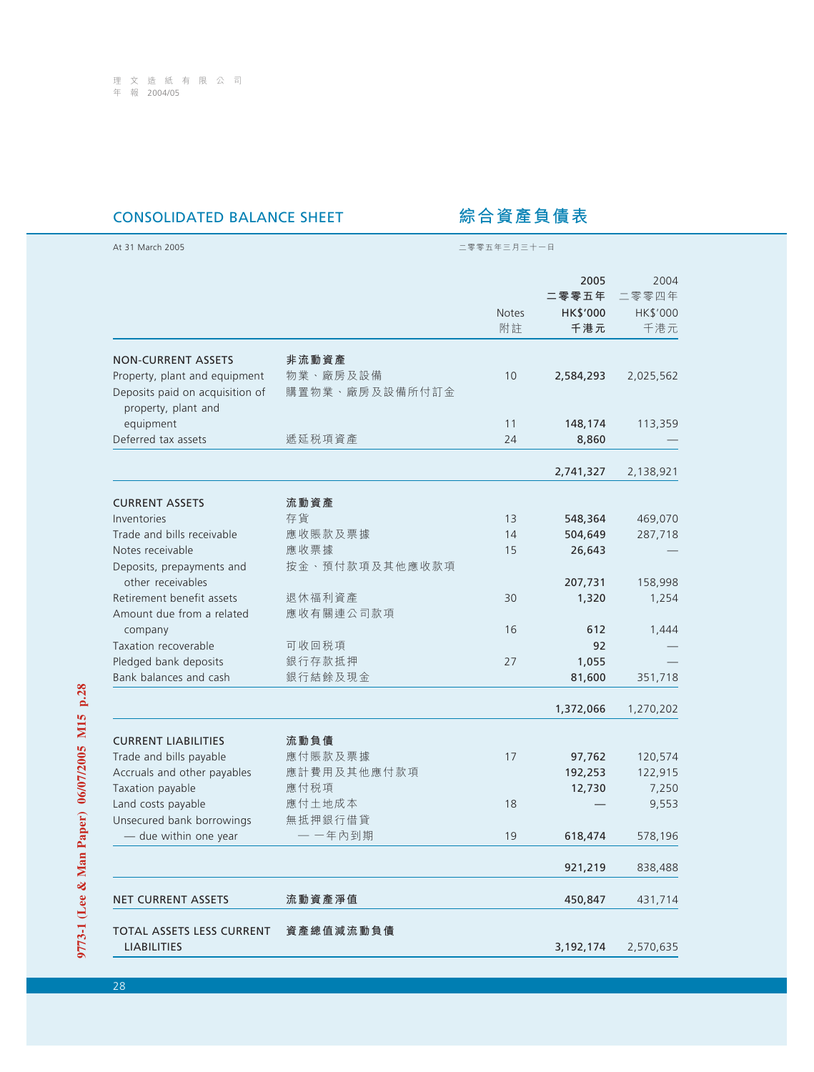# CONSOLIDATED BALANCE SHEET **綜合資產負債表**

| At 31 March 2005                                                                        | 二零零五年三月三十一日                |             |                                         |                                  |  |
|-----------------------------------------------------------------------------------------|----------------------------|-------------|-----------------------------------------|----------------------------------|--|
|                                                                                         |                            | Notes<br>附註 | 2005<br>二零零五年<br><b>HK\$'000</b><br>千港元 | 2004<br>二零零四年<br>HK\$'000<br>千港元 |  |
| <b>NON-CURRENT ASSETS</b>                                                               | 非流動資產                      |             |                                         |                                  |  |
| Property, plant and equipment<br>Deposits paid on acquisition of<br>property, plant and | 物業、廠房及設備<br>購置物業、廠房及設備所付訂金 | 10          | 2,584,293                               | 2,025,562                        |  |
| equipment                                                                               |                            | 11          | 148,174                                 | 113,359                          |  |
| Deferred tax assets                                                                     | 遞延税項資產                     | 24          | 8,860                                   |                                  |  |
|                                                                                         |                            |             | 2,741,327                               | 2,138,921                        |  |
| <b>CURRENT ASSETS</b>                                                                   | 流動資產                       |             |                                         |                                  |  |
| Inventories                                                                             | 存貨                         | 13          | 548,364                                 | 469,070                          |  |
| Trade and bills receivable                                                              | 應收賬款及票據                    | 14          | 504,649                                 | 287,718                          |  |
| Notes receivable                                                                        | 應收票據                       | 15          | 26,643                                  |                                  |  |
| Deposits, prepayments and                                                               | 按金、預付款項及其他應收款項             |             |                                         |                                  |  |
| other receivables                                                                       |                            |             | 207,731                                 | 158,998                          |  |
| Retirement benefit assets                                                               | 退休福利資產                     | 30          | 1,320                                   | 1,254                            |  |
| Amount due from a related                                                               | 應收有關連公司款項                  |             |                                         |                                  |  |
| company                                                                                 |                            | 16          | 612                                     | 1,444                            |  |
| Taxation recoverable                                                                    | 可收回税項                      |             | 92                                      |                                  |  |
| Pledged bank deposits                                                                   | 銀行存款抵押                     | 27          | 1,055                                   |                                  |  |
| Bank balances and cash                                                                  | 銀行結餘及現金                    |             | 81,600                                  | 351,718                          |  |
|                                                                                         |                            |             | 1,372,066                               | 1,270,202                        |  |
| <b>CURRENT LIABILITIES</b>                                                              | 流動負債                       |             |                                         |                                  |  |
| Trade and bills payable                                                                 | 應付賬款及票據                    | 17          | 97,762                                  | 120,574                          |  |
| Accruals and other payables                                                             | 應計費用及其他應付款項                |             | 192,253                                 | 122,915                          |  |
| Taxation payable                                                                        | 應付税項                       |             | 12,730                                  | 7,250                            |  |
| Land costs payable                                                                      | 應付土地成本                     | 18          |                                         | 9,553                            |  |
| Unsecured bank borrowings                                                               | 無抵押銀行借貸                    |             |                                         |                                  |  |
| - due within one year                                                                   | 一 一年內到期                    | 19          | 618,474                                 | 578,196                          |  |
|                                                                                         |                            |             | 921,219                                 | 838,488                          |  |
| <b>NET CURRENT ASSETS</b>                                                               | 流動資產淨值                     |             | 450,847                                 | 431,714                          |  |
| TOTAL ASSETS LESS CURRENT                                                               | 資產總值減流動負債                  |             |                                         |                                  |  |
| <b>LIABILITIES</b>                                                                      |                            |             | 3,192,174                               | 2,570,635                        |  |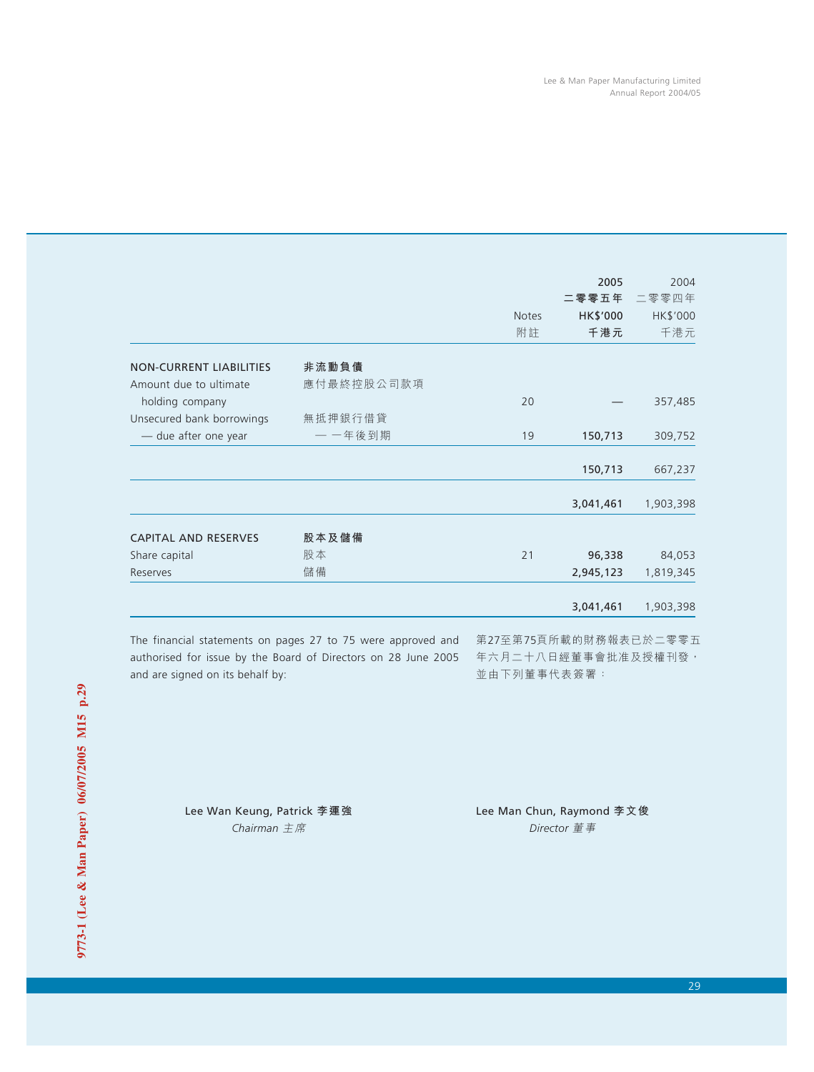|                                |            |                    | 2005<br>二零零五年   | 2004<br>二零零四年   |
|--------------------------------|------------|--------------------|-----------------|-----------------|
|                                |            | <b>Notes</b><br>附註 | HK\$'000<br>千港元 | HK\$'000<br>千港元 |
| <b>NON-CURRENT LIABILITIES</b> | 非流動負債      |                    |                 |                 |
| Amount due to ultimate         | 應付最終控股公司款項 |                    |                 |                 |
| holding company                |            | 20                 |                 | 357,485         |
| Unsecured bank borrowings      | 無抵押銀行借貸    |                    |                 |                 |
| - due after one year           | 一 一年後到期    | 19                 | 150,713         | 309,752         |
|                                |            |                    | 150,713         | 667,237         |
|                                |            |                    |                 |                 |
|                                |            |                    | 3,041,461       | 1,903,398       |
| <b>CAPITAL AND RESERVES</b>    | 股本及儲備      |                    |                 |                 |
| Share capital                  | 股本         | 21                 | 96,338          | 84,053          |
| Reserves                       | 儲備         |                    | 2,945,123       | 1,819,345       |
|                                |            |                    | 3,041,461       | 1,903,398       |
|                                |            |                    |                 |                 |

The financial statements on pages 27 to 75 were approved and authorised for issue by the Board of Directors on 28 June 2005 and are signed on its behalf by:

第27至第75頁所載的財務報表已於二零零五 年六月二十八日經董事會批准及授權刊發, 並由下列董事代表簽署:

Lee Wan Keung, Patrick **李運強** Lee Man Chun, Raymond **李文俊** *Chairman* 主席 *Director* 董事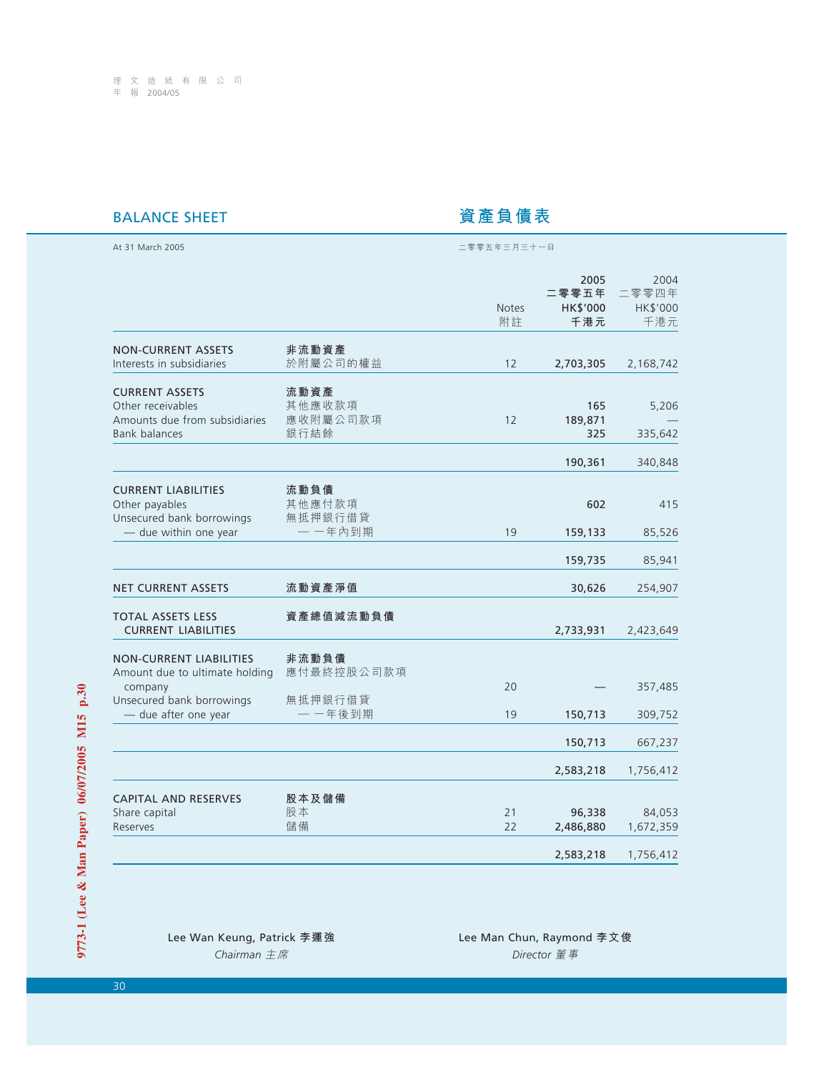# **BALANCE SHEET the original of the original of the original 資產負債表**

| At 31 March 2005                                                                                    |                                    | 二零零五年三月三十一日        |                                  |                                  |  |  |
|-----------------------------------------------------------------------------------------------------|------------------------------------|--------------------|----------------------------------|----------------------------------|--|--|
|                                                                                                     |                                    | <b>Notes</b><br>附註 | 2005<br>二零零五年<br>HK\$'000<br>千港元 | 2004<br>二零零四年<br>HK\$'000<br>千港元 |  |  |
| <b>NON-CURRENT ASSETS</b><br>Interests in subsidiaries                                              | 非流動資產<br>於附屬公司的權益                  | 12                 | 2,703,305                        | 2,168,742                        |  |  |
| <b>CURRENT ASSETS</b><br>Other receivables<br>Amounts due from subsidiaries<br><b>Bank balances</b> | 流動資產<br>其他應收款項<br>應收附屬公司款項<br>銀行結餘 | 12                 | 165<br>189,871<br>325            | 5,206<br>335,642                 |  |  |
|                                                                                                     |                                    |                    | 190,361                          | 340,848                          |  |  |
| <b>CURRENT LIABILITIES</b><br>Other payables<br>Unsecured bank borrowings                           | 流動負債<br>其他應付款項<br>無抵押銀行借貸          |                    | 602                              | 415                              |  |  |
| - due within one year                                                                               | 一一年內到期                             | 19                 | 159,133                          | 85,526                           |  |  |
|                                                                                                     |                                    |                    | 159,735                          | 85,941                           |  |  |
| <b>NET CURRENT ASSETS</b>                                                                           | 流動資產淨值                             |                    | 30,626                           | 254,907                          |  |  |
| <b>TOTAL ASSETS LESS</b><br><b>CURRENT LIABILITIES</b>                                              | 資產總值減流動負債                          |                    | 2,733,931                        | 2,423,649                        |  |  |
| <b>NON-CURRENT LIABILITIES</b><br>Amount due to ultimate holding                                    | 非流動負債<br>應付最終控股公司款項                |                    |                                  |                                  |  |  |
| company<br>Unsecured bank borrowings                                                                | 無抵押銀行借貸                            | 20                 |                                  | 357,485                          |  |  |
| - due after one year                                                                                | 一 一年後到期                            | 19                 | 150,713                          | 309,752                          |  |  |
|                                                                                                     |                                    |                    | 150,713                          | 667,237                          |  |  |
|                                                                                                     |                                    |                    | 2,583,218                        | 1,756,412                        |  |  |
| <b>CAPITAL AND RESERVES</b><br>Share capital<br>Reserves                                            | 股本及儲備<br>股本<br>儲備                  | 21<br>22           | 96,338<br>2,486,880              | 84,053<br>1,672,359              |  |  |
|                                                                                                     |                                    |                    | 2,583,218                        | 1,756,412                        |  |  |

| Lee Wan Keung, Patrick 李運強 |  |
|----------------------------|--|
| Chairman 主席                |  |

Lee Man Chun, Raymond 李文俊 *Chairman* 主席 *Director* 董事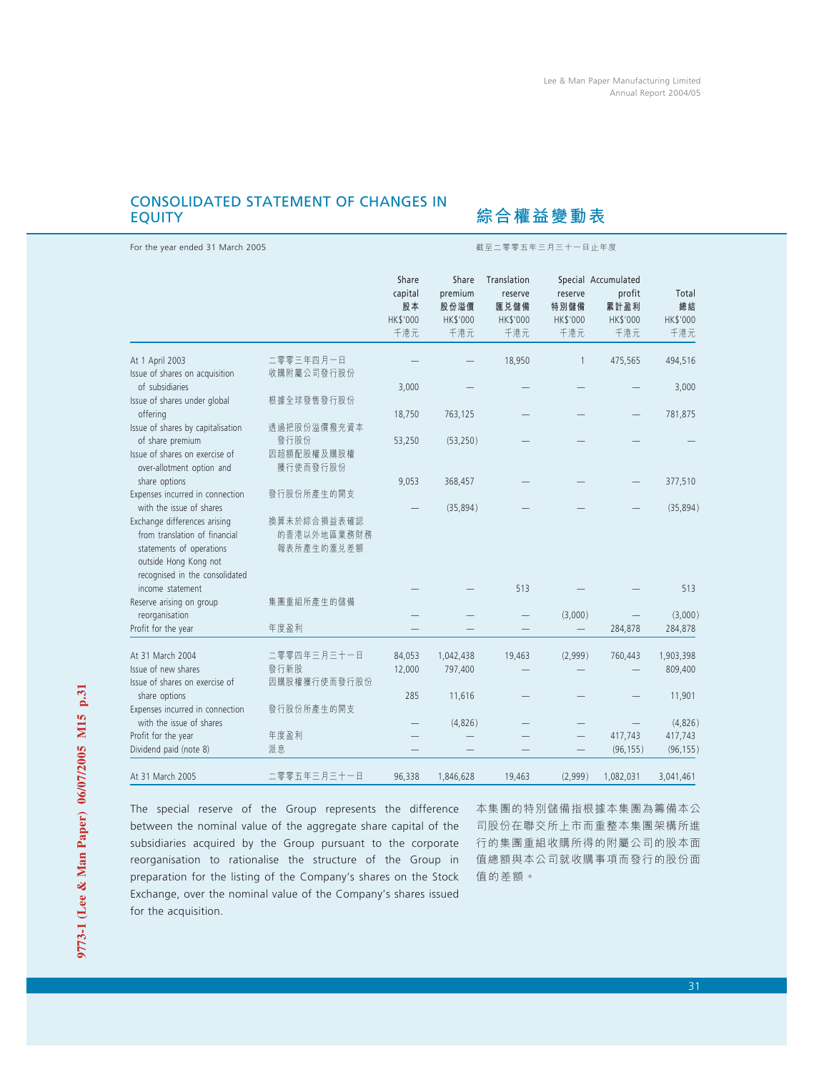# CONSOLIDATED STATEMENT OF CHANGES IN EQUITY

For the year ended 31 March 2005 截至二零零五年三月三十一日止年度

综合權益變動表

|                                                                                                                                                      |                                          | Share<br>capital<br>股本<br>HK\$'000<br>千港元 | Share<br>premium<br>股份溢價<br><b>HK\$'000</b><br>千港元 | Translation<br>reserve<br>匯兑儲備<br>HK\$'000<br>千港元 | reserve<br>特別儲備<br>HK\$'000<br>千港元 | Special Accumulated<br>profit<br>累計盈利<br>HK\$'000<br>千港元 | Total<br>總結<br>HK\$'000<br>千港元 |
|------------------------------------------------------------------------------------------------------------------------------------------------------|------------------------------------------|-------------------------------------------|----------------------------------------------------|---------------------------------------------------|------------------------------------|----------------------------------------------------------|--------------------------------|
| At 1 April 2003                                                                                                                                      | 二零零三年四月一日                                |                                           |                                                    | 18,950                                            | $\mathbf{1}$                       | 475,565                                                  | 494,516                        |
| Issue of shares on acquisition                                                                                                                       | 收購附屬公司發行股份                               |                                           |                                                    |                                                   |                                    |                                                          |                                |
| of subsidiaries                                                                                                                                      |                                          | 3,000                                     |                                                    |                                                   |                                    |                                                          | 3,000                          |
| Issue of shares under global<br>offering                                                                                                             | 根據全球發售發行股份                               | 18,750                                    | 763,125                                            |                                                   |                                    |                                                          | 781,875                        |
| Issue of shares by capitalisation                                                                                                                    | 透過把股份溢價撥充資本                              |                                           |                                                    |                                                   |                                    |                                                          |                                |
| of share premium                                                                                                                                     | 發行股份                                     | 53,250                                    | (53, 250)                                          |                                                   |                                    |                                                          |                                |
| Issue of shares on exercise of<br>over-allotment option and                                                                                          | 因超額配股權及購股權<br>獲行使而發行股份                   |                                           |                                                    |                                                   |                                    |                                                          |                                |
| share options                                                                                                                                        |                                          | 9,053                                     | 368,457                                            |                                                   |                                    |                                                          | 377,510                        |
| Expenses incurred in connection                                                                                                                      | 發行股份所產生的開支                               |                                           |                                                    |                                                   |                                    |                                                          |                                |
| with the issue of shares                                                                                                                             |                                          |                                           | (35, 894)                                          |                                                   |                                    |                                                          | (35, 894)                      |
| Exchange differences arising<br>from translation of financial<br>statements of operations<br>outside Hong Kong not<br>recognised in the consolidated | 換算未於綜合損益表確認<br>的香港以外地區業務財務<br>報表所產生的滙兑差額 |                                           |                                                    |                                                   |                                    |                                                          |                                |
| income statement                                                                                                                                     |                                          |                                           |                                                    | 513                                               |                                    |                                                          | 513                            |
| Reserve arising on group                                                                                                                             | 集團重組所產生的儲備                               |                                           |                                                    |                                                   |                                    |                                                          |                                |
| reorganisation                                                                                                                                       |                                          |                                           |                                                    |                                                   | (3,000)                            |                                                          | (3,000)                        |
| Profit for the year                                                                                                                                  | 年度盈利                                     |                                           |                                                    |                                                   |                                    | 284,878                                                  | 284,878                        |
| At 31 March 2004                                                                                                                                     | 二零零四年三月三十一日                              | 84,053                                    | 1,042,438                                          | 19,463                                            | (2,999)                            | 760,443                                                  | 1,903,398                      |
| Issue of new shares                                                                                                                                  | 發行新股                                     | 12,000                                    | 797,400                                            |                                                   |                                    |                                                          | 809,400                        |
| Issue of shares on exercise of                                                                                                                       | 因購股權獲行使而發行股份                             |                                           |                                                    |                                                   |                                    |                                                          |                                |
| share options                                                                                                                                        |                                          | 285                                       | 11,616                                             |                                                   |                                    |                                                          | 11,901                         |
| Expenses incurred in connection                                                                                                                      | 發行股份所產生的開支                               |                                           |                                                    |                                                   |                                    |                                                          |                                |
| with the issue of shares                                                                                                                             |                                          |                                           | (4,826)                                            |                                                   |                                    |                                                          | (4,826)                        |
| Profit for the year                                                                                                                                  | 年度盈利                                     |                                           |                                                    |                                                   |                                    | 417,743                                                  | 417,743                        |
| Dividend paid (note 8)                                                                                                                               | 派息                                       |                                           |                                                    |                                                   |                                    | (96, 155)                                                | (96, 155)                      |
| At 31 March 2005                                                                                                                                     | 二零零五年三月三十一日                              | 96,338                                    | 1,846,628                                          | 19,463                                            | (2,999)                            | 1,082,031                                                | 3,041,461                      |

The special reserve of the Group represents the difference between the nominal value of the aggregate share capital of the subsidiaries acquired by the Group pursuant to the corporate reorganisation to rationalise the structure of the Group in preparation for the listing of the Company's shares on the Stock Exchange, over the nominal value of the Company's shares issued for the acquisition.

本集團的特別儲備指根據本集團為籌備本公 司股份在聯交所上市而重整本集團架構所進 行的集團重組收購所得的附屬公司的股本面 值總額與本公司就收購事項而發行的股份面 值的差額。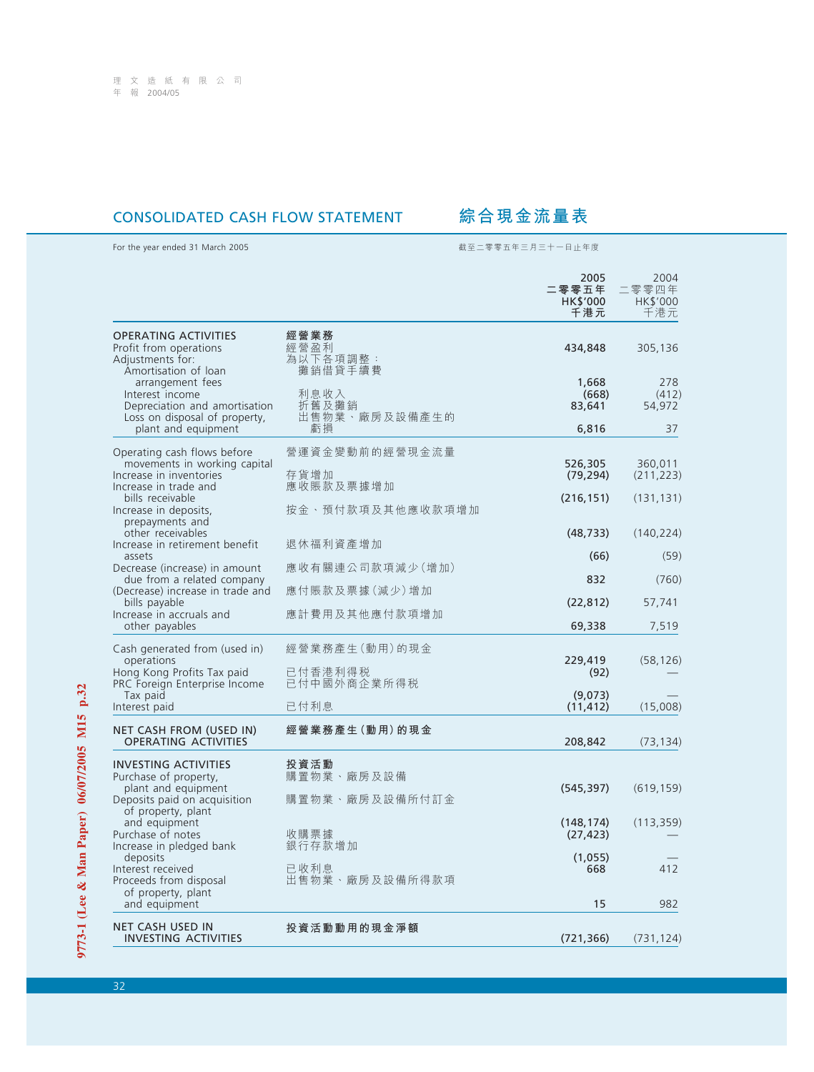# CONSOLIDATED CASH FLOW STATEMENT **綜合現金流量表**

For the year ended 31 March 2005 截至二零零五年三月三十一日止年度

|                                                                                                                                                                                                     |                                      | 2005<br>二零零五年<br>HK\$'000<br>千港元 | 2004<br>二零零四年<br>HK\$'000<br>千港元 |
|-----------------------------------------------------------------------------------------------------------------------------------------------------------------------------------------------------|--------------------------------------|----------------------------------|----------------------------------|
| <b>OPERATING ACTIVITIES</b><br>Profit from operations<br>Adjustments for:<br>Amortisation of loan                                                                                                   | 經營業務<br>經營盈利<br>為以下各項調整:<br>攤銷借貸手續費  | 434,848                          | 305,136                          |
| arrangement fees<br>Interest income<br>Depreciation and amortisation<br>Loss on disposal of property,                                                                                               | 利息收入<br>折舊及攤銷<br>出售物業、廠房及設備產生的       | 1,668<br>(668)<br>83,641         | 278<br>(412)<br>54,972           |
| plant and equipment                                                                                                                                                                                 | 虧損                                   | 6,816                            | 37                               |
| Operating cash flows before<br>movements in working capital<br>Increase in inventories<br>Increase in trade and                                                                                     | 營運資金變動前的經營現金流量<br>存貨增加<br>應收賬款及票據增加  | 526,305<br>(79, 294)             | 360,011<br>(211, 223)            |
| bills receivable<br>Increase in deposits,<br>prepayments and                                                                                                                                        | 按金、預付款項及其他應收款項增加                     | (216, 151)                       | (131, 131)                       |
| other receivables                                                                                                                                                                                   |                                      | (48, 733)                        | (140, 224)                       |
| Increase in retirement benefit<br>assets                                                                                                                                                            | 退休福利資產增加                             | (66)                             | (59)                             |
| Decrease (increase) in amount<br>due from a related company                                                                                                                                         | 應收有關連公司款項減少(增加)                      | 832                              | (760)                            |
| (Decrease) increase in trade and                                                                                                                                                                    | 應付賬款及票據(減少)增加                        |                                  |                                  |
| bills payable<br>Increase in accruals and                                                                                                                                                           | 應計費用及其他應付款項增加                        | (22, 812)                        | 57,741                           |
| other payables                                                                                                                                                                                      |                                      | 69,338                           | 7,519                            |
| Cash generated from (used in)<br>operations<br>Hong Kong Profits Tax paid                                                                                                                           | 經營業務產生(動用)的現金<br>已付香港利得税             | 229,419<br>(92)                  | (58, 126)                        |
| PRC Foreign Enterprise Income                                                                                                                                                                       | 已付中國外商企業所得税                          | (9,073)                          |                                  |
| Tax paid<br>Interest paid                                                                                                                                                                           | 已付利息                                 | (11, 412)                        | (15,008)                         |
| NET CASH FROM (USED IN)<br><b>OPERATING ACTIVITIES</b>                                                                                                                                              | 經營業務產生(動用)的現金                        | 208,842                          | (73, 134)                        |
| <b>INVESTING ACTIVITIES</b><br>Purchase of property,<br>plant and equipment<br>Deposits paid on acquisition<br>of property, plant<br>and equipment<br>Purchase of notes<br>Increase in pledged bank | 投資活動<br>購置物業、廠房及設備<br>購置物業、廠房及設備所付訂金 | (545, 397)                       | (619, 159)                       |
|                                                                                                                                                                                                     | 收購票據<br>銀行存款增加                       | (148, 174)<br>(27, 423)          | (113, 359)                       |
| deposits<br>Interest received<br>Proceeds from disposal                                                                                                                                             | 已收利息<br>出售物業、廠房及設備所得款項               | (1,055)<br>668                   | 412                              |
| of property, plant<br>and equipment                                                                                                                                                                 |                                      | 15                               | 982                              |
| <b>NET CASH USED IN</b><br><b>INVESTING ACTIVITIES</b>                                                                                                                                              | 投資活動動用的現金淨額                          | (721, 366)                       | (731, 124)                       |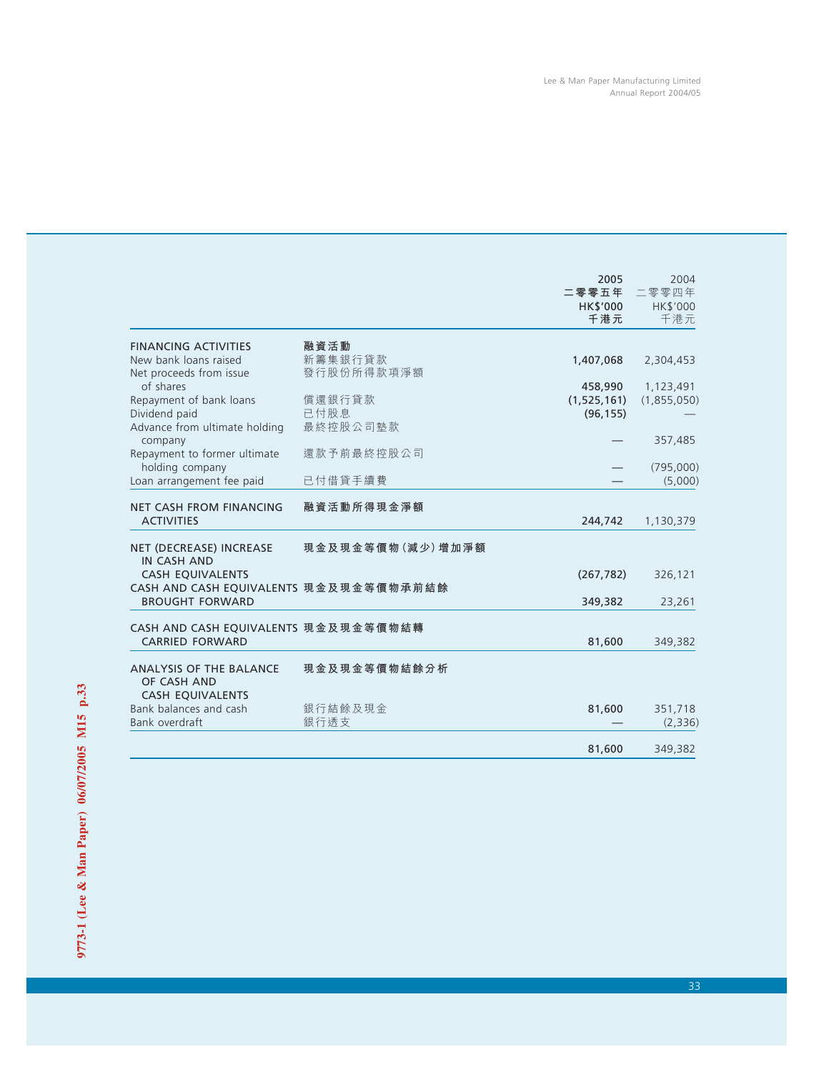|                                                                |                                | 2005            | 2004            |
|----------------------------------------------------------------|--------------------------------|-----------------|-----------------|
|                                                                |                                | 二零零五年           | 二零零四年           |
|                                                                |                                | HK\$'000<br>千港元 | HK\$'000<br>千港元 |
|                                                                |                                |                 |                 |
| <b>FINANCING ACTIVITIES</b><br>New bank loans raised           | 融資活動<br>新籌集銀行貸款                | 1,407,068       | 2,304,453       |
| Net proceeds from issue                                        | 發行股份所得款項淨額                     |                 |                 |
| of shares                                                      |                                | 458,990         | 1,123,491       |
| Repayment of bank loans                                        | 償還銀行貸款                         | (1, 525, 161)   | (1,855,050)     |
| Dividend paid                                                  | 已付股息                           | (96, 155)       |                 |
| Advance from ultimate holding                                  | 最終控股公司墊款                       |                 |                 |
| company                                                        |                                |                 | 357,485         |
| Repayment to former ultimate                                   | 還款予前最終控股公司                     |                 |                 |
| holding company                                                |                                |                 | (795,000)       |
| Loan arrangement fee paid                                      | 已付借貸手續費                        |                 | (5,000)         |
| <b>NET CASH FROM FINANCING</b>                                 | 融資活動所得現金淨額                     |                 |                 |
| <b>ACTIVITIES</b>                                              |                                | 244,742         | 1,130,379       |
|                                                                | 現 金 及 現 金 等 價 物 (減 少 ) 增 加 淨 額 |                 |                 |
| NET (DECREASE) INCREASE<br><b>IN CASH AND</b>                  |                                |                 |                 |
| <b>CASH EQUIVALENTS</b>                                        |                                | (267, 782)      | 326,121         |
| CASH AND CASH EQUIVALENTS 現金及現金等價物承前結餘                         |                                |                 |                 |
| <b>BROUGHT FORWARD</b>                                         |                                | 349,382         | 23,261          |
|                                                                |                                |                 |                 |
| CASH AND CASH EQUIVALENTS 現金及現金等價物結轉<br><b>CARRIED FORWARD</b> |                                |                 |                 |
|                                                                |                                | 81,600          | 349,382         |
| <b>ANALYSIS OF THE BALANCE</b>                                 | 現金及現金等價物結餘分析                   |                 |                 |
| OF CASH AND                                                    |                                |                 |                 |
| <b>CASH EQUIVALENTS</b>                                        |                                |                 |                 |
| Bank balances and cash                                         | 銀行結餘及現金                        | 81,600          | 351,718         |
| Bank overdraft                                                 | 銀行透支                           |                 | (2,336)         |
|                                                                |                                |                 |                 |
|                                                                |                                | 81,600          | 349,382         |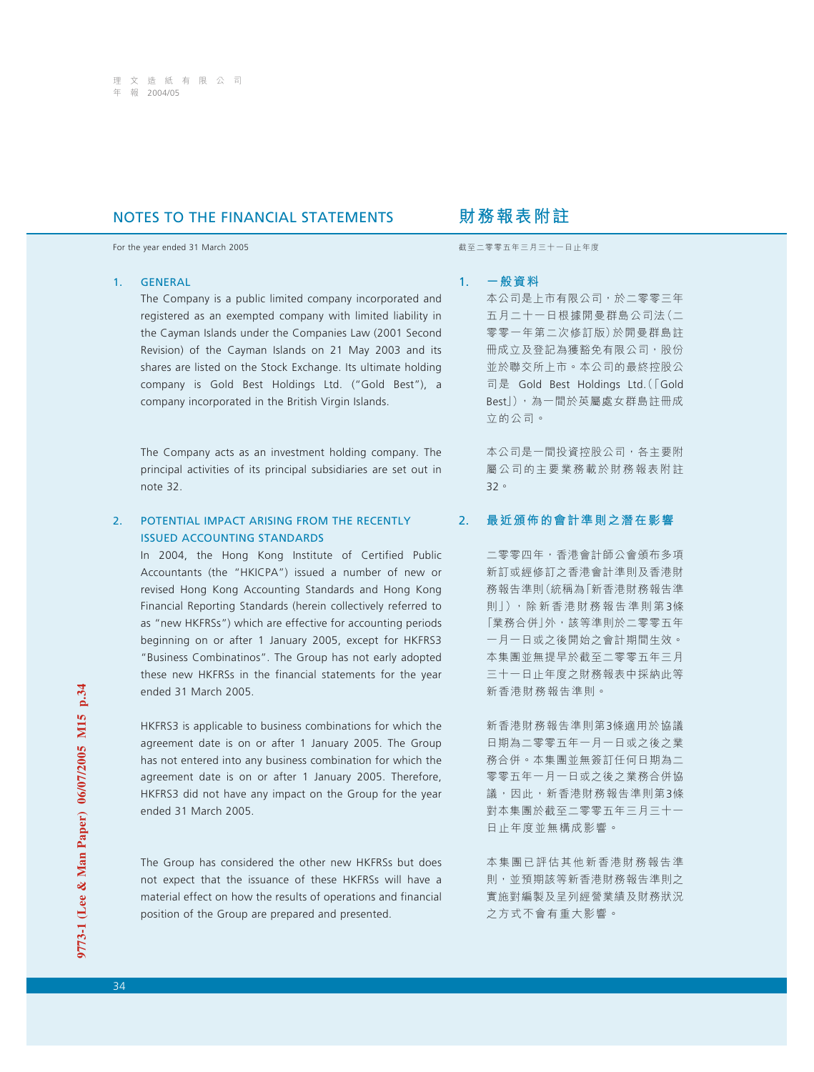# **NOTES TO THE FINANCIAL STATEMENTS 财務報表附註**

For the year ended 31 March 2005 **by the year ended 31 March 2005 by the year ended 31 March 2005** 

### 1. GENERAL

The Company is a public limited company incorporated and registered as an exempted company with limited liability in the Cayman Islands under the Companies Law (2001 Second Revision) of the Cayman Islands on 21 May 2003 and its shares are listed on the Stock Exchange. Its ultimate holding company is Gold Best Holdings Ltd. ("Gold Best"), a company incorporated in the British Virgin Islands.

The Company acts as an investment holding company. The principal activities of its principal subsidiaries are set out in note 32.

### 2. POTENTIAL IMPACT ARISING FROM THE RECENTLY ISSUED ACCOUNTING STANDARDS

In 2004, the Hong Kong Institute of Certified Public Accountants (the "HKICPA") issued a number of new or revised Hong Kong Accounting Standards and Hong Kong Financial Reporting Standards (herein collectively referred to as "new HKFRSs") which are effective for accounting periods beginning on or after 1 January 2005, except for HKFRS3 "Business Combinatinos". The Group has not early adopted these new HKFRSs in the financial statements for the year ended 31 March 2005.

HKFRS3 is applicable to business combinations for which the agreement date is on or after 1 January 2005. The Group has not entered into any business combination for which the agreement date is on or after 1 January 2005. Therefore, HKFRS3 did not have any impact on the Group for the year ended 31 March 2005.

The Group has considered the other new HKFRSs but does not expect that the issuance of these HKFRSs will have a material effect on how the results of operations and financial position of the Group are prepared and presented.

### 1. **一般資料**

本公司是上市有限公司,於二零零三年 五月二十一日根據開曼群島公司法(二 零零一年第二次修訂版)於開曼群島註 冊成立及登記為獲豁免有限公司,股份 並於聯交所上市。本公司的最終控股公 司是 Gold Best Holdings Ltd.(「Gold Best」),為一間於英屬處女群島註冊成 立的公司。

本公司是一間投資控股公司,各主要附 屬公司的主要業務載於財務報表附註 32。

### 2. **最近頒佈的會計準則之潛在影響**

二零零四年,香港會計師公會頒布多項 新訂或經修訂之香港會計準則及香港財 務報告準則(統稱為「新香港財務報告準 則」),除新香 港財務報 告準則第3條 「業務合併」外,該等準則於二零零五年 一月一日或之後開始之會計期間生效。 本集團並無提早於截至二零零五年三月 三十一日止年度之財務報表中採納此等 新香港財務報告準則。

新香港財務報告準則第3條適用於協議 日期為二零零五年一月一日或之後之業 務合併。本集團並無簽訂任何日期為二 零零五年一月一日或之後之業務合併協 議,因此,新香港財務報告準則第3條 對本集團於截至二零零五年三月三十一 日止年度並無構成影響。

本集團已評估其他新香港財務報告準 則,並預期該等新香港財務報告準則之 實施對編製及呈列經營業績及財務狀況 之方式不會有重大影響。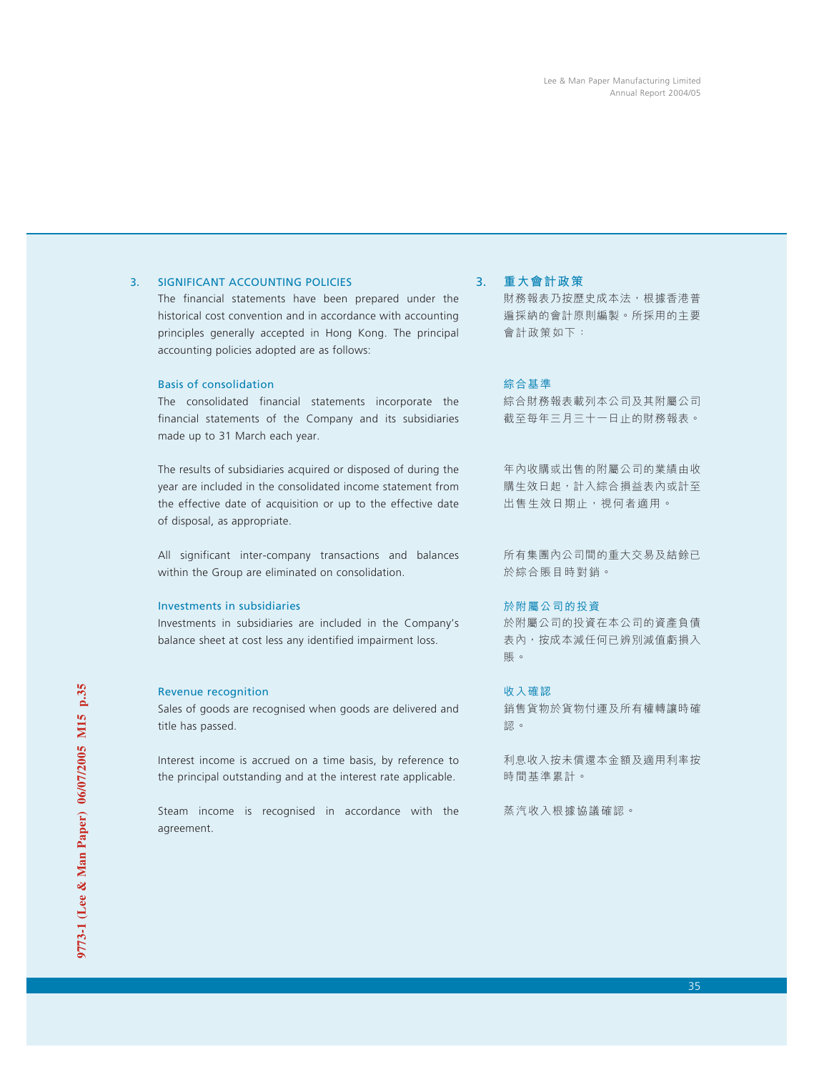### 3. SIGNIFICANT ACCOUNTING POLICIES

The financial statements have been prepared under the historical cost convention and in accordance with accounting principles generally accepted in Hong Kong. The principal accounting policies adopted are as follows:

### Basis of consolidation

The consolidated financial statements incorporate the financial statements of the Company and its subsidiaries made up to 31 March each year.

The results of subsidiaries acquired or disposed of during the year are included in the consolidated income statement from the effective date of acquisition or up to the effective date of disposal, as appropriate.

All significant inter-company transactions and balances within the Group are eliminated on consolidation.

### Investments in subsidiaries

Investments in subsidiaries are included in the Company's balance sheet at cost less any identified impairment loss.

### Revenue recognition

Sales of goods are recognised when goods are delivered and title has passed.

Interest income is accrued on a time basis, by reference to the principal outstanding and at the interest rate applicable.

Steam income is recognised in accordance with the agreement.

### 3. **重大會計政策**

財務報表乃按歷史成本法,根據香港普 遍採納的會計原則編製。所採用的主要 會計政策如下:

### 綜合基準

綜合財務報表載列本公司及其附屬公司 截至每年三月三十一日止的財務報表。

年內收購或出售的附屬公司的業績由收 購生效日起,計入綜合損益表內或計至 出售生效日期止,視何者適用。

所有集團內公司間的重大交易及結餘已 於綜合賬目時對銷。

### 於附屬公司的投資

於附屬公司的投資在本公司的資產負債 表內,按成本減任何已辨別減值虧損入 賬。

### 收入確認

銷售貨物於貨物付運及所有權轉讓時確 認。

利息收入按未償還本金額及適用利率按 時間基準累計。

蒸汽收入根據協議確認。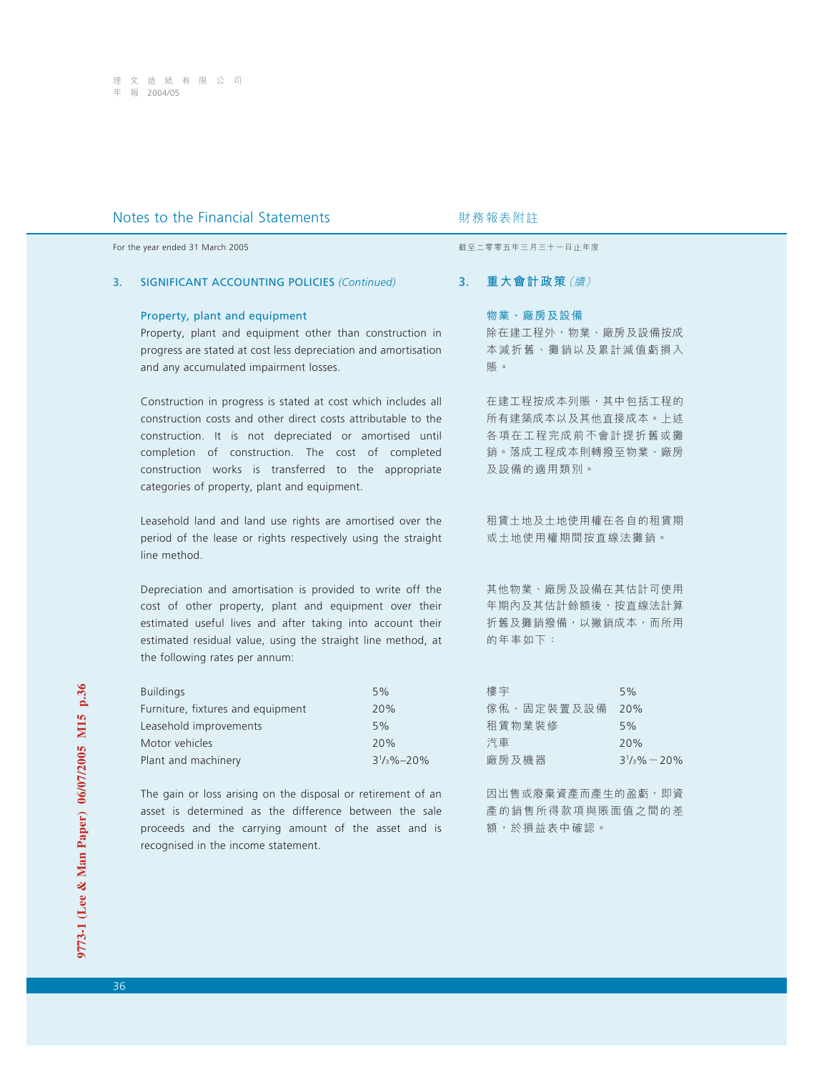## 3. SIGNIFICANT ACCOUNTING POLICIES *(Continued)*

#### Property, plant and equipment

Property, plant and equipment other than construction in progress are stated at cost less depreciation and amortisation and any accumulated impairment losses.

Construction in progress is stated at cost which includes all construction costs and other direct costs attributable to the construction. It is not depreciated or amortised until completion of construction. The cost of completed construction works is transferred to the appropriate categories of property, plant and equipment.

Leasehold land and land use rights are amortised over the period of the lease or rights respectively using the straight line method.

Depreciation and amortisation is provided to write off the cost of other property, plant and equipment over their estimated useful lives and after taking into account their estimated residual value, using the straight line method, at the following rates per annum:

| <b>Buildings</b>                  | 5%                 |
|-----------------------------------|--------------------|
| Furniture, fixtures and equipment | 20%                |
| Leasehold improvements            | 5%                 |
| Motor vehicles                    | 20%                |
| Plant and machinery               | $3^{1/3}\% - 20\%$ |

The gain or loss arising on the disposal or retirement of an asset is determined as the difference between the sale proceeds and the carrying amount of the asset and is recognised in the income statement.

For the year ended 31 March 2005 **by a strategies and the year ended 31 March 2005** by a strategies of the strategies and the strategies are strategies and the strategies are strategies and the strategies are strategies a

## 3. **重大會計政策**(續)

## 物業、廠房及設備

除在建工程外,物業、廠房及設備按成 本減折舊、攤銷以及累計減值虧損入 賬。

在建工程按成本列賬,其中包括工程的 所有建築成本以及其他直接成本。上述 各項在工程完成前不會計提折舊或攤 銷。落成工程成本則轉撥至物業、廠房 及設備的適用類別。

租賃土地及土地使用權在各自的租賃期 或土地使用權期間按直線法攤銷。

其他物業、廠房及設備在其估計可使用 年期內及其估計餘額後,按直線法計算 折舊及攤銷撥備,以撇銷成本,而所用 的年率如下:

| 樓宇                  | 5%                      |
|---------------------|-------------------------|
| 傢 俬 、 固 定 裝 置 及 設 備 | 20%                     |
| 和 賃 物 業 裝 修         | 5%                      |
| 汽車                  | 20%                     |
| 廠房及機器               | $3\frac{1}{3}\% - 20\%$ |

因出售或廢棄資產而產生的盈虧,即資 產的銷售所得款項與賬面值之間的差 額,於損益表中確認。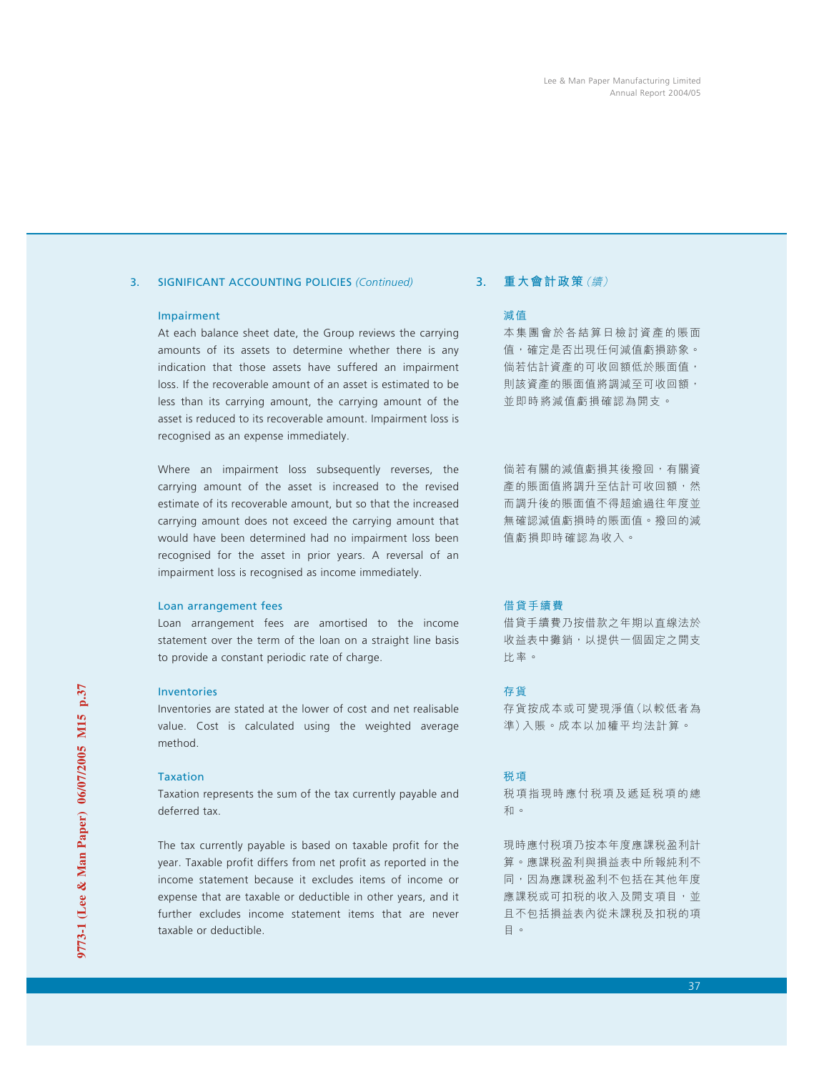## 3. SIGNIFICANT ACCOUNTING POLICIES *(Continued)*

## Impairment

At each balance sheet date, the Group reviews the carrying amounts of its assets to determine whether there is any indication that those assets have suffered an impairment loss. If the recoverable amount of an asset is estimated to be less than its carrying amount, the carrying amount of the asset is reduced to its recoverable amount. Impairment loss is recognised as an expense immediately.

Where an impairment loss subsequently reverses, the carrying amount of the asset is increased to the revised estimate of its recoverable amount, but so that the increased carrying amount does not exceed the carrying amount that would have been determined had no impairment loss been recognised for the asset in prior years. A reversal of an impairment loss is recognised as income immediately.

## Loan arrangement fees

Loan arrangement fees are amortised to the income statement over the term of the loan on a straight line basis to provide a constant periodic rate of charge.

## Inventories

Inventories are stated at the lower of cost and net realisable value. Cost is calculated using the weighted average method.

## Taxation

Taxation represents the sum of the tax currently payable and deferred tax.

The tax currently payable is based on taxable profit for the year. Taxable profit differs from net profit as reported in the income statement because it excludes items of income or expense that are taxable or deductible in other years, and it further excludes income statement items that are never taxable or deductible.

# 3. **重大會計政策**(續)

## 減值

本集團會於各結算日檢討資產的賬面 值,確定是否出現任何減值虧損跡象。 倘若估計資產的可收回額低於賬面值, 則該資產的賬面值將調減至可收回額, 並即時將減值虧損確認為開支。

倘若有關的減值虧損其後撥回,有關資 產的賬面值將調升至估計可收回額,然 而調升後的賬面值不得超逾過往年度並 無確認減值虧損時的賬面值。撥回的減 值虧損即時確認為收入。

## 借貸手續費

借貸手續費乃按借款之年期以直線法於 收益表中攤銷,以提供一個固定之開支 比率。

## 存貨

存貨按成本或可變現淨值(以較低者為 準)入賬。成本以加權平均法計算。

## 稅項

稅項指現時應付稅項及遞延稅項的總 和。

現時應付稅項乃按本年度應課稅盈利計 算。應課稅盈利與損益表中所報純利不 同,因為應課税盈利不包括在其他年度 應課税或可扣税的收入及開支項目,並 且不包括損益表內從未課稅及扣稅的項 目。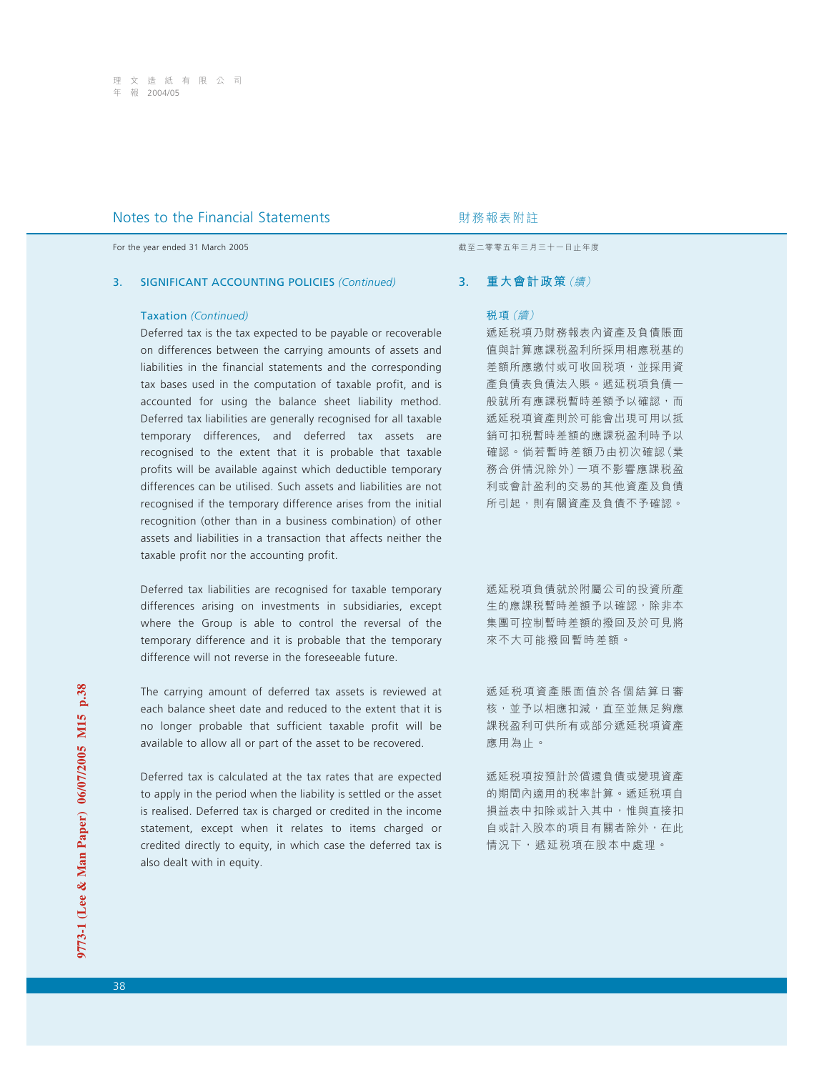For the year ended 31 March 2005 **by a strategies and the year ended 31 March 2005** by a strategies of the strategies and the strategies are strategies and the strategies are strategies and the strategies are strategies a

#### 3. SIGNIFICANT ACCOUNTING POLICIES *(Continued)*

#### Taxation *(Continued)*

Deferred tax is the tax expected to be payable or recoverable on differences between the carrying amounts of assets and liabilities in the financial statements and the corresponding tax bases used in the computation of taxable profit, and is accounted for using the balance sheet liability method. Deferred tax liabilities are generally recognised for all taxable temporary differences, and deferred tax assets are recognised to the extent that it is probable that taxable profits will be available against which deductible temporary differences can be utilised. Such assets and liabilities are not recognised if the temporary difference arises from the initial recognition (other than in a business combination) of other assets and liabilities in a transaction that affects neither the taxable profit nor the accounting profit.

Deferred tax liabilities are recognised for taxable temporary differences arising on investments in subsidiaries, except where the Group is able to control the reversal of the temporary difference and it is probable that the temporary difference will not reverse in the foreseeable future.

The carrying amount of deferred tax assets is reviewed at each balance sheet date and reduced to the extent that it is no longer probable that sufficient taxable profit will be available to allow all or part of the asset to be recovered.

Deferred tax is calculated at the tax rates that are expected to apply in the period when the liability is settled or the asset is realised. Deferred tax is charged or credited in the income statement, except when it relates to items charged or credited directly to equity, in which case the deferred tax is also dealt with in equity.

## 3. **重大會計政策**(續)

## 稅項(續)

遞延税項乃財務報表內資產及負債賬面 值與計算應課税盈利所採用相應税基的 差額所應繳付或可收回稅項,並採用資 產負債表負債法入賬。遞延稅項負債一 般就所有應課稅暫時差額予以確認,而 遞延稅項資產則於可能會出現可用以抵 銷可扣稅暫時差額的應課稅盈利時予以 確認。倘若暫時差額乃由初次確認(業 務合併情況除外)一項不影響應課稅盈 利或會計盈利的交易的其他資產及負債 所引起,則有關資產及負債不予確認。

遞延稅項負債就於附屬公司的投資所產 生的應課稅暫時差額予以確認,除非本 集團可控制暫時差額的撥回及於可見將 來不大可能撥回暫時差額。

遞延稅項資產賬面值於各個結算日審 核,並予以相應扣減,直至並無足夠應 課稅盈利可供所有或部分遞延稅項資產 應用為止。

遞延稅項按預計於償還負債或變現資產 的期間內適用的稅率計算。遞延稅項自 損益表中扣除或計入其中,惟與直接扣 自或計入股本的項目有關者除外,在此 情況下,遞延税項在股本中處理。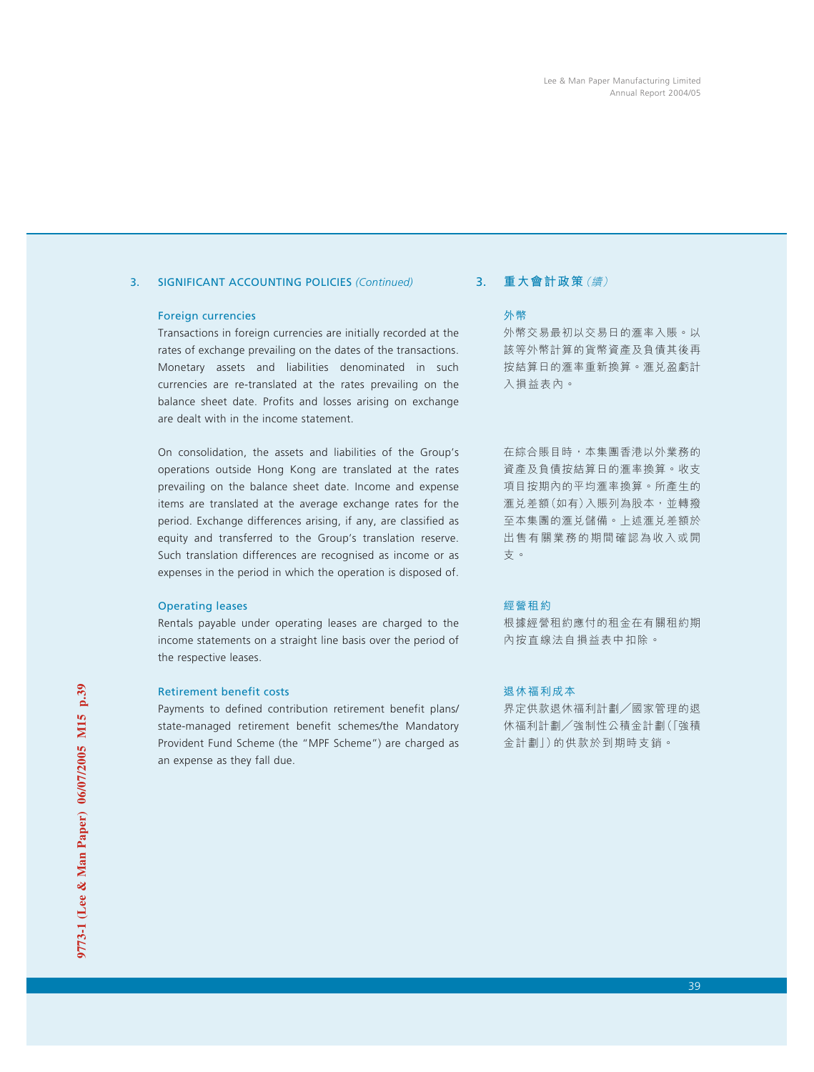## 3. SIGNIFICANT ACCOUNTING POLICIES *(Continued)*

## Foreign currencies

Transactions in foreign currencies are initially recorded at the rates of exchange prevailing on the dates of the transactions. Monetary assets and liabilities denominated in such currencies are re-translated at the rates prevailing on the balance sheet date. Profits and losses arising on exchange are dealt with in the income statement.

On consolidation, the assets and liabilities of the Group's operations outside Hong Kong are translated at the rates prevailing on the balance sheet date. Income and expense items are translated at the average exchange rates for the period. Exchange differences arising, if any, are classified as equity and transferred to the Group's translation reserve. Such translation differences are recognised as income or as expenses in the period in which the operation is disposed of.

## Operating leases

Rentals payable under operating leases are charged to the income statements on a straight line basis over the period of the respective leases.

## Retirement benefit costs

Payments to defined contribution retirement benefit plans/ state-managed retirement benefit schemes/the Mandatory Provident Fund Scheme (the "MPF Scheme") are charged as an expense as they fall due.

# 3. **重大會計政策**(續)

## 外幣

外幣交易最初以交易日的㶅率入賬。以 該等外幣計算的貨幣資產及負債其後再 按結算日的滙率重新換算。滙兑盈虧計 入損益表內。

在綜合賬目時,本集團香港以外業務的 資產及負債按結算日的滙率換算。收支 項目按期內的平均滙率換算。所產生的 㶅兌差額(如有)入賬列為股本,並轉撥 至本集團的滙兑儲備。上述滙兑差額於 出售有關業務的期間確認為收入或開 支。

# 經營租約

根據經營租約應付的租金在有關租約期 內按直線法自損益表中扣除。

## 退休福利成本

界定供款退休福利計劃/國家管理的退 休福利計劃/強制性公積金計劃(「強積 金計劃」)的供款於到期時支銷。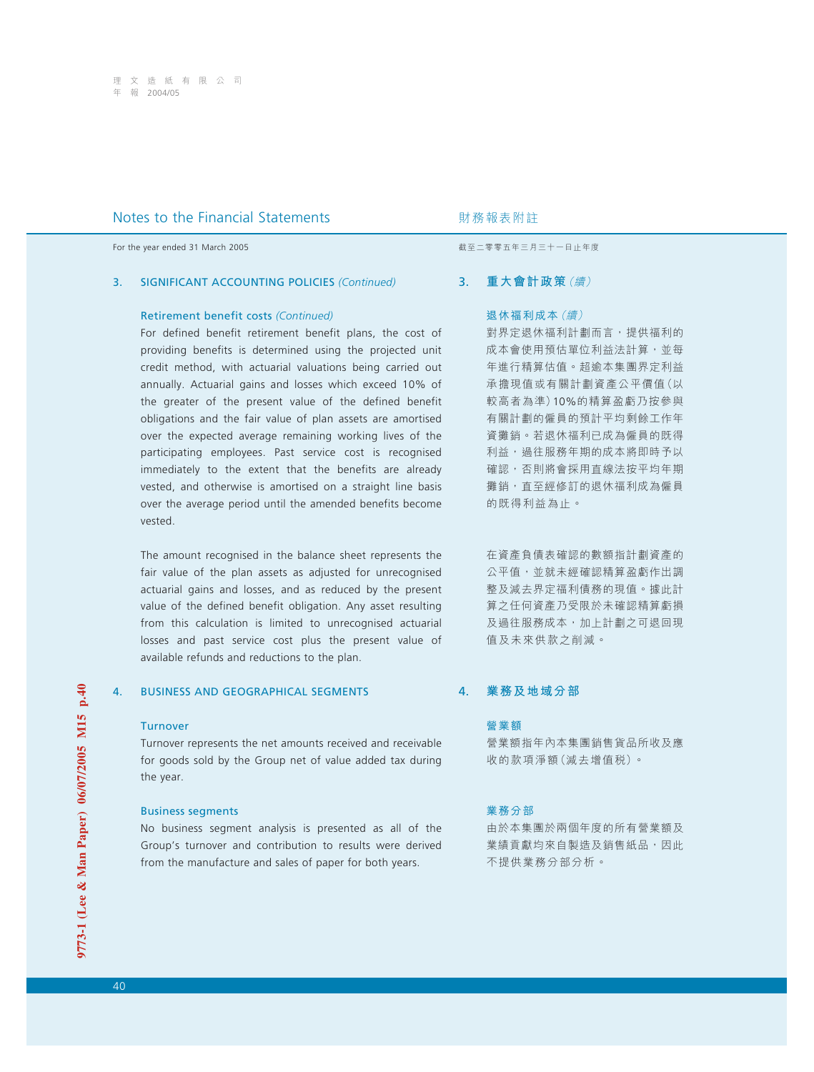For the year ended 31 March 2005 **by a strategies and the year ended 31 March 2005** by a strategies of the strategies and the strategies are strategies and the strategies are strategies and the strategies are strategies a

### 3. SIGNIFICANT ACCOUNTING POLICIES *(Continued)*

#### Retirement benefit costs *(Continued)*

For defined benefit retirement benefit plans, the cost of providing benefits is determined using the projected unit credit method, with actuarial valuations being carried out annually. Actuarial gains and losses which exceed 10% of the greater of the present value of the defined benefit obligations and the fair value of plan assets are amortised over the expected average remaining working lives of the participating employees. Past service cost is recognised immediately to the extent that the benefits are already vested, and otherwise is amortised on a straight line basis over the average period until the amended benefits become vested.

The amount recognised in the balance sheet represents the fair value of the plan assets as adjusted for unrecognised actuarial gains and losses, and as reduced by the present value of the defined benefit obligation. Any asset resulting from this calculation is limited to unrecognised actuarial losses and past service cost plus the present value of available refunds and reductions to the plan.

## 4. BUSINESS AND GEOGRAPHICAL SEGMENTS

#### **Turnover**

Turnover represents the net amounts received and receivable for goods sold by the Group net of value added tax during the year.

#### Business segments

No business segment analysis is presented as all of the Group's turnover and contribution to results were derived from the manufacture and sales of paper for both years.

## 3. **重大會計政策**(續)

## 退休福利成本(續)

對界定退休福利計劃而言,提供福利的 成本會使用預估單位利益法計算,並每 年進行精算估值。超逾本集團界定利益 承擔現值或有關計劃資產公平價值(以 較高者為準)10%的精算盈虧乃按參與 有關計劃的僱員的預計平均剩餘工作年 資攤銷。若退休福利已成為僱員的既得 利益,過往服務年期的成本將即時予以 確認,否則將會採用直線法按平均年期 攤銷,直至經修訂的退休福利成為僱員 的既得利益為止。

在資產負債表確認的數額指計劃資產的 公平值,並就未經確認精算盈虧作出調 整及減去界定福利債務的現值。據此計 算之任何資產乃受限於未確認精算虧損 及過往服務成本,加上計劃之可退回現 值及未來供款之削減。

## 4. **業務及地域分部**

## 營業額

營業額指年內本集團銷售貨品所收及應 收的款項淨額(減去增值稅)。

#### 業務分部

由於本集團於兩個年度的所有營業額及 業績貢獻均來自製造及銷售紙品,因此 不提供業務分部分析。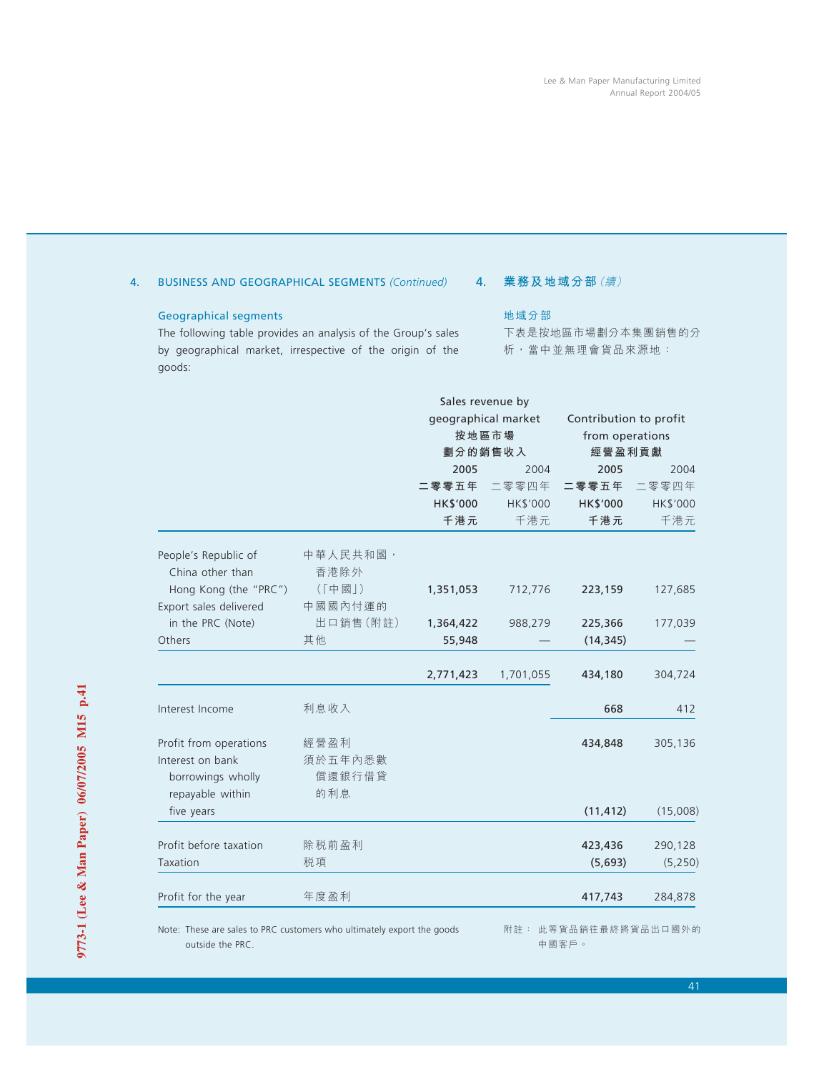# 4. BUSINESS AND GEOGRAPHICAL SEGMENTS *(Continued)*

## Geographical segments

The following table provides an analysis of the Group's sales by geographical market, irrespective of the origin of the goods:

# 4. **業務及地域分部**(續)

## 地域分部

下表是按地區市場劃分本集團銷售的分 析,當中並無理會貨品來源地:

|                                          |                  |           | Sales revenue by             |                                           |          |
|------------------------------------------|------------------|-----------|------------------------------|-------------------------------------------|----------|
|                                          |                  |           | geographical market<br>按地區市場 | Contribution to profit<br>from operations |          |
|                                          |                  |           | 劃分的銷售收入                      | 經營盈利貢獻                                    |          |
|                                          |                  | 2005      | 2004                         | 2005                                      | 2004     |
|                                          |                  | 二零零五年     | 二零零四年                        | 二零零五年                                     | 二零零四年    |
|                                          |                  | HK\$'000  | HK\$'000                     | HK\$'000                                  | HK\$'000 |
|                                          |                  | 千港元       | 千港元                          | 千港元                                       | 千港元      |
| People's Republic of<br>China other than | 中華人民共和國,<br>香港除外 |           |                              |                                           |          |
| Hong Kong (the "PRC")                    | (「中國」)           | 1,351,053 | 712,776                      | 223,159                                   | 127,685  |
| Export sales delivered                   | 中國國內付運的          |           |                              |                                           |          |
| in the PRC (Note)                        | 出口銷售(附註)         | 1,364,422 | 988,279                      | 225,366                                   | 177,039  |
| Others                                   | 其他               | 55,948    |                              | (14, 345)                                 |          |
|                                          |                  | 2,771,423 | 1,701,055                    | 434,180                                   | 304,724  |
| Interest Income                          | 利息收入             |           |                              | 668                                       | 412      |
| Profit from operations                   | 經營盈利             |           |                              | 434,848                                   | 305,136  |
| Interest on bank                         | 須於五年內悉數          |           |                              |                                           |          |
| borrowings wholly                        | 償還銀行借貸           |           |                              |                                           |          |
| repayable within<br>five years           | 的利息              |           |                              | (11, 412)                                 | (15,008) |
|                                          |                  |           |                              |                                           |          |
| Profit before taxation                   | 除税前盈利            |           |                              | 423,436                                   | 290,128  |
| Taxation                                 | 税項               |           |                              | (5,693)                                   | (5, 250) |
| Profit for the year                      | 年度盈利             |           |                              | 417,743                                   | 284,878  |

Note: These are sales to PRC customers who ultimately export the goods outside the PRC.

附註: 此等貨品銷往最終將貨品出口國外的 中國客戶。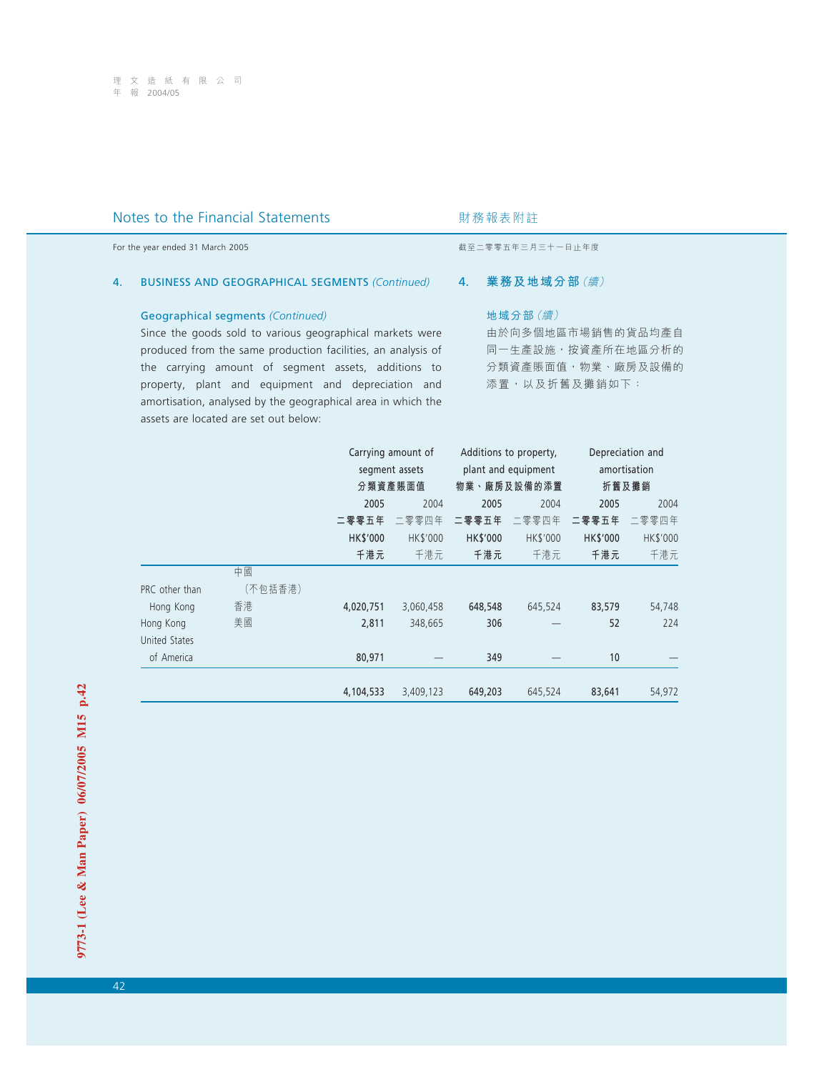| Notes to the Financial Statements                            | 財務報表附註            |
|--------------------------------------------------------------|-------------------|
| For the year ended 31 March 2005                             | 截至二零零五年三月三十一日止年度  |
| <b>BUSINESS AND GEOGRAPHICAL SEGMENTS (Continued)</b>        | 業務及地域分部 (續)       |
| 4.                                                           | 4.                |
| <b>Geographical segments (Continued)</b>                     | 地域分部 (續)          |
| Since the goods sold to various geographical markets were    | 由於向多個地區市場銷售的貨品均產自 |
| produced from the same production facilities, an analysis of | 同一生產設施,按資產所在地區分析的 |
| the carrying amount of segment assets, additions to          | 分類資產賬面值,物業、廠房及設備的 |
| property, plant and equipment and depreciation and           | 添置,以及折舊及攤銷如下:     |

amortisation, analysed by the geographical area in which the

assets are located are set out below:

|                |         |           | Carrying amount of | Additions to property, |                     |          | Depreciation and |
|----------------|---------|-----------|--------------------|------------------------|---------------------|----------|------------------|
|                |         |           | segment assets     |                        | plant and equipment |          | amortisation     |
|                |         |           | 分類資產賬面值            |                        | 物業、廠房及設備的添置         | 折舊及攤銷    |                  |
|                |         | 2005      | 2004               | 2005                   | 2004                | 2005     | 2004             |
|                |         | 二零零五年     | 二零零四年              | 二零零五年                  | 二零零四年               | 二零零五年    | 二零零四年            |
|                |         | HK\$'000  | HK\$'000           | HK\$'000               | HK\$'000            | HK\$'000 | HK\$'000         |
|                |         | 千港元       | 千港元                | 千港元                    | 千港元                 | 千港元      | 千港元              |
|                | 中國      |           |                    |                        |                     |          |                  |
| PRC other than | (不包括香港) |           |                    |                        |                     |          |                  |
| Hong Kong      | 香港      | 4,020,751 | 3,060,458          | 648,548                | 645,524             | 83,579   | 54,748           |
| Hong Kong      | 美國      | 2,811     | 348,665            | 306                    |                     | 52       | 224              |
| United States  |         |           |                    |                        |                     |          |                  |
| of America     |         | 80,971    |                    | 349                    |                     | 10       |                  |
|                |         |           |                    |                        |                     |          |                  |
|                |         | 4,104,533 | 3,409,123          | 649,203                | 645,524             | 83,641   | 54,972           |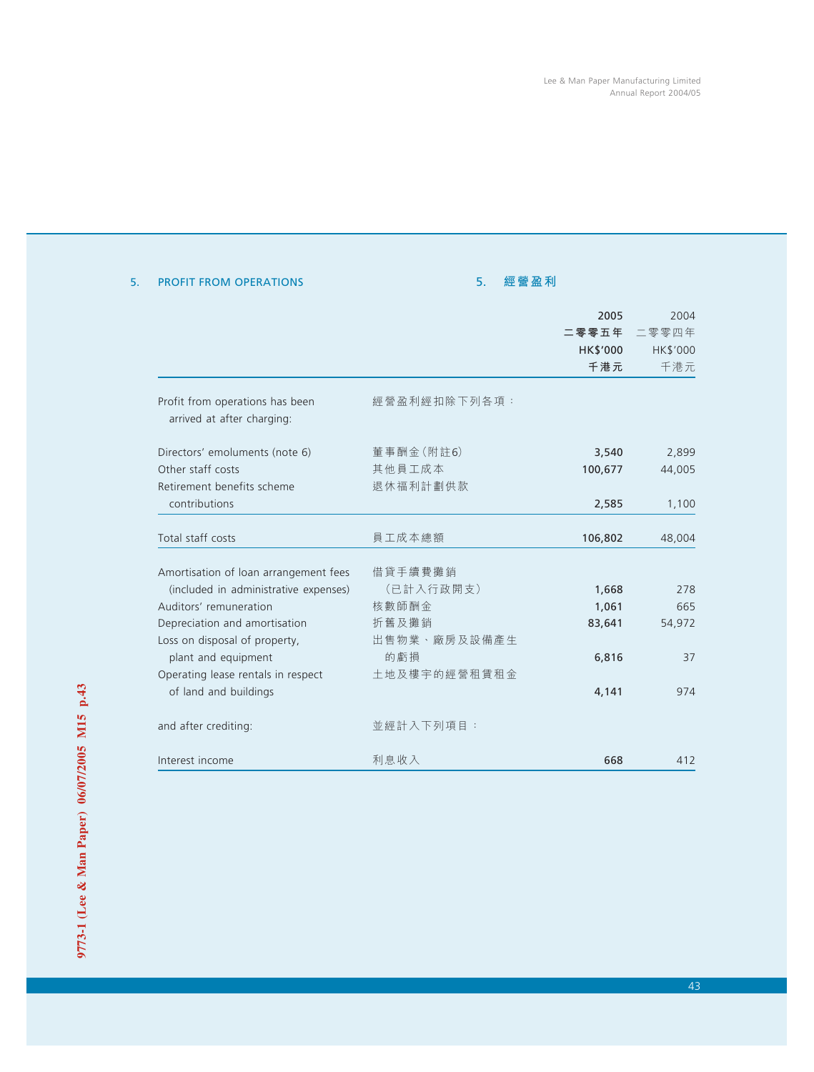|                                       |              | 2005     | 2004     |
|---------------------------------------|--------------|----------|----------|
|                                       |              | 二零零五年    | 二零零四年    |
|                                       |              | HK\$'000 | HK\$'000 |
|                                       |              | 千港元      | 千港元      |
| Profit from operations has been       | 經營盈利經扣除下列各項: |          |          |
| arrived at after charging:            |              |          |          |
| Directors' emoluments (note 6)        | 董事酬金 (附註6)   | 3,540    | 2,899    |
| Other staff costs                     | 其他員工成本       | 100,677  | 44,005   |
| Retirement benefits scheme            | 退休福利計劃供款     |          |          |
| contributions                         |              | 2,585    | 1,100    |
| Total staff costs                     | 員工成本總額       | 106,802  | 48,004   |
| Amortisation of loan arrangement fees | 借貸手續費攤銷      |          |          |
| (included in administrative expenses) | (已計入行政開支)    | 1,668    | 278      |
| Auditors' remuneration                | 核數師酬金        | 1,061    | 665      |
| Depreciation and amortisation         | 折舊及攤銷        | 83,641   | 54,972   |
| Loss on disposal of property,         | 出售物業、廠房及設備產生 |          |          |
| plant and equipment                   | 的虧損          | 6,816    | 37       |
| Operating lease rentals in respect    | 土地及樓宇的經營租賃租金 |          |          |
| of land and buildings                 |              | 4,141    | 974      |
| and after crediting:                  | 並經計入下列項目:    |          |          |

Interest income 利息收入 668 412

利息收入

# 5. PROFIT FROM OPERATIONS

# 5. **經營盈利**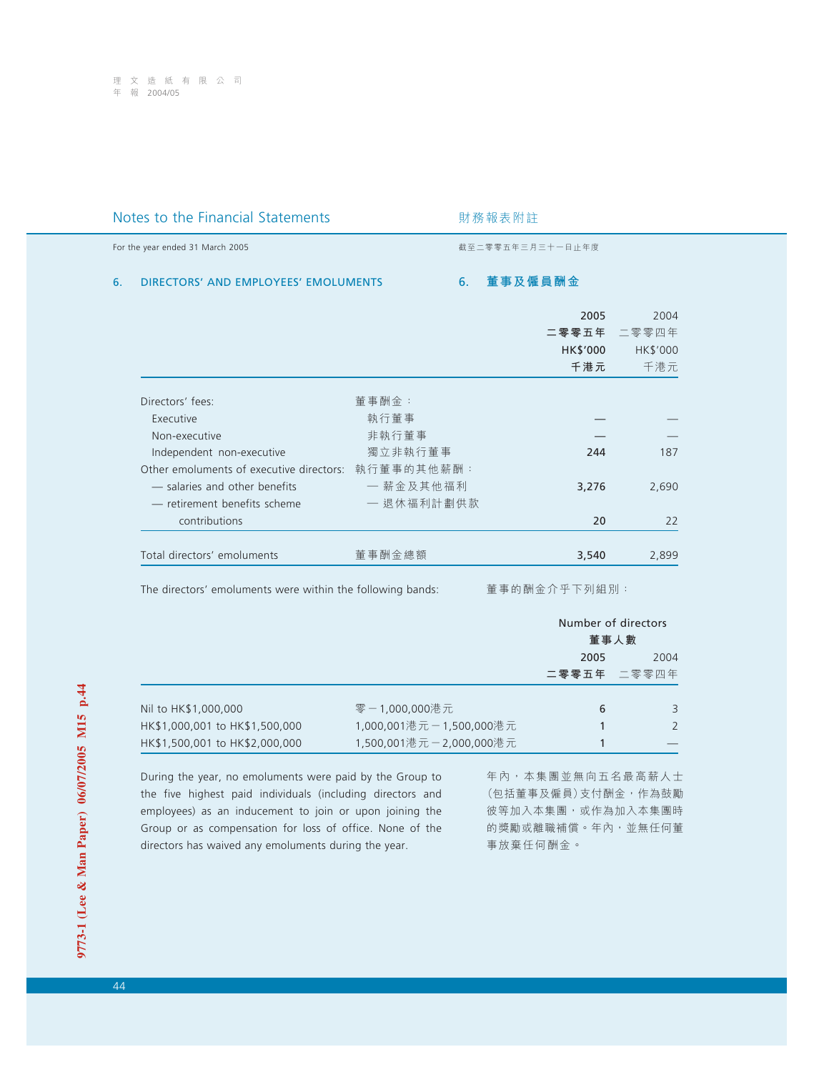# Notes to the Financial Statements **Notes** 对務報表附註

For the year ended 31 March 2005 **by the year ended 31 March 2005 by the year ended 31 March 2005** 

## 6. DIRECTORS' AND EMPLOYEES' EMOLUMENTS

6. **董事及僱員酬金**

|                                          |            | 2005<br>二零零五年<br>HK\$'000 | 2004<br>二零零四年<br>HK\$'000 |
|------------------------------------------|------------|---------------------------|---------------------------|
|                                          |            | 千港元                       | 千港元                       |
| Directors' fees:                         | 董事酬金:      |                           |                           |
| Executive                                | 執行董事       |                           |                           |
| Non-executive                            | 非執行董事      |                           |                           |
| Independent non-executive                | 獨立非執行董事    | 244                       | 187                       |
| Other emoluments of executive directors: | 執行董事的其他薪酬: |                           |                           |
| - salaries and other benefits            | 一 薪金及其他福利  | 3,276                     | 2,690                     |
| - retirement benefits scheme             | 一 退休福利計劃供款 |                           |                           |
| contributions                            |            | 20                        | 22                        |
| Total directors' emoluments              | 董事酬金總額     | 3,540                     | 2,899                     |

The directors' emoluments were within the following bands:

董事的酬金介乎下列組別:

|                                |                         | Number of directors<br>董事人數 |               |
|--------------------------------|-------------------------|-----------------------------|---------------|
|                                |                         | 2005                        | 2004          |
|                                |                         |                             | 二零零五年 二零零四年   |
| Nil to HK\$1,000,000           | 零-1,000,000港元           | 6                           | 3             |
| HK\$1,000,001 to HK\$1,500,000 | 1,000,001港元-1,500,000港元 |                             | $\mathcal{P}$ |
| HK\$1,500,001 to HK\$2,000,000 | 1,500,001港元-2,000,000港元 |                             |               |

During the year, no emoluments were paid by the Group to the five highest paid individuals (including directors and employees) as an inducement to join or upon joining the Group or as compensation for loss of office. None of the directors has waived any emoluments during the year.

年內,本集團並無向五名最高薪人士 (包括董事及僱員)支付酬金,作為鼓勵 彼等加入本集團,或作為加入本集團時 的獎勵或離職補償。年內,並無任何董 事放棄任何酬金。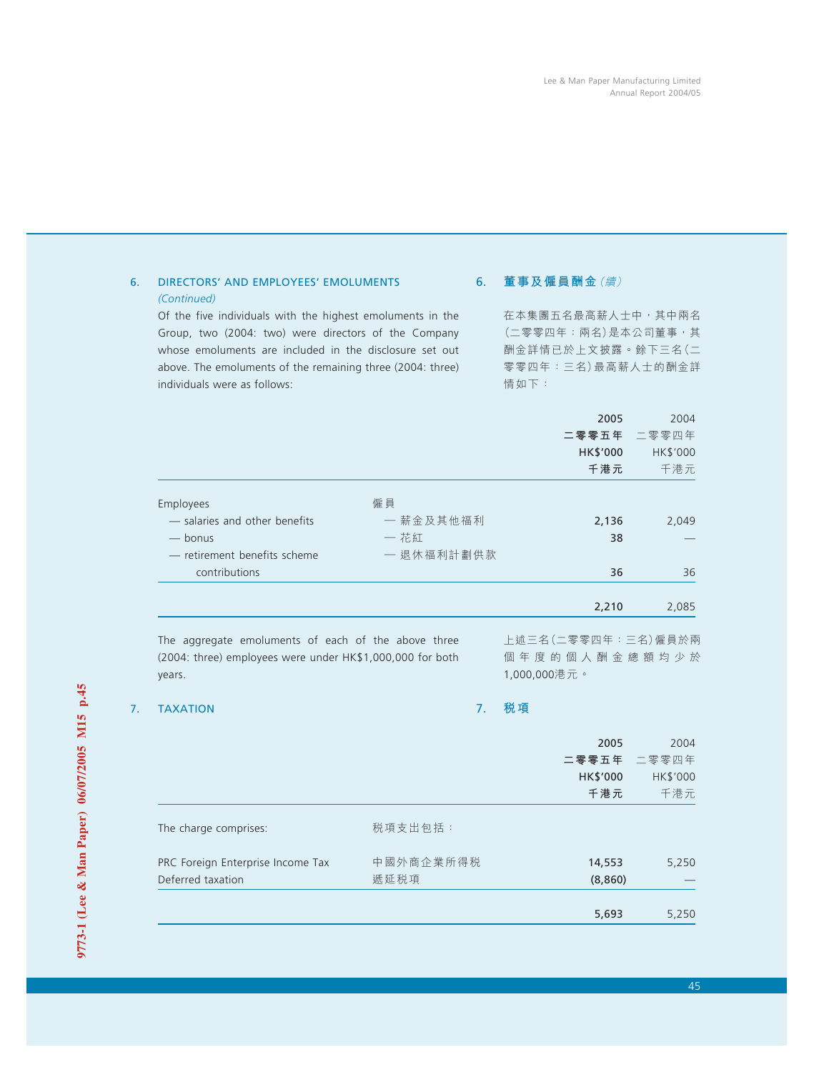# 6. DIRECTORS' AND EMPLOYEES' EMOLUMENTS *(Continued)*

Of the five individuals with the highest emoluments in the Group, two (2004: two) were directors of the Company whose emoluments are included in the disclosure set out above. The emoluments of the remaining three (2004: three) individuals were as follows:

# 6. **董事及僱員酬金**(續)

在本集團五名最高薪人士中,其中兩名 (二零零四年:兩名)是本公司董事,其 酬金詳情已於上文披露。餘下三名(二 零零四年:三名)最高薪人士的酬金詳 情如下:

|                                                                                       |                                       | 2005<br>二零零五年   | 2004<br>二零零四年   |
|---------------------------------------------------------------------------------------|---------------------------------------|-----------------|-----------------|
|                                                                                       |                                       | HK\$'000<br>千港元 | HK\$'000<br>千港元 |
| Employees<br>- salaries and other benefits<br>— bonus<br>- retirement benefits scheme | 僱員<br>一 薪金及其他福利<br>一 花紅<br>一 退休福利計劃供款 | 2,136<br>38     | 2,049           |
| contributions                                                                         |                                       | 36              | 36              |
|                                                                                       |                                       | 2,210           | 2,085           |

The aggregate emoluments of each of the above three (2004: three) employees were under HK\$1,000,000 for both years.

上述三名(二零零四年:三名)僱員於兩 個年度的個人酬金總額均少於 1,000,000港元。

## 7. TAXATION

7. **稅項**

|                                   |           | 2005     | 2004     |
|-----------------------------------|-----------|----------|----------|
|                                   |           | 二零零五年    | 二零零四年    |
|                                   |           | HK\$'000 | HK\$'000 |
|                                   |           | 千港元      | 千港元      |
| The charge comprises:             | 税項支出包括:   |          |          |
| PRC Foreign Enterprise Income Tax | 中國外商企業所得税 | 14,553   | 5,250    |
| Deferred taxation                 | 遞延税項      | (8,860)  |          |
|                                   |           |          |          |
|                                   |           | 5,693    | 5,250    |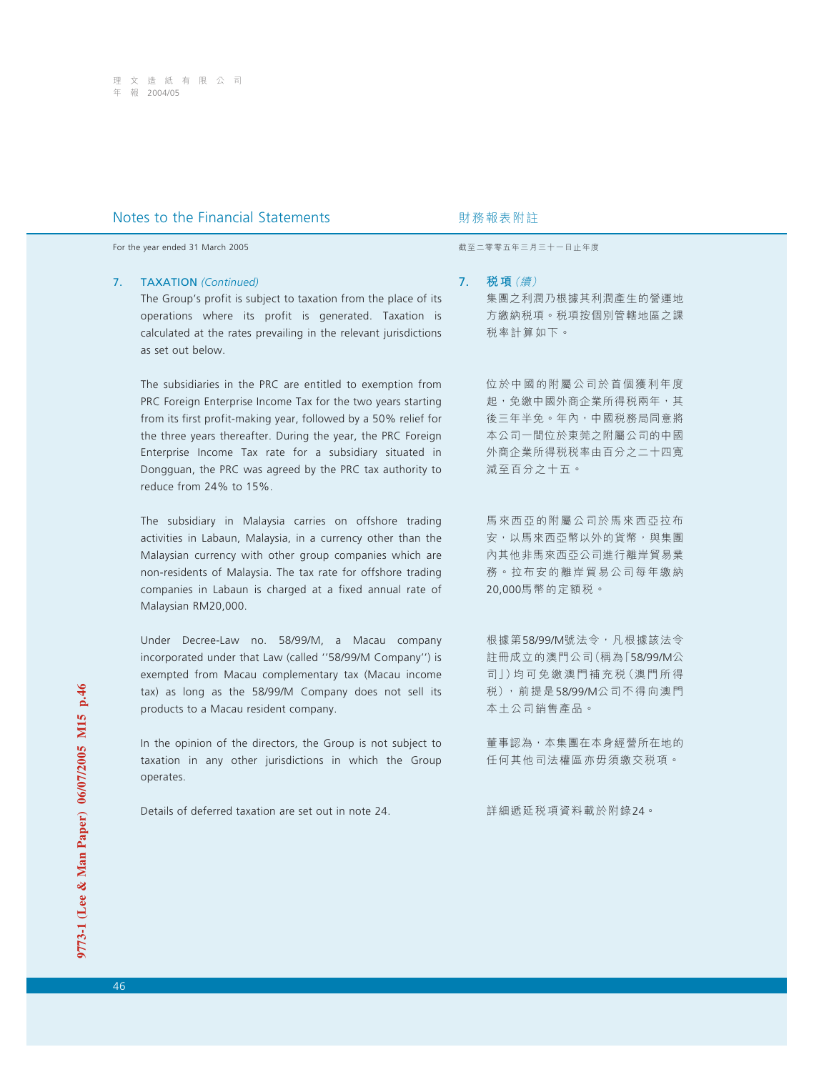For the year ended 31 March 2005 **by a strategies and the year ended 31 March 2005** by a strategies of the strategies and the strategies are strategies and the strategies are strategies and the strategies are strategies a

### 7. TAXATION *(Continued)*

The Group's profit is subject to taxation from the place of its operations where its profit is generated. Taxation is calculated at the rates prevailing in the relevant jurisdictions as set out below.

The subsidiaries in the PRC are entitled to exemption from PRC Foreign Enterprise Income Tax for the two years starting from its first profit-making year, followed by a 50% relief for the three years thereafter. During the year, the PRC Foreign Enterprise Income Tax rate for a subsidiary situated in Dongguan, the PRC was agreed by the PRC tax authority to reduce from 24% to 15%.

The subsidiary in Malaysia carries on offshore trading activities in Labaun, Malaysia, in a currency other than the Malaysian currency with other group companies which are non-residents of Malaysia. The tax rate for offshore trading companies in Labaun is charged at a fixed annual rate of Malaysian RM20,000.

Under Decree-Law no. 58/99/M, a Macau company incorporated under that Law (called ''58/99/M Company'') is exempted from Macau complementary tax (Macau income tax) as long as the 58/99/M Company does not sell its products to a Macau resident company.

In the opinion of the directors, the Group is not subject to taxation in any other jurisdictions in which the Group operates.

Details of deferred taxation are set out in note 24.

7. **稅項**(續)

集團之利潤乃根據其利潤產生的營運地 方繳納稅項。稅項按個別管轄地區之課 稅率計算如下。

位於中國的附屬公司於首個獲利年度 起,免繳中國外商企業所得稅兩年,其 後三年半免。年內,中國税務局同意將 本公司一間位於東莞之附屬公司的中國 外商企業所得稅稅率由百分之二十四寬 減至百分之十五。

馬來西亞的附屬公司於馬來西亞拉布 安,以馬來西亞幣以外的貨幣,與集團 內其他非馬來西亞公司進行離岸貿易業 務。拉布安的離岸貿易公司每年繳納 20,000馬幣的定額稅。

根據第58/99/M號法令,凡根據該法令 註冊成立的澳門公司(稱為「58/99/M公 司」)均可免繳澳門補充稅(澳門所得 稅),前提是58/99/M公司不得向澳門 本土公司銷售產品。

董事認為,本集團在本身經營所在地的 任何其他司法權區亦毋須繳交稅項。

詳細遞延稅項資料載於附錄24。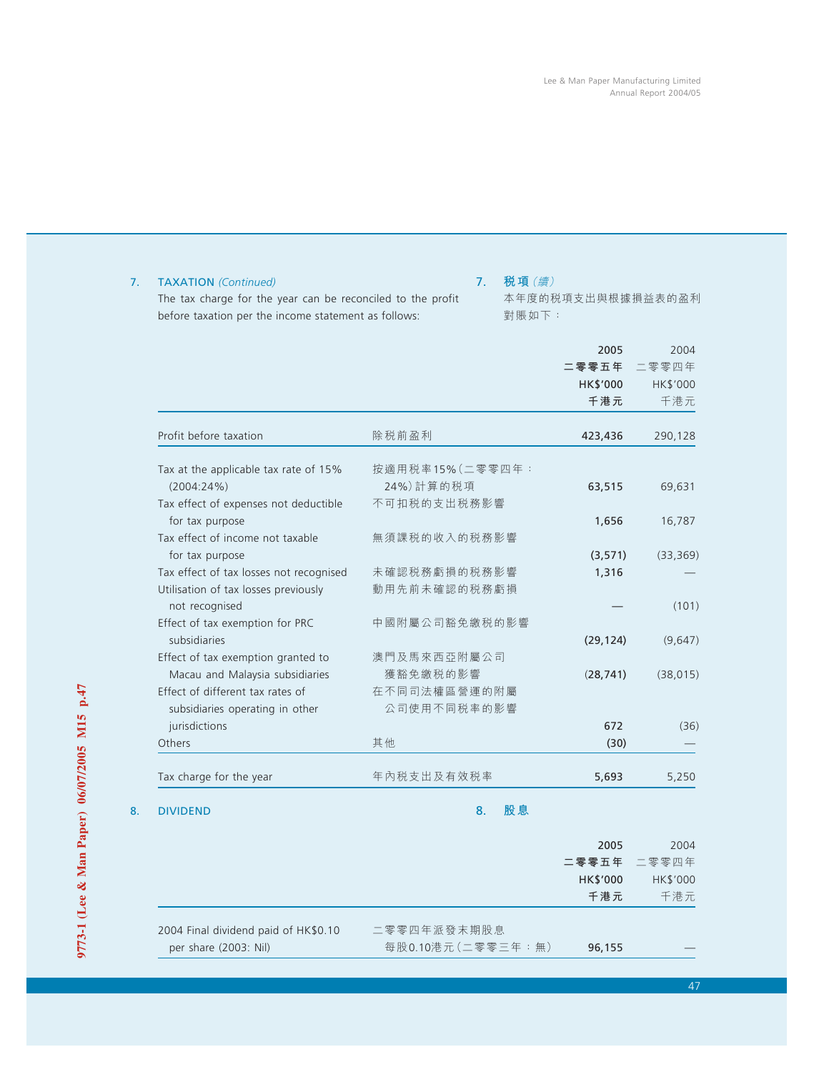|                                                        |                 | 2005      | 2004      |
|--------------------------------------------------------|-----------------|-----------|-----------|
|                                                        |                 | 二零零五年     | 二零零四年     |
|                                                        |                 | HK\$'000  | HK\$'000  |
|                                                        |                 | 千港元       | 千港元       |
| Profit before taxation                                 | 除税前盈利           | 423,436   | 290,128   |
| Tax at the applicable tax rate of 15%                  | 按適用税率15%(二零零四年: |           |           |
| $(2004:24\%)$                                          | 24%)計算的税項       | 63,515    | 69,631    |
| Tax effect of expenses not deductible                  | 不可扣税的支出税務影響     |           |           |
| for tax purpose                                        |                 | 1,656     | 16,787    |
| Tax effect of income not taxable                       | 無須課税的收入的税務影響    |           |           |
| for tax purpose                                        |                 | (3, 571)  | (33, 369) |
| Tax effect of tax losses not recognised                | 未確認税務虧損的税務影響    | 1,316     |           |
| Utilisation of tax losses previously<br>not recognised | 動用先前未確認的税務虧損    |           | (101)     |
| Effect of tax exemption for PRC                        | 中國附屬公司豁免繳税的影響   |           |           |
| subsidiaries                                           |                 | (29, 124) | (9,647)   |
| Effect of tax exemption granted to                     | 澳門及馬來西亞附屬公司     |           |           |
| Macau and Malaysia subsidiaries                        | 獲豁免繳税的影響        | (28, 741) | (38, 015) |
| Effect of different tax rates of                       | 在不同司法權區營運的附屬    |           |           |
| subsidiaries operating in other                        | 公司使用不同税率的影響     |           |           |
| jurisdictions                                          |                 | 672       | (36)      |
| Others                                                 | 其他              | (30)      |           |
| Tax charge for the year                                | 年內税支出及有效税率      | 5,693     | 5,250     |

# 7. TAXATION *(Continued)*

The tax charge for the year can be reconciled to the profit before taxation per the income statement as follows:

# 7. **稅項**(續)

本年度的稅項支出與根據損益表的盈利 對賬如下:

| -8. | <b>DIVIDEND</b> |  |
|-----|-----------------|--|
|     |                 |  |

8. **股息**

|                                      |                   | 2005     | 2004        |
|--------------------------------------|-------------------|----------|-------------|
|                                      |                   |          | 二零零五年 二零零四年 |
|                                      |                   | HK\$'000 | HK\$'000    |
|                                      |                   | 千港元      | 千港元         |
| 2004 Final dividend paid of HK\$0.10 | 二零零四年派發末期股息       |          |             |
| per share (2003: Nil)                | 每股0.10港元(二零零三年:無) | 96,155   |             |
|                                      |                   |          |             |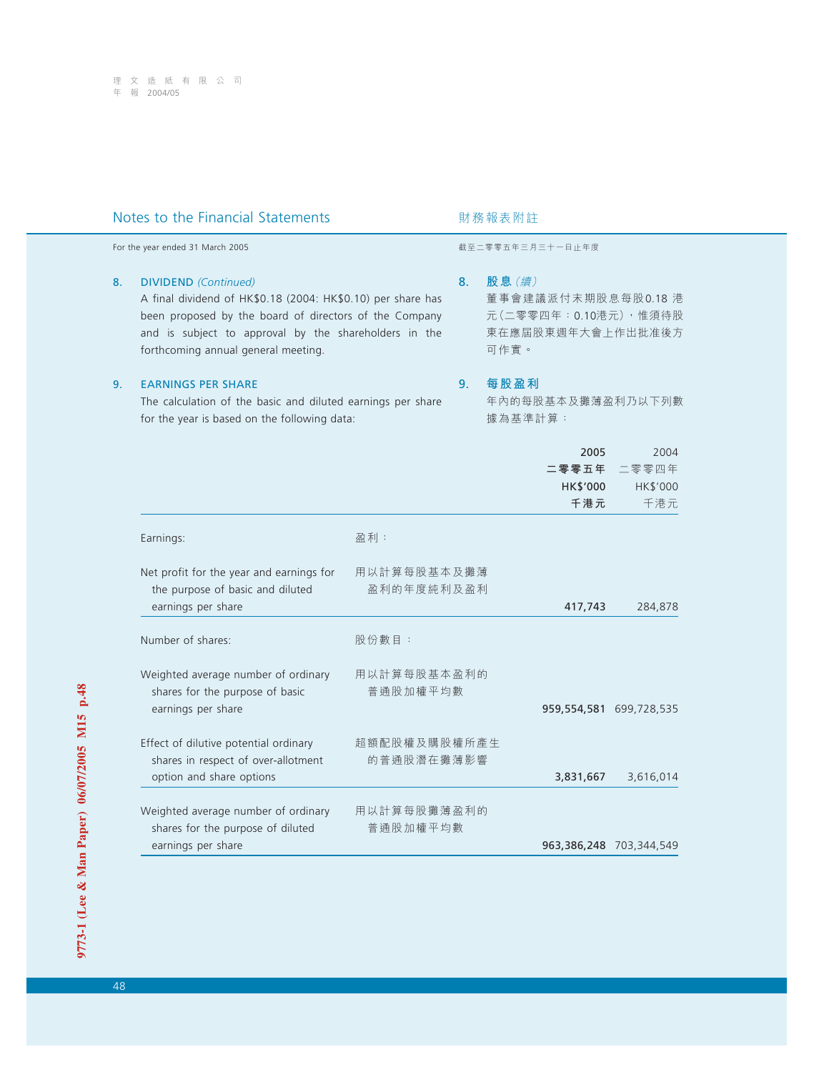| Notes to the Financial Statements |                                                                                                                                                                                                                                                      |                            | 財務報表附註 |                                                                                   |                                  |  |
|-----------------------------------|------------------------------------------------------------------------------------------------------------------------------------------------------------------------------------------------------------------------------------------------------|----------------------------|--------|-----------------------------------------------------------------------------------|----------------------------------|--|
|                                   | For the year ended 31 March 2005                                                                                                                                                                                                                     |                            |        | 截至二零零五年三月三十一日止年度                                                                  |                                  |  |
| 8.                                | <b>DIVIDEND</b> (Continued)<br>A final dividend of HK\$0.18 (2004: HK\$0.10) per share has<br>been proposed by the board of directors of the Company<br>and is subject to approval by the shareholders in the<br>forthcoming annual general meeting. |                            | 8.     | 股息(續)<br>董事會建議派付末期股息每股0.18 港<br>元(二零零四年:0.10港元),惟須待股<br>東在應屆股東週年大會上作出批准後方<br>可作實。 |                                  |  |
| 9.                                | <b>EARNINGS PER SHARE</b><br>The calculation of the basic and diluted earnings per share<br>for the year is based on the following data:                                                                                                             |                            |        | 每股盈利<br>年內的每股基本及攤薄盈利乃以下列數<br>據為基準計算:                                              |                                  |  |
|                                   |                                                                                                                                                                                                                                                      |                            |        | 2005<br>二零零五年<br>HK\$'000<br>千港元                                                  | 2004<br>二零零四年<br>HK\$'000<br>千港元 |  |
|                                   | Earnings:                                                                                                                                                                                                                                            | 盈利:                        |        |                                                                                   |                                  |  |
|                                   | Net profit for the year and earnings for<br>the purpose of basic and diluted<br>earnings per share                                                                                                                                                   | 用以計算每股基本及攤薄<br>盈利的年度純利及盈利  |        | 417,743                                                                           | 284,878                          |  |
|                                   | Number of shares:                                                                                                                                                                                                                                    | 股份數目:                      |        |                                                                                   |                                  |  |
|                                   | Weighted average number of ordinary<br>shares for the purpose of basic<br>earnings per share                                                                                                                                                         | 用以計算每股基本盈利的<br>普通股加權平均數    |        |                                                                                   | 959,554,581 699,728,535          |  |
|                                   | Effect of dilutive potential ordinary<br>shares in respect of over-allotment<br>option and share options                                                                                                                                             | 超額配股權及購股權所產生<br>的普通股潛在攤薄影響 |        | 3,831,667                                                                         | 3,616,014                        |  |
|                                   | Weighted average number of ordinary<br>shares for the purpose of diluted<br>earnings per share                                                                                                                                                       | 用以計算每股攤薄盈利的<br>普通股加權平均數    |        |                                                                                   | 963,386,248 703,344,549          |  |
|                                   |                                                                                                                                                                                                                                                      |                            |        |                                                                                   |                                  |  |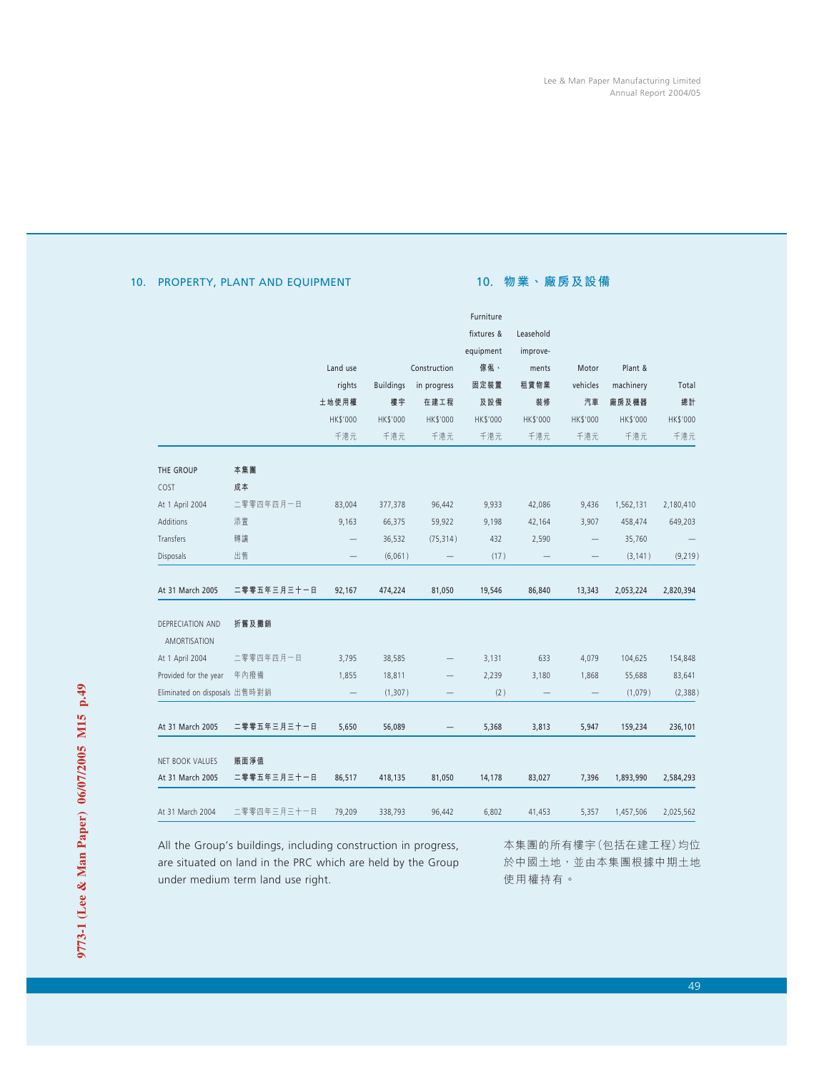# 10. PROPERTY, PLANT AND EQUIPMENT

# 10. **物業、廠房及設備**

|                               |             |                   |                  |              | Furniture  |           |                          |           |           |
|-------------------------------|-------------|-------------------|------------------|--------------|------------|-----------|--------------------------|-----------|-----------|
|                               |             |                   |                  |              | fixtures & | Leasehold |                          |           |           |
|                               |             |                   |                  |              | equipment  | improve-  |                          |           |           |
|                               |             | Land use          |                  | Construction | 傢俬、        | ments     | Motor                    | Plant &   |           |
|                               |             | rights            | <b>Buildings</b> | in progress  | 固定裝置       | 租賃物業      | vehicles                 | machinery | Total     |
|                               |             | 土地使用權             | 樓宇               | 在建工程         | 及設備        | 裝修        | 汽車                       | 廠房及機器     | 總計        |
|                               |             | HK\$'000          | HK\$'000         | HK\$'000     | HK\$'000   | HK\$'000  | HK\$'000                 | HK\$'000  | HK\$'000  |
|                               |             | 千港元               | 千港元              | 千港元          | 千港元        | 千港元       | 千港元                      | 千港元       | 千港元       |
| THE GROUP                     | 本集團         |                   |                  |              |            |           |                          |           |           |
| COST                          | 成本          |                   |                  |              |            |           |                          |           |           |
| At 1 April 2004               | 二零零四年四月一日   | 83,004            | 377,378          | 96,442       | 9,933      | 42,086    | 9,436                    | 1,562,131 | 2,180,410 |
| Additions                     | 添置          | 9,163             | 66,375           | 59,922       | 9,198      | 42,164    | 3,907                    | 458,474   | 649,203   |
| Transfers                     | 轉讓          |                   | 36,532           | (75, 314)    | 432        | 2,590     | $\overline{\phantom{0}}$ | 35,760    |           |
| Disposals                     | 出售          |                   | (6,061)          |              | (17)       |           |                          | (3, 141)  | (9,219)   |
| At 31 March 2005              | 二零零五年三月三十一日 | 92,167            | 474,224          | 81,050       | 19,546     | 86,840    | 13,343                   | 2,053,224 | 2,820,394 |
| DEPRECIATION AND              | 折舊及攤銷       |                   |                  |              |            |           |                          |           |           |
| <b>AMORTISATION</b>           |             |                   |                  |              |            |           |                          |           |           |
| At 1 April 2004               | 二零零四年四月一日   | 3,795             | 38,585           |              | 3,131      | 633       | 4,079                    | 104,625   | 154,848   |
| Provided for the year         | 年內撥備        | 1,855             | 18,811           |              | 2,239      | 3,180     | 1,868                    | 55,688    | 83,641    |
| Eliminated on disposals 出售時對銷 |             | $\qquad \qquad -$ | (1, 307)         |              | (2)        |           |                          | (1,079)   | (2,388)   |
| At 31 March 2005              | 二零零五年三月三十一日 | 5,650             | 56,089           |              | 5,368      | 3,813     | 5,947                    | 159,234   | 236,101   |
| NET BOOK VALUES               | 賬面淨值        |                   |                  |              |            |           |                          |           |           |
| At 31 March 2005              | 二零零五年三月三十一日 | 86,517            | 418,135          | 81,050       | 14,178     | 83,027    | 7,396                    | 1,893,990 | 2,584,293 |
| At 31 March 2004              | 二零零四年三月三十一日 | 79,209            | 338,793          | 96,442       | 6,802      | 41,453    | 5,357                    | 1,457,506 | 2,025,562 |

All the Group's buildings, including construction in progress, are situated on land in the PRC which are held by the Group under medium term land use right.

本集團的所有樓宇(包括在建工程)均位 於中國土地,並由本集團根據中期土地 使用權持有。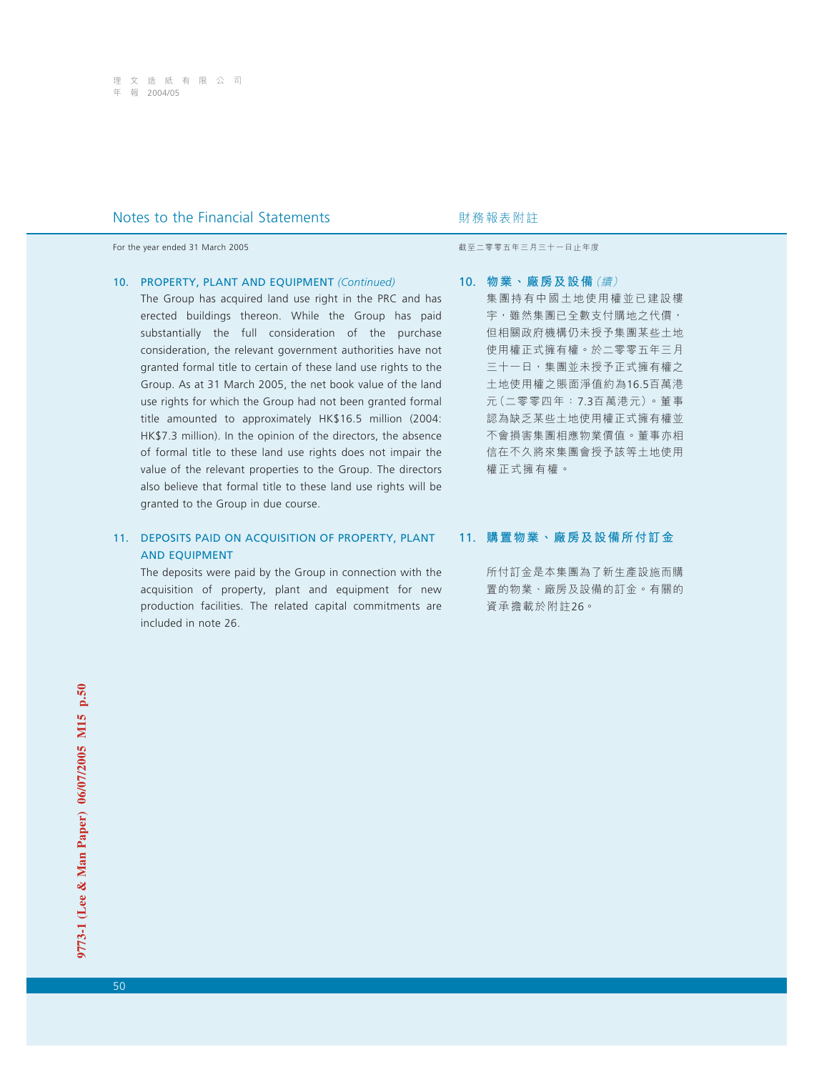For the year ended 31 March 2005 **by a strategies and the year ended 31 March 2005** by a strategies of the strategies and the strategies are strategies and the strategies are strategies and the strategies are strategies a

## 10. PROPERTY, PLANT AND EQUIPMENT *(Continued)*

The Group has acquired land use right in the PRC and has erected buildings thereon. While the Group has paid substantially the full consideration of the purchase consideration, the relevant government authorities have not granted formal title to certain of these land use rights to the Group. As at 31 March 2005, the net book value of the land use rights for which the Group had not been granted formal title amounted to approximately HK\$16.5 million (2004: HK\$7.3 million). In the opinion of the directors, the absence of formal title to these land use rights does not impair the value of the relevant properties to the Group. The directors also believe that formal title to these land use rights will be granted to the Group in due course.

# 11. DEPOSITS PAID ON ACQUISITION OF PROPERTY, PLANT AND EQUIPMENT

The deposits were paid by the Group in connection with the acquisition of property, plant and equipment for new production facilities. The related capital commitments are included in note 26.

# 10. **物業、廠房及設備**(續) 集團持有中國土地使用權並已建設樓 宇,雖然集團已全數支付購地之代價, 但相關政府機構仍未授予集團某些土地 使用權正式擁有權。於二零零五年三月 三十一日,集團並未授予正式擁有權之 土地使用權之賬面淨值約為16.5百萬港 元(二零零四年:7.3百萬港元)。董事 認為缺乏某些土地使用權正式擁有權並 不會損害集團相應物業價值。董事亦相 信在不久將來集團會授予該等土地使用 權正式擁有權。

## 11. **購置物業、廠房及設備所付訂金**

所付訂金是本集團為了新生產設施而購 置的物業、廠房及設備的訂金。有關的 資承擔載於附註26。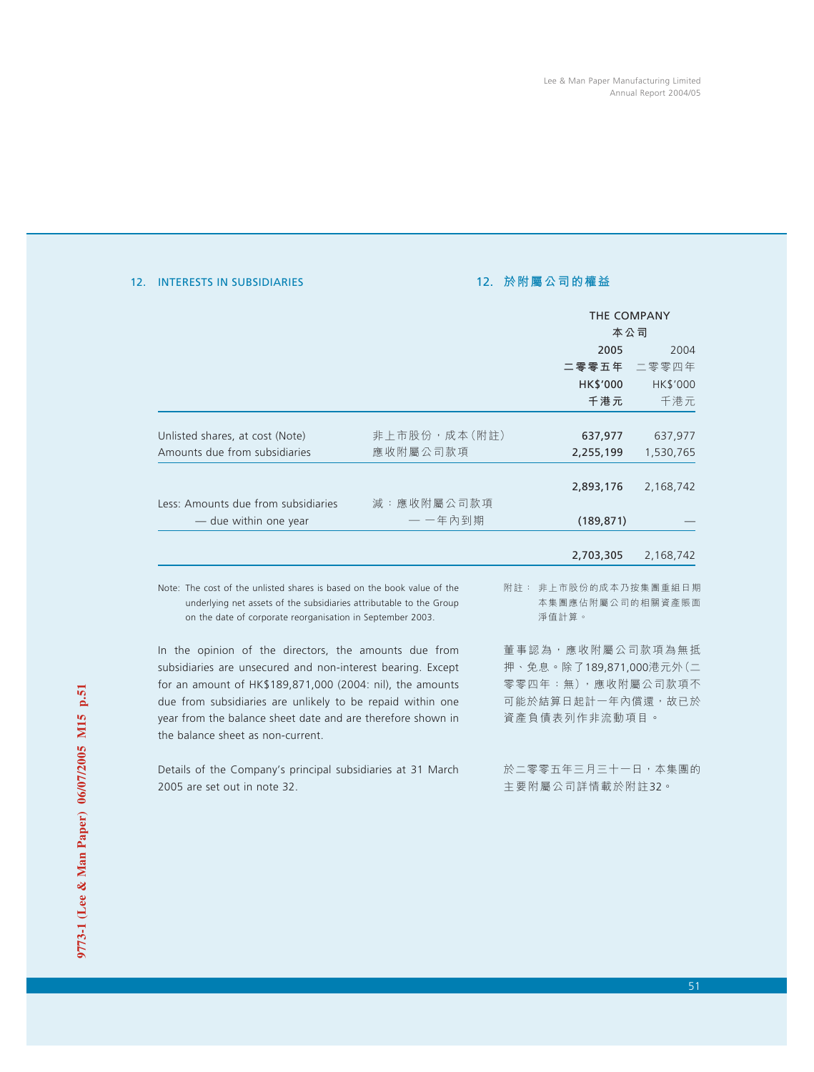## 12. INTERESTS IN SUBSIDIARIES

# 12. **於附屬公司的權益**

|                                                                                                                                   |              | THE COMPANY                     |           |  |
|-----------------------------------------------------------------------------------------------------------------------------------|--------------|---------------------------------|-----------|--|
|                                                                                                                                   |              | 本公司                             |           |  |
|                                                                                                                                   |              | 2005                            | 2004      |  |
|                                                                                                                                   |              | 二零零五年                           | 二零零四年     |  |
|                                                                                                                                   |              | HK\$'000                        | HK\$'000  |  |
|                                                                                                                                   |              | 千港元                             | 千港元       |  |
|                                                                                                                                   |              |                                 |           |  |
| Unlisted shares, at cost (Note)                                                                                                   | 非上市股份,成本(附註) | 637,977                         | 637,977   |  |
| Amounts due from subsidiaries                                                                                                     | 應收附屬公司款項     | 2,255,199                       | 1,530,765 |  |
|                                                                                                                                   |              |                                 |           |  |
|                                                                                                                                   |              | 2,893,176                       | 2,168,742 |  |
| Less: Amounts due from subsidiaries                                                                                               | 減:應收附屬公司款項   |                                 |           |  |
| — due within one year                                                                                                             | 一 一年內到期      | (189, 871)                      |           |  |
|                                                                                                                                   |              |                                 |           |  |
|                                                                                                                                   |              | 2,703,305                       | 2,168,742 |  |
|                                                                                                                                   |              |                                 |           |  |
| Note: The cost of the unlisted shares is based on the book value of the                                                           |              | 附註: 非上市股份的成本乃按集團重組日期            |           |  |
| underlying net assets of the subsidiaries attributable to the Group<br>on the date of corporate reorganisation in September 2003. |              | 本集團應佔附屬公司的相關資產賬面<br>淨值計算。       |           |  |
|                                                                                                                                   |              |                                 |           |  |
| In the opinion of the directors, the amounts due from                                                                             |              | 董 事 認 為 , 應 收 附 屬 公 司 款 項 為 無 抵 |           |  |

In the opinion of the directors, the amounts due from subsidiaries are unsecured and non-interest bearing. Except for an amount of HK\$189,871,000 (2004: nil), the amounts due from subsidiaries are unlikely to be repaid within one year from the balance sheet date and are therefore shown in the balance sheet as non-current.

Details of the Company's principal subsidiaries at 31 March 2005 are set out in note 32.

押、免息。除了189,871,000港元外(二 零零四年:無),應收附屬公司款項不 可能於結算日起計一年內償還,故已於 資產負債表列作非流動項目。

於二零零五年三月三十一日,本集團的 主要附屬公司詳情載於附註32。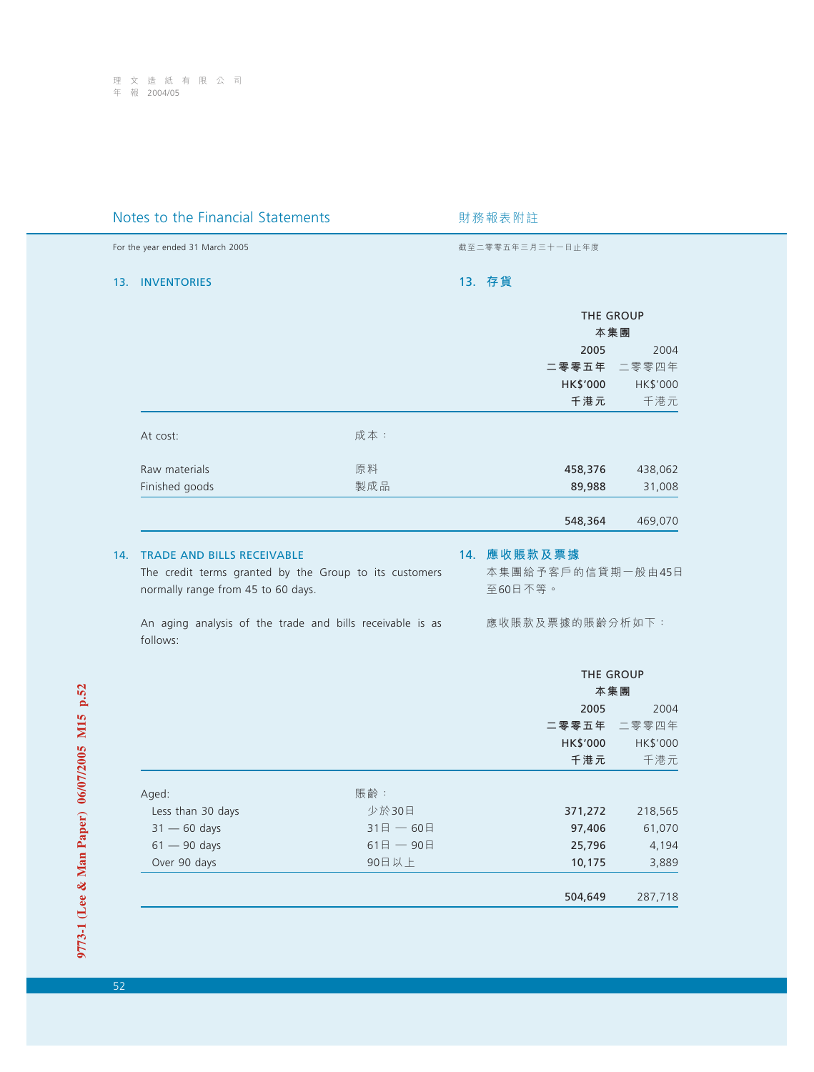| Notes to the Financial Statements |                                                                                                                                                                                                |              | 財務報表附註 |                                                                |               |  |
|-----------------------------------|------------------------------------------------------------------------------------------------------------------------------------------------------------------------------------------------|--------------|--------|----------------------------------------------------------------|---------------|--|
|                                   | For the year ended 31 March 2005                                                                                                                                                               |              |        | 截至二零零五年三月三十一日止年度                                               |               |  |
| 13.                               | <b>INVENTORIES</b>                                                                                                                                                                             |              |        | 13. 存貨                                                         |               |  |
|                                   |                                                                                                                                                                                                |              |        | THE GROUP                                                      |               |  |
|                                   |                                                                                                                                                                                                |              |        | 本集團                                                            |               |  |
|                                   |                                                                                                                                                                                                |              |        | 2005                                                           | 2004          |  |
|                                   |                                                                                                                                                                                                |              |        | 二零零五年                                                          | 二零零四年         |  |
|                                   |                                                                                                                                                                                                |              |        | HK\$'000                                                       | HK\$'000      |  |
|                                   |                                                                                                                                                                                                |              |        | 千港元                                                            | 千港元           |  |
|                                   | At cost:                                                                                                                                                                                       | 成本:          |        |                                                                |               |  |
|                                   | Raw materials                                                                                                                                                                                  | 原料           |        | 458,376                                                        | 438,062       |  |
|                                   | Finished goods                                                                                                                                                                                 | 製成品          |        | 89,988                                                         | 31,008        |  |
|                                   |                                                                                                                                                                                                |              |        | 548,364                                                        | 469,070       |  |
| 14.                               | <b>TRADE AND BILLS RECEIVABLE</b><br>The credit terms granted by the Group to its customers<br>normally range from 45 to 60 days.<br>An aging analysis of the trade and bills receivable is as |              |        | 14. 應收賬款及票據<br>本集團給予客戶的信貸期一般由45日<br>至60日不等。<br>應收賬款及票據的賬齡分析如下: |               |  |
|                                   | follows:                                                                                                                                                                                       |              |        |                                                                |               |  |
|                                   |                                                                                                                                                                                                |              |        | THE GROUP                                                      |               |  |
|                                   |                                                                                                                                                                                                |              |        | 本集團                                                            |               |  |
|                                   |                                                                                                                                                                                                |              |        | 2005<br>二零零五年                                                  | 2004<br>二零零四年 |  |
|                                   |                                                                                                                                                                                                |              |        | HK\$'000                                                       | HK\$'000      |  |
|                                   |                                                                                                                                                                                                |              |        | 千港元                                                            | 千港元           |  |
|                                   |                                                                                                                                                                                                |              |        |                                                                |               |  |
|                                   | Aged:                                                                                                                                                                                          | 賬齡:          |        |                                                                |               |  |
|                                   | Less than 30 days                                                                                                                                                                              | 少於30日        |        | 371,272                                                        | 218,565       |  |
|                                   | $31 - 60$ days                                                                                                                                                                                 | $31$ 日 - 60日 |        | 97,406                                                         | 61,070        |  |
|                                   | $61 - 90$ days                                                                                                                                                                                 | $61$ 日 - 90日 |        | 25,796                                                         | 4,194         |  |
|                                   | Over 90 days                                                                                                                                                                                   | 90日以上        |        | 10,175                                                         | 3,889         |  |
|                                   |                                                                                                                                                                                                |              |        | 504,649                                                        | 287,718       |  |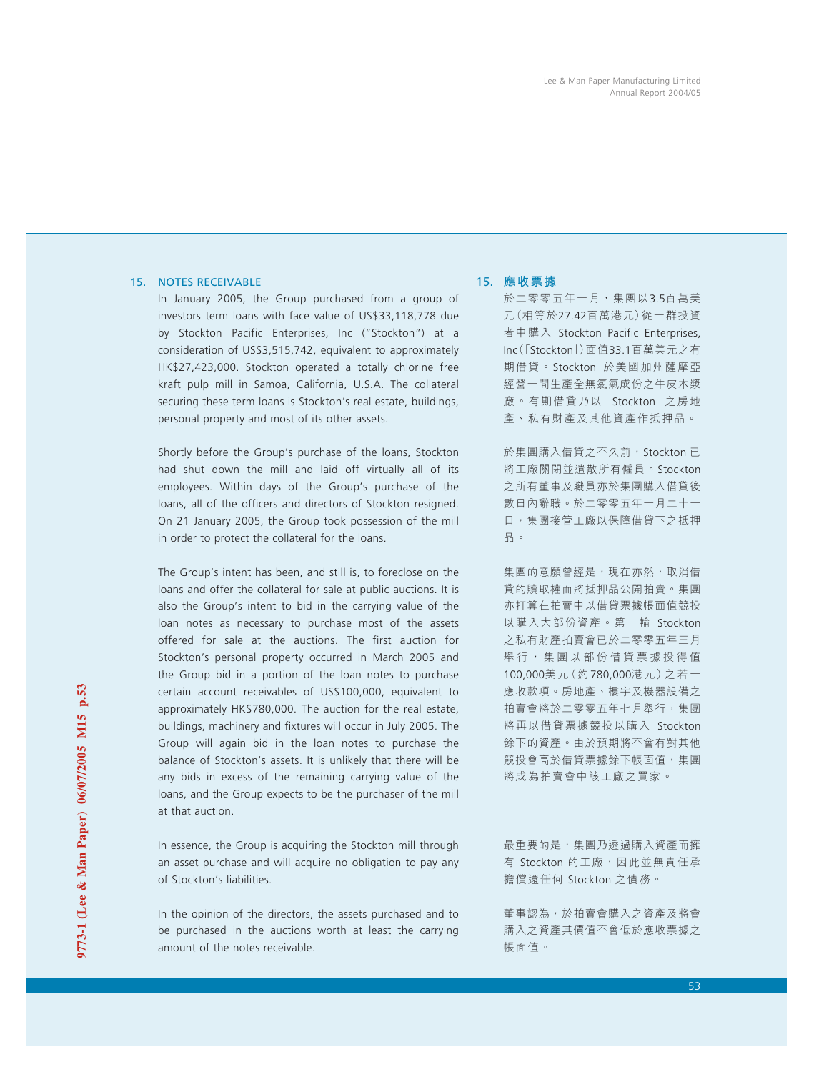## 15. NOTES RECEIVABLE

In January 2005, the Group purchased from a group of investors term loans with face value of US\$33,118,778 due by Stockton Pacific Enterprises, Inc ("Stockton") at a consideration of US\$3,515,742, equivalent to approximately HK\$27,423,000. Stockton operated a totally chlorine free kraft pulp mill in Samoa, California, U.S.A. The collateral securing these term loans is Stockton's real estate, buildings, personal property and most of its other assets.

Shortly before the Group's purchase of the loans, Stockton had shut down the mill and laid off virtually all of its employees. Within days of the Group's purchase of the loans, all of the officers and directors of Stockton resigned. On 21 January 2005, the Group took possession of the mill in order to protect the collateral for the loans.

The Group's intent has been, and still is, to foreclose on the loans and offer the collateral for sale at public auctions. It is also the Group's intent to bid in the carrying value of the loan notes as necessary to purchase most of the assets offered for sale at the auctions. The first auction for Stockton's personal property occurred in March 2005 and the Group bid in a portion of the loan notes to purchase certain account receivables of US\$100,000, equivalent to approximately HK\$780,000. The auction for the real estate, buildings, machinery and fixtures will occur in July 2005. The Group will again bid in the loan notes to purchase the balance of Stockton's assets. It is unlikely that there will be any bids in excess of the remaining carrying value of the loans, and the Group expects to be the purchaser of the mill at that auction.

In essence, the Group is acquiring the Stockton mill through an asset purchase and will acquire no obligation to pay any of Stockton's liabilities.

In the opinion of the directors, the assets purchased and to be purchased in the auctions worth at least the carrying amount of the notes receivable.

## 15. **應收票據**

於二零零五年一月,集團以3.5百萬美 元(相等於27.42百萬港元)從一群投資 者中購入 Stockton Pacific Enterprises, Inc(「Stockton」)面值33.1百萬美元之有 期借貸。Stockton 於美國加州薩摩亞 經營一間生產全無氯氣成份之牛皮木漿 廠。有期借貸乃以 Stockton 之房地 產、私有財產及其他資產作抵押品。

於集團購入借貸之不久前, Stockton 已 將工廠關閉並遣散所有僱員。Stockton 之所有董事及職員亦於集團購入借貸後 數日內辭職。於二零零五年一月二十一 日,集團接管工廠以保障借貸下之抵押 品。

集團的意願曾經是,現在亦然,取消借 貸的贖取權而將抵押品公開拍賣。集團 亦打算在拍賣中以借貸票據帳面值競投 以購入大部份資產。第一輪 Stockton 之私有財產拍賣會已於二零零五年三月 舉行,集團以部份借貸票據投得值 100,000美元(約780,000港元)之若干 應收款項。房地產、樓宇及機器設備之 拍賣會將於二零零五年七月舉行,集團 將再以借貸票據競投以購入 Stockton 餘下的資產。由於預期將不會有對其他 競投會高於借貸票據餘下帳面值,集團 將成為拍賣會中該工廠之買家。

最重要的是,集團乃透過購入資產而擁 有 Stockton 的工廠,因此並無責任承 擔償還任何 Stockton 之債務。

董事認為,於拍賣會購入之資產及將會 購入之資產其價值不會低於應收票據之 帳面值。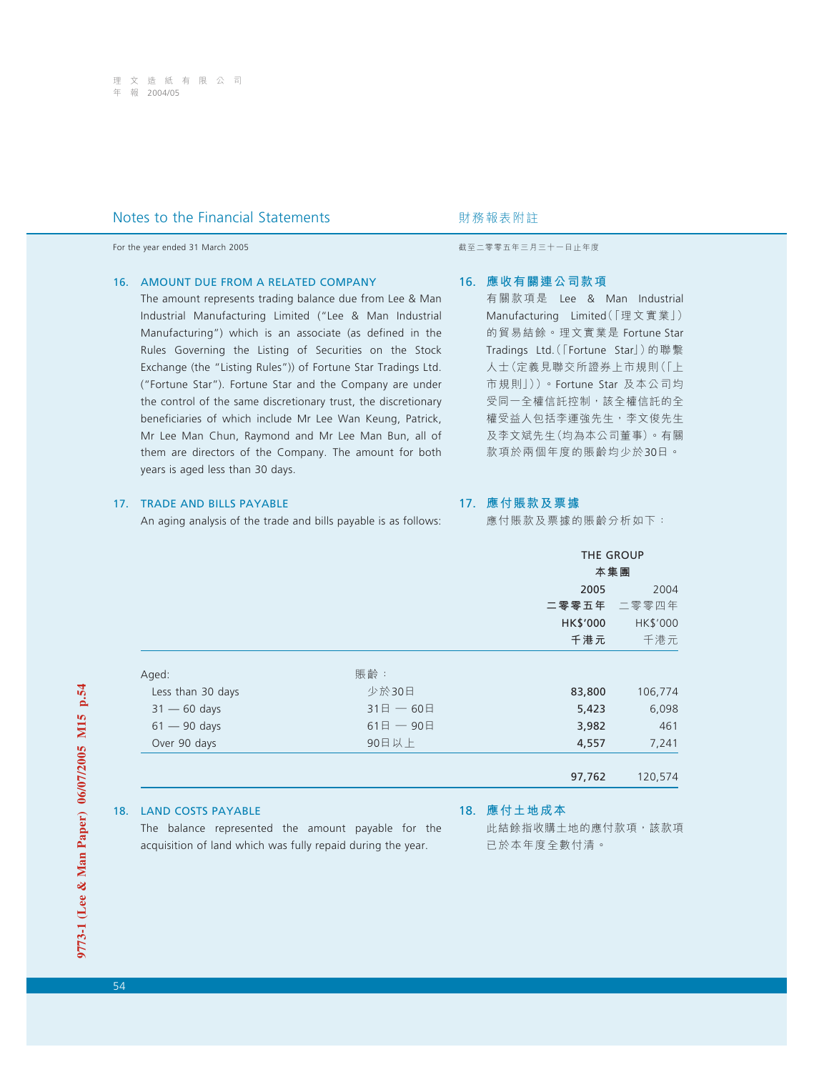For the year ended 31 March 2005 **by a strategies and the year ended 31 March 2005** by a strategies of the strategies and the strategies are strategies and the strategies are strategies and the strategies are strategies a

## 16. AMOUNT DUE FROM A RELATED COMPANY

The amount represents trading balance due from Lee & Man Industrial Manufacturing Limited ("Lee & Man Industrial Manufacturing") which is an associate (as defined in the Rules Governing the Listing of Securities on the Stock Exchange (the "Listing Rules")) of Fortune Star Tradings Ltd. ("Fortune Star"). Fortune Star and the Company are under the control of the same discretionary trust, the discretionary beneficiaries of which include Mr Lee Wan Keung, Patrick, Mr Lee Man Chun, Raymond and Mr Lee Man Bun, all of them are directors of the Company. The amount for both years is aged less than 30 days.

## 17. TRADE AND BILLS PAYABLE

An aging analysis of the trade and bills payable is as follows:

## 16. **應收有關連公司款項**

有關款項是 Lee & Man Industrial Manufacturing Limited(「理文實業」) 的貿易結餘。理文實業是 Fortune Star Tradings Ltd.(「Fortune Star」)的聯繫 人士(定義見聯交所證券上市規則(「上 市規則」))。Fortune Star 及本公司均 受同一全權信託控制,該全權信託的全 權受益人包括李運強先生,李文俊先生 及李文斌先生(均為本公司董事)。有關 款項於兩個年度的賬齡均少於30日。

# 17. **應付賬款及票據**

應付賬款及票據的賬齡分析如下:

|                   |              | <b>THE GROUP</b><br>本集團 |             |  |
|-------------------|--------------|-------------------------|-------------|--|
|                   |              | 2005                    | 2004        |  |
|                   |              |                         | 二零零五年 二零零四年 |  |
|                   |              | HK\$'000                | HK\$'000    |  |
|                   |              | 千港元                     | 千港元         |  |
| Aged:             | 賬齡:          |                         |             |  |
| Less than 30 days | 少於30日        | 83,800                  | 106,774     |  |
| $31 - 60$ days    | $31$ 日 - 60日 | 5,423                   | 6,098       |  |
| $61 - 90$ days    | $61$ 日 - 90日 | 3,982                   | 461         |  |
| Over 90 days      | 90日以上        | 4,557                   | 7,241       |  |
|                   |              |                         |             |  |
|                   |              | 97,762                  | 120,574     |  |

## 18. LAND COSTS PAYABLE

The balance represented the amount payable for the acquisition of land which was fully repaid during the year.

## 18. **應付土地成本**

此結餘指收購土地的應付款項, 該款項 已於本年度全數付清。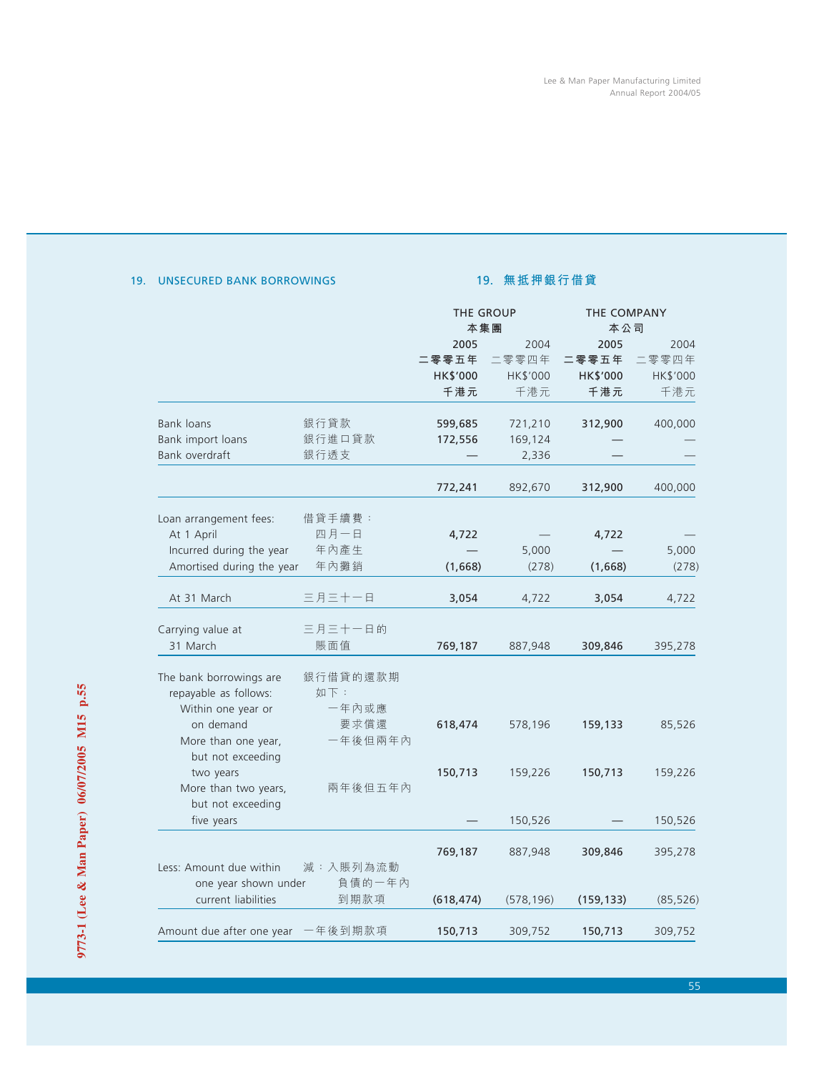# 19. UNSECURED BANK BORROWINGS

# 19. **無抵押銀行借貸**

|                                |          | THE GROUP<br>本集團 |            | THE COMPANY<br>本公司 |           |  |
|--------------------------------|----------|------------------|------------|--------------------|-----------|--|
|                                |          | 2005             | 2004       | 2005               | 2004      |  |
|                                |          | 二零零五年            | 二零零四年      | 二零零五年              | 二零零四年     |  |
|                                |          | HK\$'000         | HK\$'000   | HK\$'000           | HK\$'000  |  |
|                                |          | 千港元              | 千港元        | 千港元                | 千港元       |  |
| Bank loans                     | 銀行貸款     | 599,685          | 721,210    | 312,900            | 400,000   |  |
| Bank import loans              | 銀行進口貸款   | 172,556          | 169,124    |                    |           |  |
| Bank overdraft                 | 銀行透支     |                  | 2,336      |                    |           |  |
|                                |          | 772,241          | 892,670    | 312,900            | 400,000   |  |
| Loan arrangement fees:         | 借貸手續費:   |                  |            |                    |           |  |
| At 1 April                     | 四月一日     | 4,722            |            | 4,722              |           |  |
| Incurred during the year       | 年內產生     |                  | 5,000      |                    | 5,000     |  |
| Amortised during the year      | 年內攤銷     | (1,668)          | (278)      | (1,668)            | (278)     |  |
| At 31 March                    | 三月三十一日   | 3,054            | 4,722      | 3,054              | 4,722     |  |
| Carrying value at              | 三月三十一日的  |                  |            |                    |           |  |
| 31 March                       | 賬面值      | 769,187          | 887,948    | 309,846            | 395,278   |  |
| The bank borrowings are        | 銀行借貸的還款期 |                  |            |                    |           |  |
| repayable as follows:          | 如下:      |                  |            |                    |           |  |
| Within one year or             | 一年內或應    |                  |            |                    |           |  |
| on demand                      | 要求償還     | 618,474          | 578,196    | 159,133            | 85,526    |  |
| More than one year,            | 一年後但兩年內  |                  |            |                    |           |  |
| but not exceeding<br>two years |          | 150,713          | 159,226    | 150,713            | 159,226   |  |
| More than two years,           | 兩年後但五年內  |                  |            |                    |           |  |
| but not exceeding              |          |                  |            |                    |           |  |
| five years                     |          |                  | 150,526    |                    | 150,526   |  |
|                                |          | 769,187          | 887,948    | 309,846            | 395,278   |  |
| Less: Amount due within        | 減:入賬列為流動 |                  |            |                    |           |  |
| one year shown under           | 負債的一年內   |                  |            |                    |           |  |
| current liabilities            | 到期款項     | (618, 474)       | (578, 196) | (159, 133)         | (85, 526) |  |
| Amount due after one year      | 一年後到期款項  | 150,713          | 309,752    | 150,713            | 309,752   |  |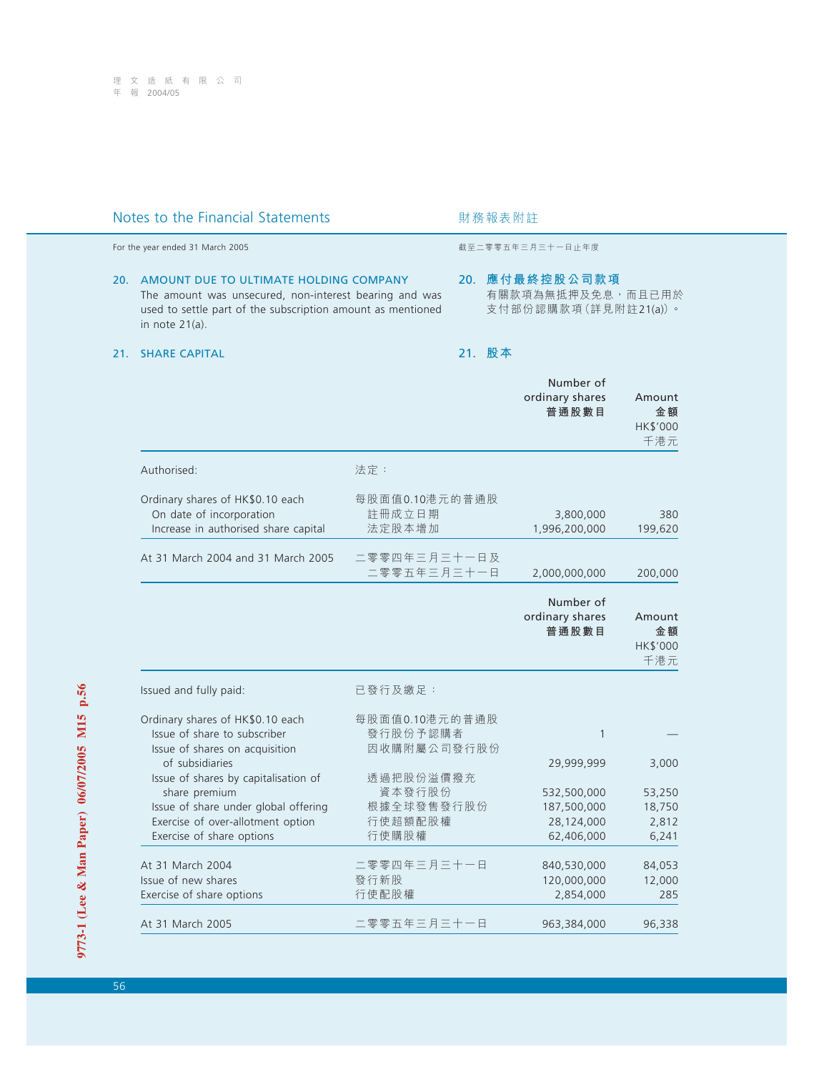# Notes to the Financial Statements **Notes html** 财務報表附註

## 20. AMOUNT DUE TO ULTIMATE HOLDING COMPANY The amount was unsecured, non-interest bearing and was used to settle part of the subscription amount as mentioned in note 21(a).

## 21. SHARE CAPITAL

For the year ended 31 March 2005 截至二零零五年三月三十一日止年度

## 20. **應付最終控股公司款項** 有關款項為無抵押及免息,而且已用於 支付部份認購款項(詳見附註21(a))。

# 21. **股本**

|                                                                                                                                                                 |                                                       | Number of<br>ordinary shares<br>普通股數目                                | Amount<br>金額<br>HK\$'000<br>千港元             |
|-----------------------------------------------------------------------------------------------------------------------------------------------------------------|-------------------------------------------------------|----------------------------------------------------------------------|---------------------------------------------|
| Authorised:                                                                                                                                                     | 法定:                                                   |                                                                      |                                             |
| Ordinary shares of HK\$0.10 each<br>On date of incorporation<br>Increase in authorised share capital                                                            | 每股面值0.10港元的普通股<br>註冊成立日期<br>法定股本增加                    | 3,800,000<br>1,996,200,000                                           | 380<br>199,620                              |
| At 31 March 2004 and 31 March 2005                                                                                                                              | 二零零四年三月三十一日及<br>二零零五年三月三十一日                           | 2,000,000,000                                                        | 200,000                                     |
|                                                                                                                                                                 |                                                       | Number of<br>ordinary shares<br>普通股數目                                | Amount<br>金額<br>HK\$'000<br>千港元             |
| Issued and fully paid:                                                                                                                                          | 已發行及繳足:                                               |                                                                      |                                             |
| Ordinary shares of HK\$0.10 each<br>Issue of share to subscriber<br>Issue of shares on acquisition<br>of subsidiaries                                           | 每股面值0.10港元的普通股<br>發行股份予認購者<br>因收購附屬公司發行股份             | $\mathbf{1}$                                                         |                                             |
| Issue of shares by capitalisation of<br>share premium<br>Issue of share under global offering<br>Exercise of over-allotment option<br>Exercise of share options | 透過把股份溢價撥充<br>資本發行股份<br>根據全球發售發行股份<br>行使超額配股權<br>行使購股權 | 29,999,999<br>532,500,000<br>187,500,000<br>28,124,000<br>62,406,000 | 3,000<br>53,250<br>18,750<br>2,812<br>6,241 |
| At 31 March 2004<br>Issue of new shares<br>Exercise of share options                                                                                            | 二零零四年三月三十一日<br>發行新股<br>行使配股權                          | 840,530,000<br>120,000,000<br>2,854,000                              | 84,053<br>12,000<br>285                     |
| At 31 March 2005                                                                                                                                                | 二零零五年三月三十一日                                           | 963,384,000                                                          | 96,338                                      |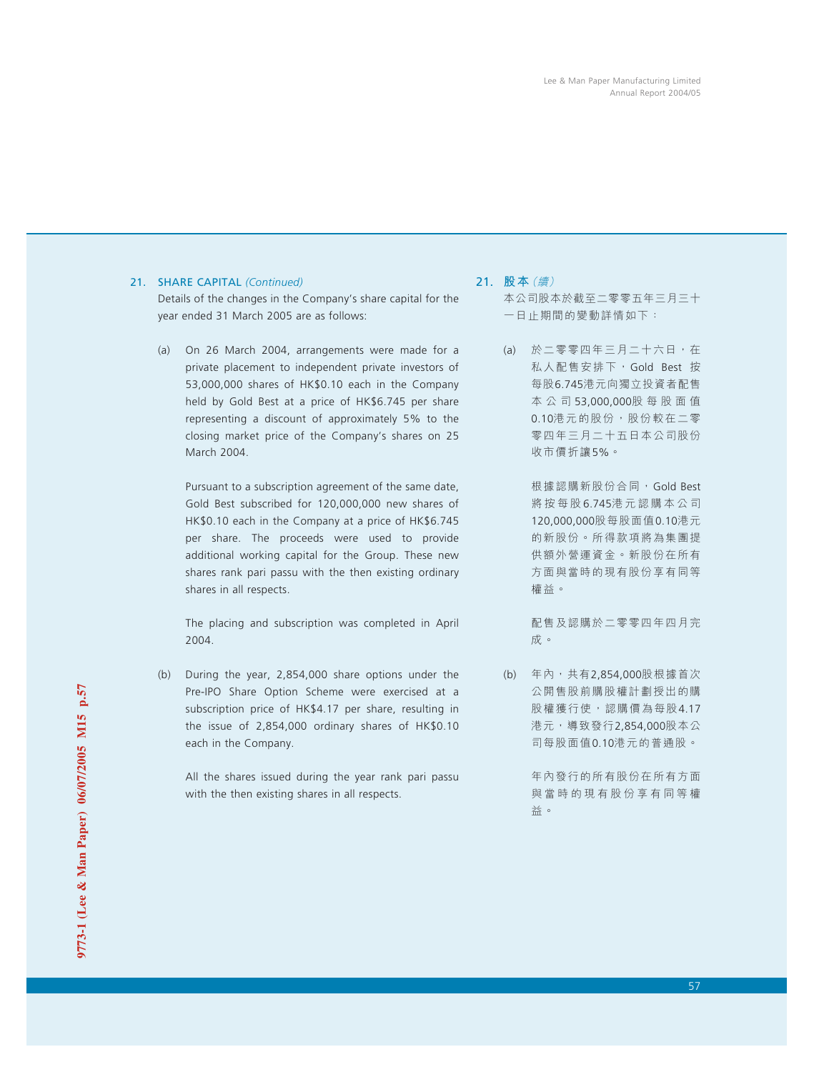## 21. SHARE CAPITAL *(Continued)*

Details of the changes in the Company's share capital for the year ended 31 March 2005 are as follows:

(a) On 26 March 2004, arrangements were made for a private placement to independent private investors of 53,000,000 shares of HK\$0.10 each in the Company held by Gold Best at a price of HK\$6.745 per share representing a discount of approximately 5% to the closing market price of the Company's shares on 25 March 2004.

Pursuant to a subscription agreement of the same date, Gold Best subscribed for 120,000,000 new shares of HK\$0.10 each in the Company at a price of HK\$6.745 per share. The proceeds were used to provide additional working capital for the Group. These new shares rank pari passu with the then existing ordinary shares in all respects.

The placing and subscription was completed in April 2004.

(b) During the year, 2,854,000 share options under the Pre-IPO Share Option Scheme were exercised at a subscription price of HK\$4.17 per share, resulting in the issue of 2,854,000 ordinary shares of HK\$0.10 each in the Company.

All the shares issued during the year rank pari passu with the then existing shares in all respects.

- 21. **股本**(續)
	- 本公司股本於截至二零零五年三月三十 一日止期間的變動詳情如下:
	- (a) 於二零零四年三月二十六日,在 私人配售安排下,Gold Best 按 每股6.745港元向獨立投資者配售 本公司 53,000,000股每股面值 0.10港元的股份,股份較在二零 零四年三月二十五日本公司股份 收市價折讓5%。

根據認購新股份合同, Gold Best 將按每股 6.745港元認購本公司 120,000,000股每股面值0.10港元 的新股份。所得款項將為集團提 供額外營運資金。新股份在所有 方面與當時的現有股份享有同等 權益。

配售及認購於二零零四年四月完 成。

(b) 年內,共有2,854,000股根據首次 公開售股前購股權計劃授出的購 股權獲行使,認購價為每股4.17 港元,導致發行2,854,000股本公 司每股面值0.10港元的普通股。

> 年內發行的所有股份在所有方面 與當時的現有股份享有同等權 益。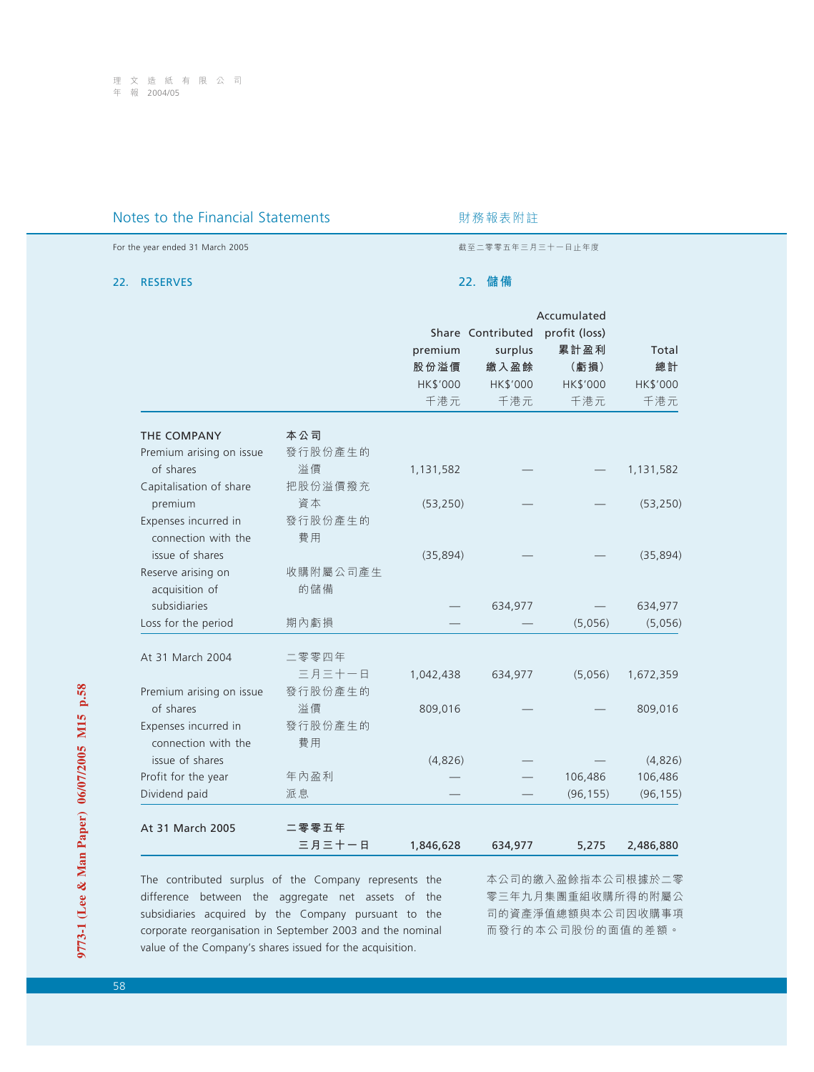# Notes to the Financial Statements **Notes** 对務報表附註

For the year ended 31 March 2005 截至二零零五年三月三十一日止年度

## 22. RESERVES

## 22. **儲備**

| Total<br>總計<br>HK\$'000<br>千港元 |
|--------------------------------|
| 1,131,582                      |
|                                |
|                                |
|                                |
|                                |
|                                |
|                                |
|                                |
| (53, 250)                      |
|                                |
|                                |
|                                |
| (35, 894)                      |
|                                |
|                                |
| 634,977                        |
| (5,056)                        |
|                                |
| 1,672,359                      |
|                                |
| 809,016                        |
|                                |
|                                |
| (4,826)                        |
| 106,486                        |
| (96, 155)                      |
|                                |
| 2,486,880                      |
|                                |

The contributed surplus of the Company represents the difference between the aggregate net assets of the subsidiaries acquired by the Company pursuant to the corporate reorganisation in September 2003 and the nominal value of the Company's shares issued for the acquisition.

本公司的繳入盈餘指本公司根據於二零 零三年九月集團重組收購所得的附屬公 司的資產淨值總額與本公司因收購事項 而發行的本公司股份的面值的差額。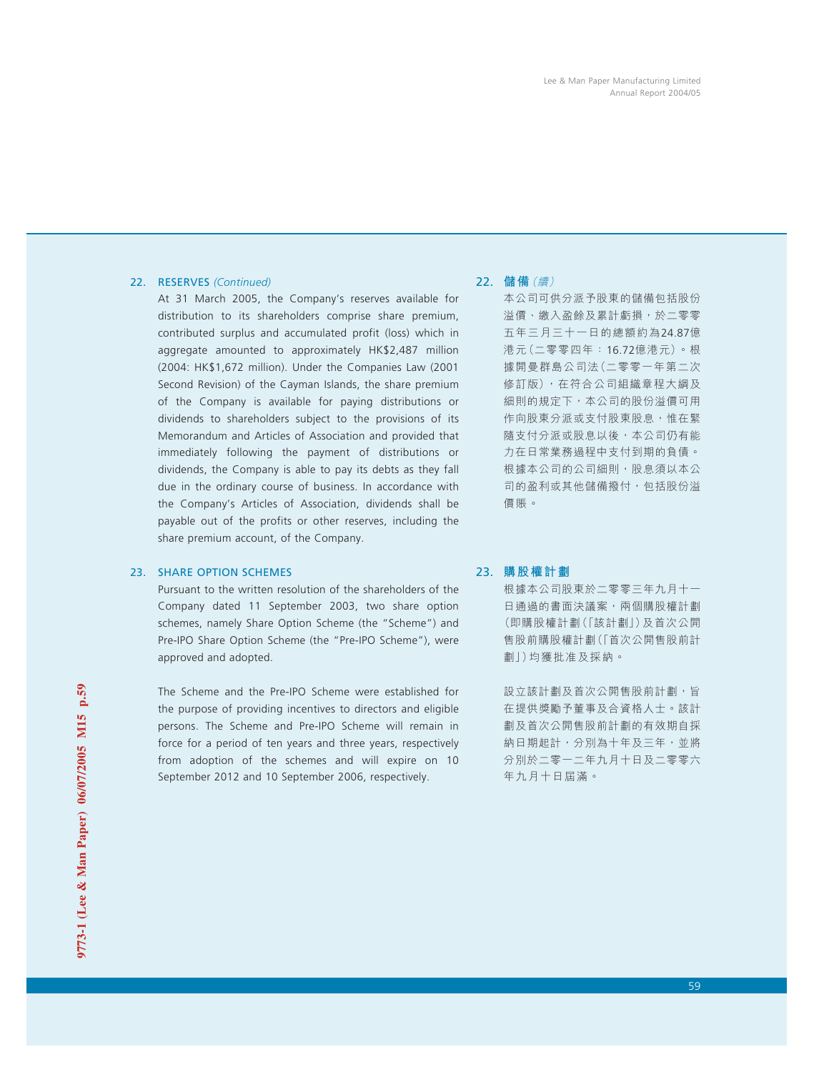## 22. RESERVES *(Continued)*

At 31 March 2005, the Company's reserves available for distribution to its shareholders comprise share premium, contributed surplus and accumulated profit (loss) which in aggregate amounted to approximately HK\$2,487 million (2004: HK\$1,672 million). Under the Companies Law (2001 Second Revision) of the Cayman Islands, the share premium of the Company is available for paying distributions or dividends to shareholders subject to the provisions of its Memorandum and Articles of Association and provided that immediately following the payment of distributions or dividends, the Company is able to pay its debts as they fall due in the ordinary course of business. In accordance with the Company's Articles of Association, dividends shall be payable out of the profits or other reserves, including the share premium account, of the Company.

## 23. SHARE OPTION SCHEMES

Pursuant to the written resolution of the shareholders of the Company dated 11 September 2003, two share option schemes, namely Share Option Scheme (the "Scheme") and Pre-IPO Share Option Scheme (the "Pre-IPO Scheme"), were approved and adopted.

The Scheme and the Pre-IPO Scheme were established for the purpose of providing incentives to directors and eligible persons. The Scheme and Pre-IPO Scheme will remain in force for a period of ten years and three years, respectively from adoption of the schemes and will expire on 10 September 2012 and 10 September 2006, respectively.

## 22. **儲備**(續)

本公司可供分派予股東的儲備包括股份 溢價、繳入盈餘及累計虧損,於二零零 五年三月三十一日的總額約為24.87億 港元(二零零四年:16.72億港元)。根 據開曼群島公司法(二零零一年第二次 修訂版), 在符合公司組織章程大綱及 細則的規定下,本公司的股份溢價可用 作向股東分派或支付股東股息,惟在緊 隨支付分派或股息以後,本公司仍有能 力在日常業務過程中支付到期的負債。 根據本公司的公司細則,股息須以本公 司的盈利或其他儲備撥付,包括股份溢 價賬。

## 23. **購股權計劃**

根據本公司股東於二零零三年九月十一 日通過的書面決議案,兩個購股權計劃 (即購股權計劃(「該計劃」)及首次公開 售股前購股權計劃(「首次公開售股前計 劃」)均獲批准及採納。

設立該計劃及首次公開售股前計劃,旨 在提供獎勵予董事及合資格人士。該計 劃及首次公開售股前計劃的有效期自採 納日期起計,分別為十年及三年,並將 分別於二零一二年九月十日及二零零六 年九月十日屆滿。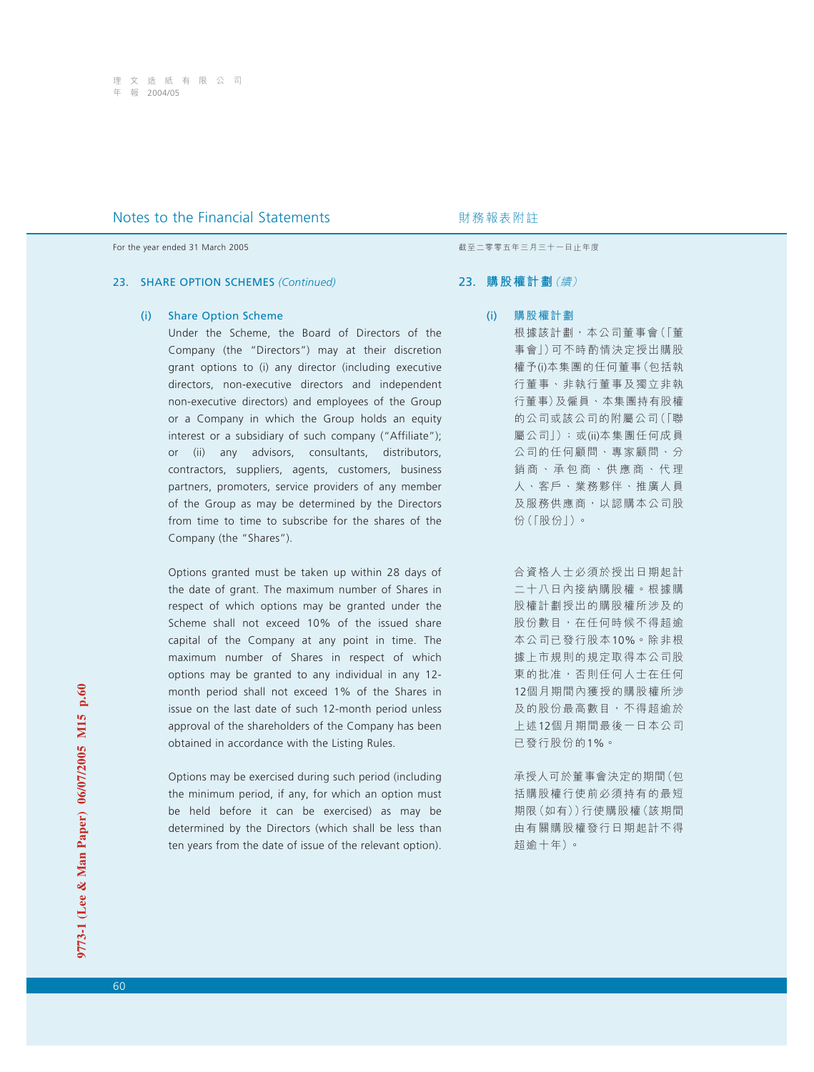For the year ended 31 March 2005 **by a strategies and the year ended 31 March 2005** by a strategies of the strategies and the strategies are strategies and the strategies are strategies and the strategies are strategies a

### 23. SHARE OPTION SCHEMES *(Continued)*

#### (i) Share Option Scheme

Under the Scheme, the Board of Directors of the Company (the "Directors") may at their discretion grant options to (i) any director (including executive directors, non-executive directors and independent non-executive directors) and employees of the Group or a Company in which the Group holds an equity interest or a subsidiary of such company ("Affiliate"); or (ii) any advisors, consultants, distributors, contractors, suppliers, agents, customers, business partners, promoters, service providers of any member of the Group as may be determined by the Directors from time to time to subscribe for the shares of the Company (the "Shares").

Options granted must be taken up within 28 days of the date of grant. The maximum number of Shares in respect of which options may be granted under the Scheme shall not exceed 10% of the issued share capital of the Company at any point in time. The maximum number of Shares in respect of which options may be granted to any individual in any 12 month period shall not exceed 1% of the Shares in issue on the last date of such 12-month period unless approval of the shareholders of the Company has been obtained in accordance with the Listing Rules.

Options may be exercised during such period (including the minimum period, if any, for which an option must be held before it can be exercised) as may be determined by the Directors (which shall be less than ten years from the date of issue of the relevant option).

### 23. **購股權計劃**(續)

(i) 購股權計劃 根據該計劃,本公司董事會(「董 事會」)可不時酌情決定授出購股 權予(i)本集團的任何董事(包括執 行董事、非執行董事及獨立非執 行董事)及僱員、本集團持有股權 的公司或該公司的附屬公司(「聯 屬公司」); 或(ii)本集團任何成員 公司的任何顧問、專家顧問、分 銷商、承包商、供應商、代理 人、客戶、業務夥伴、推廣人員 及服務供應商,以認購本公司股 份(「股份」)。

> 合資格人士必須於授出日期起計 二十八日內接納購股權。根據購 股權計劃授出的購股權所涉及的 股份數目,在任何時候不得超逾 本公司已發行股本10%。除非根 據上市規則的規定取得本公司股 東的批准,否則任何人士在任何 12個月期間內獲授的購股權所涉 及的股份最高數目,不得超逾於 上述12個月期間最後一日本公司 已發行股份的1%。

> 承授人可於董事會決定的期間(包 括購股權行使前必須持有的最短 期限(如有))行使購股權(該期間 由有關購股權發行日期起計不得 超逾十年)。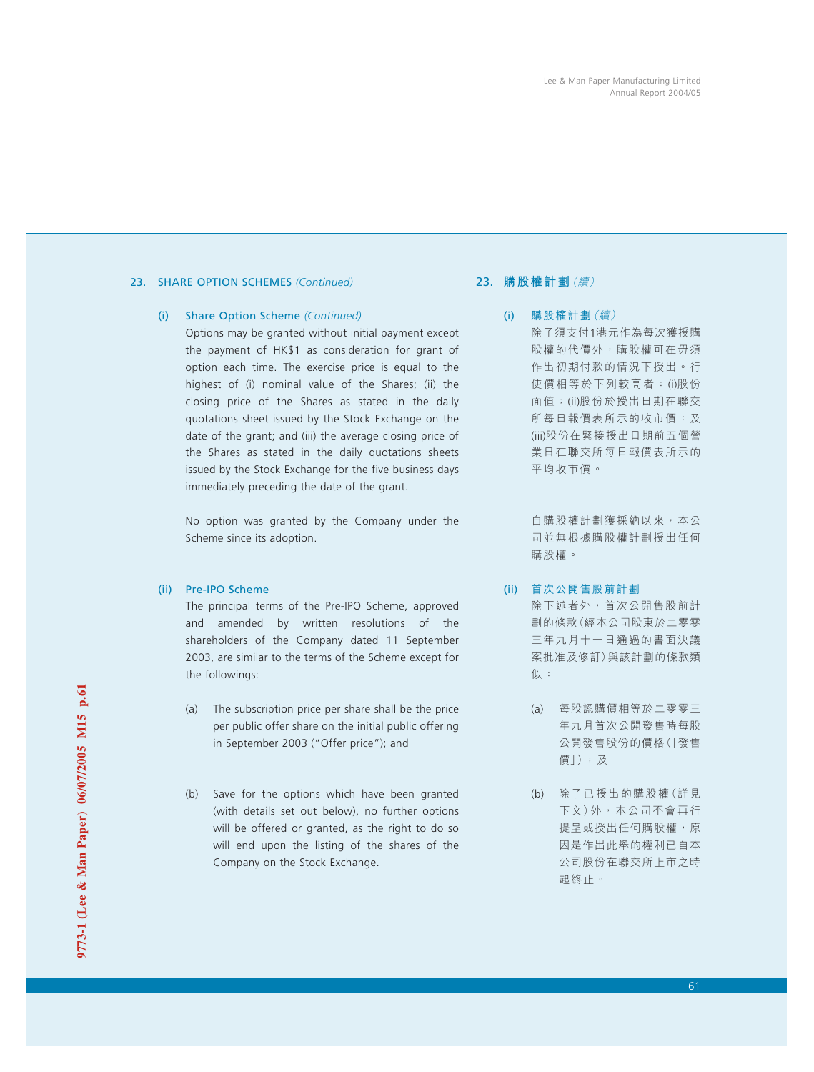## 23. SHARE OPTION SCHEMES *(Continued)*

## (i) Share Option Scheme *(Continued)*

Options may be granted without initial payment except the payment of HK\$1 as consideration for grant of option each time. The exercise price is equal to the highest of (i) nominal value of the Shares; (ii) the closing price of the Shares as stated in the daily quotations sheet issued by the Stock Exchange on the date of the grant; and (iii) the average closing price of the Shares as stated in the daily quotations sheets issued by the Stock Exchange for the five business days immediately preceding the date of the grant.

No option was granted by the Company under the Scheme since its adoption.

## (ii) Pre-IPO Scheme

The principal terms of the Pre-IPO Scheme, approved and amended by written resolutions of the shareholders of the Company dated 11 September 2003, are similar to the terms of the Scheme except for the followings:

- (a) The subscription price per share shall be the price per public offer share on the initial public offering in September 2003 ("Offer price"); and
- (b) Save for the options which have been granted (with details set out below), no further options will be offered or granted, as the right to do so will end upon the listing of the shares of the Company on the Stock Exchange.

# 23. **購股權計劃**(續)

# (i) 購股權計劃(續)

除了須支付1港元作為每次獲授購 股權的代價外,購股權可在毋須 作出初期付款的情況下授出。行 使價相等於下列較高者:(i)股份 面值;(ii)股份於授出日期在聯交 所每日報價表所示的收市價;及 (iii)股份在緊接授出日期前五個營 業日在聯交所每日報價表所示的 平均收市價。

自購股權計劃獲採納以來,本公 司並無根據購股權計劃授出任何 購股權。

- (ii) 首次公開售股前計劃 除下述者外,首次公開售股前計 劃的條款(經本公司股東於二零零 三年九月十一日通過的書面決議 案批准及修訂)與該計劃的條款類 似:
	- (a) 每股認購價相等於二零零三 年九月首次公開發售時每股 公開發售股份的價格(「發售 價」);及
	- (b) 除了已授出的購股權(詳見 下文)外,本公司不會再行 提呈或授出任何購股權,原 因是作出此舉的權利已自本 公司股份在聯交所上市之時 起終止。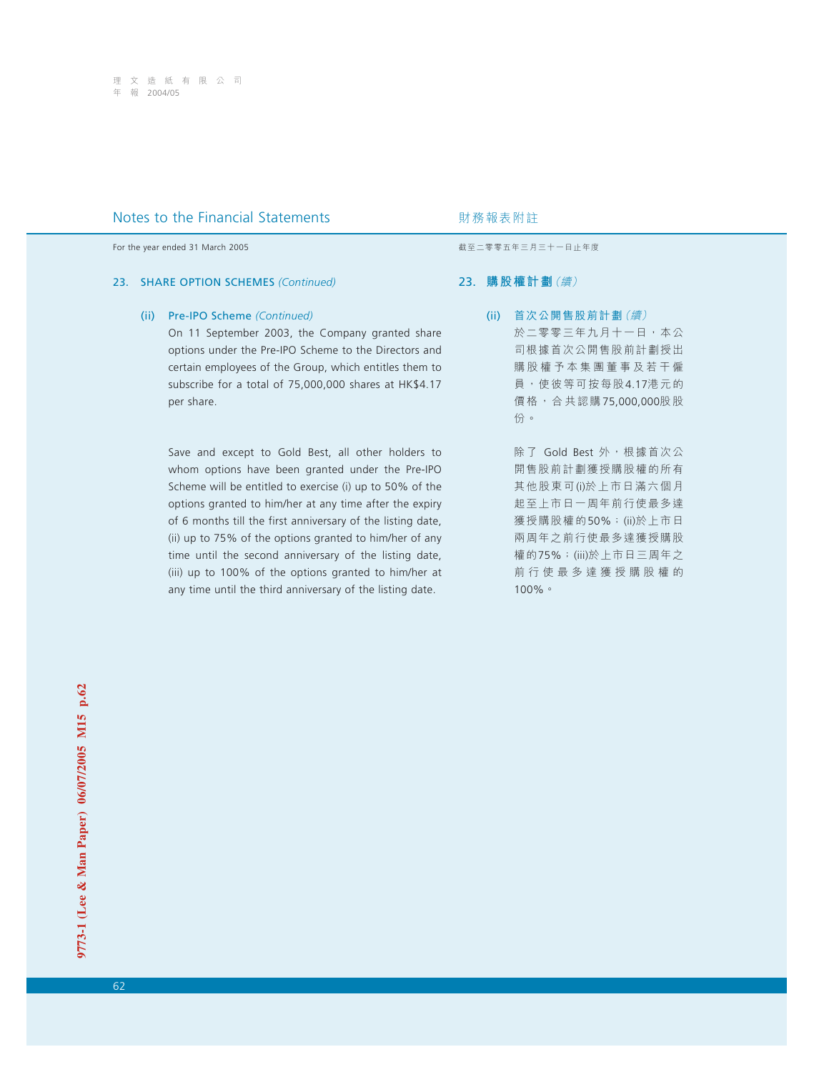For the year ended 31 March 2005 **by a strategies and the year ended 31 March 2005** by a strategies of the strategies and the strategies are strategies and the strategies are strategies and the strategies are strategies a

### 23. SHARE OPTION SCHEMES *(Continued)*

## (ii) Pre-IPO Scheme *(Continued)*

On 11 September 2003, the Company granted share options under the Pre-IPO Scheme to the Directors and certain employees of the Group, which entitles them to subscribe for a total of 75,000,000 shares at HK\$4.17 per share.

Save and except to Gold Best, all other holders to whom options have been granted under the Pre-IPO Scheme will be entitled to exercise (i) up to 50% of the options granted to him/her at any time after the expiry of 6 months till the first anniversary of the listing date, (ii) up to 75% of the options granted to him/her of any time until the second anniversary of the listing date, (iii) up to 100% of the options granted to him/her at any time until the third anniversary of the listing date.

## 23. **購股權計劃**(續)

(ii) 首次公開售股前計劃(續) 於二零零三年九月十一日,本公 司根據首次公開售股前計劃授出 購股權予本集團董事及若干僱 員,使彼等可按每股4.17港元的 價格,合共認購75,000,000股股 份。

> 除了 Gold Best 外, 根據首次公 開售股前計劃獲授購股權的所有 其他股東可(i)於上市日滿六個月 起至上市日一周年前行使最多達 獲授購股權的50%;(ii)於上市日 兩周年之前行使最多達獲授購股 權的75%;(iii)於上市日三周年之 前行使最多達獲授購股權的 100%。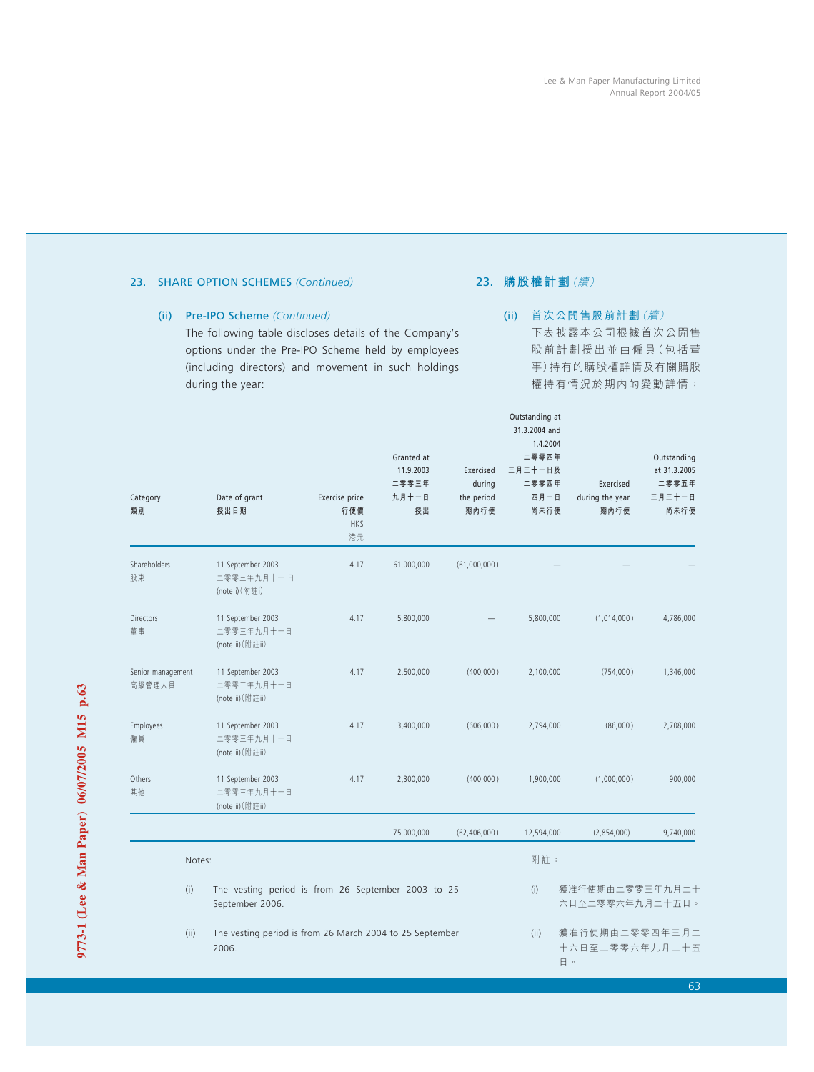# 23. SHARE OPTION SCHEMES *(Continued)*

## (ii) Pre-IPO Scheme *(Continued)*

The following table discloses details of the Company's options under the Pre-IPO Scheme held by employees (including directors) and movement in such holdings during the year:

# 23. **購股權計劃**(續)

Outstanding at

# (ii) 首次公開售股前計劃(續) 下表披露本公司根據首次公開售 股前計劃授出並由僱員(包括董 事)持有的購股權詳情及有關購股 權持有情況於期內的變動詳情:

| Category<br>類別              | Date of grant<br>授出日期                                                 | Exercise price<br>行使價<br>HK\$<br>港元 | Granted at<br>11.9.2003<br>二零零三年<br>九月十一日<br>授出 | Exercised<br>during<br>the period<br>期內行使 | 31.3.2004 and<br>1.4.2004<br>二零零四年<br>三月三十一日及<br>二零零四年<br>四月一日<br>尚未行使 | Exercised<br>during the year<br>期內行使   | Outstanding<br>at 31.3.2005<br>二零零五年<br>三月三十一日<br>尚未行使 |
|-----------------------------|-----------------------------------------------------------------------|-------------------------------------|-------------------------------------------------|-------------------------------------------|------------------------------------------------------------------------|----------------------------------------|--------------------------------------------------------|
| Shareholders<br>股東          | 11 September 2003<br>二零零三年九月十一日<br>(note i) (附註i)                     | 4.17                                | 61,000,000                                      | (61,000,000)                              |                                                                        |                                        |                                                        |
| <b>Directors</b><br>董事      | 11 September 2003<br>二零零三年九月十一日<br>(note ii) (附註ii)                   | 4.17                                | 5,800,000                                       |                                           | 5,800,000                                                              | (1,014,000)                            | 4,786,000                                              |
| Senior management<br>高級管理人員 | 11 September 2003<br>二零零三年九月十一日<br>(note ii) (附註ii)                   | 4.17                                | 2,500,000                                       | (400,000)                                 | 2,100,000                                                              | (754,000)                              | 1,346,000                                              |
| Employees<br>僱員             | 11 September 2003<br>二零零三年九月十一日<br>(note ii) (附註ii)                   | 4.17                                | 3,400,000                                       | (606,000)                                 | 2,794,000                                                              | (86,000)                               | 2,708,000                                              |
| Others<br>其他                | 11 September 2003<br>二零零三年九月十一日<br>(note ii) (附註ii)                   | 4.17                                | 2,300,000                                       | (400,000)                                 | 1,900,000                                                              | (1,000,000)                            | 900,000                                                |
|                             |                                                                       |                                     | 75,000,000                                      | (62, 406, 000)                            | 12,594,000                                                             | (2,854,000)                            | 9,740,000                                              |
| Notes:                      |                                                                       |                                     |                                                 |                                           | 附註:                                                                    |                                        |                                                        |
| (i)                         | The vesting period is from 26 September 2003 to 25<br>September 2006. |                                     |                                                 |                                           | (i)                                                                    | 獲准行使期由二零零三年九月二十<br>六日至二零零六年九月二十五日。     |                                                        |
| (ii)                        | The vesting period is from 26 March 2004 to 25 September<br>2006.     |                                     |                                                 |                                           | (ii)                                                                   | 獲准行使期由二零零四年三月二<br>十六日至二零零六年九月二十五<br>日。 |                                                        |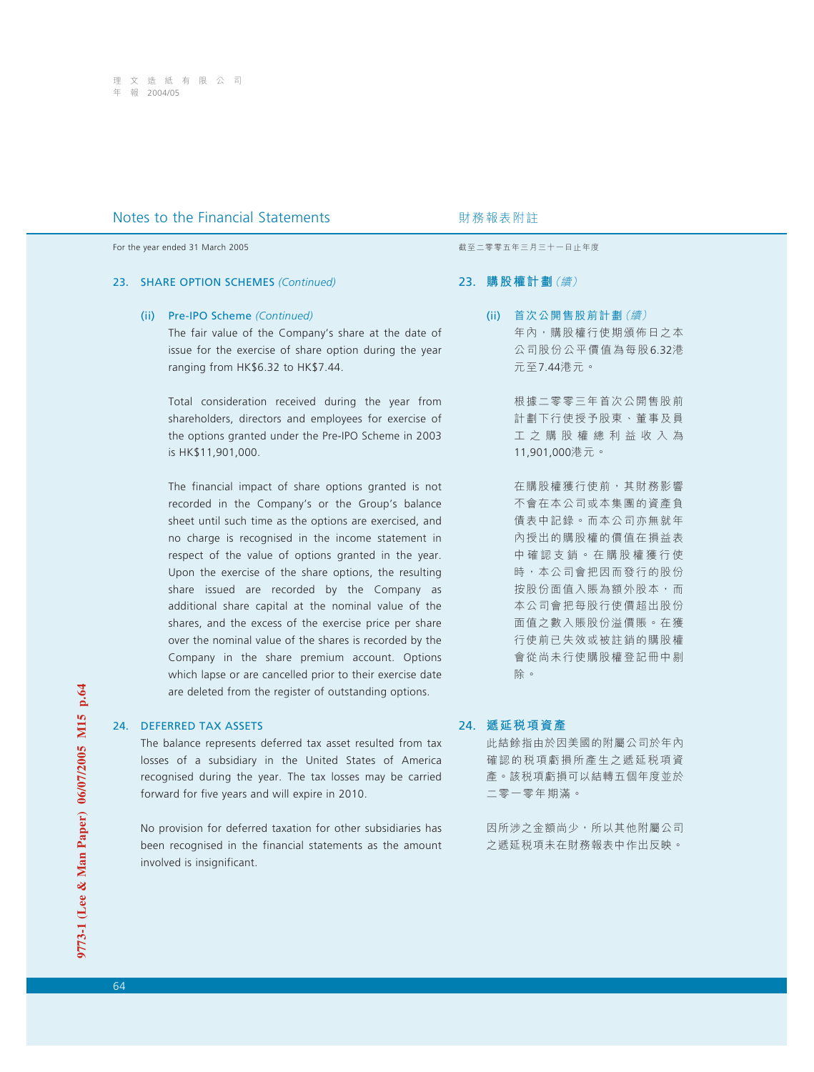## 23. SHARE OPTION SCHEMES *(Continued)*

#### (ii) Pre-IPO Scheme *(Continued)*

The fair value of the Company's share at the date of issue for the exercise of share option during the year ranging from HK\$6.32 to HK\$7.44.

Total consideration received during the year from shareholders, directors and employees for exercise of the options granted under the Pre-IPO Scheme in 2003 is HK\$11,901,000.

The financial impact of share options granted is not recorded in the Company's or the Group's balance sheet until such time as the options are exercised, and no charge is recognised in the income statement in respect of the value of options granted in the year. Upon the exercise of the share options, the resulting share issued are recorded by the Company as additional share capital at the nominal value of the shares, and the excess of the exercise price per share over the nominal value of the shares is recorded by the Company in the share premium account. Options which lapse or are cancelled prior to their exercise date are deleted from the register of outstanding options.

## 24. DEFERRED TAX ASSETS

The balance represents deferred tax asset resulted from tax losses of a subsidiary in the United States of America recognised during the year. The tax losses may be carried forward for five years and will expire in 2010.

No provision for deferred taxation for other subsidiaries has been recognised in the financial statements as the amount involved is insignificant.

For the year ended 31 March 2005 **by a strategies and the year ended 31 March 2005** by a strategies of the strategies and the strategies are strategies and the strategies are strategies and the strategies are strategies a

## 23. **購股權計劃**(續)

(ii) 首次公開售股前計劃(續) 年內,購股權行使期頒佈日之本 公司股份公平價值為每股6.32港 元至7.44港元。

> 根據二零零三年首次公開售股前 計劃下行使授予股東、董事及員 工之購股權總利益收入為 11,901,000港元。

> 在購股權獲行使前,其財務影響 不會在本公司或本集團的資產負 債表中記錄。而本公司亦無就年 內授出的購股權的價值在損益表 中確認支銷。在購股權獲行使 時,本公司會把因而發行的股份 按股份面值入賬為額外股本,而 本公司會把每股行使價超出股份 面值之數入賬股份溢價賬。在獲 行使前已失效或被註銷的購股權 會從尚未行使購股權登記冊中剔 除。

# 24. **遞延稅項資產**

此結餘指由於因美國的附屬公司於年內 確認的税項虧損所產生之遞延税項資 產。該稅項虧損可以結轉五個年度並於 二零一零年期滿。

因所涉之金額尚少,所以其他附屬公司 之遞延稅項未在財務報表中作出反映。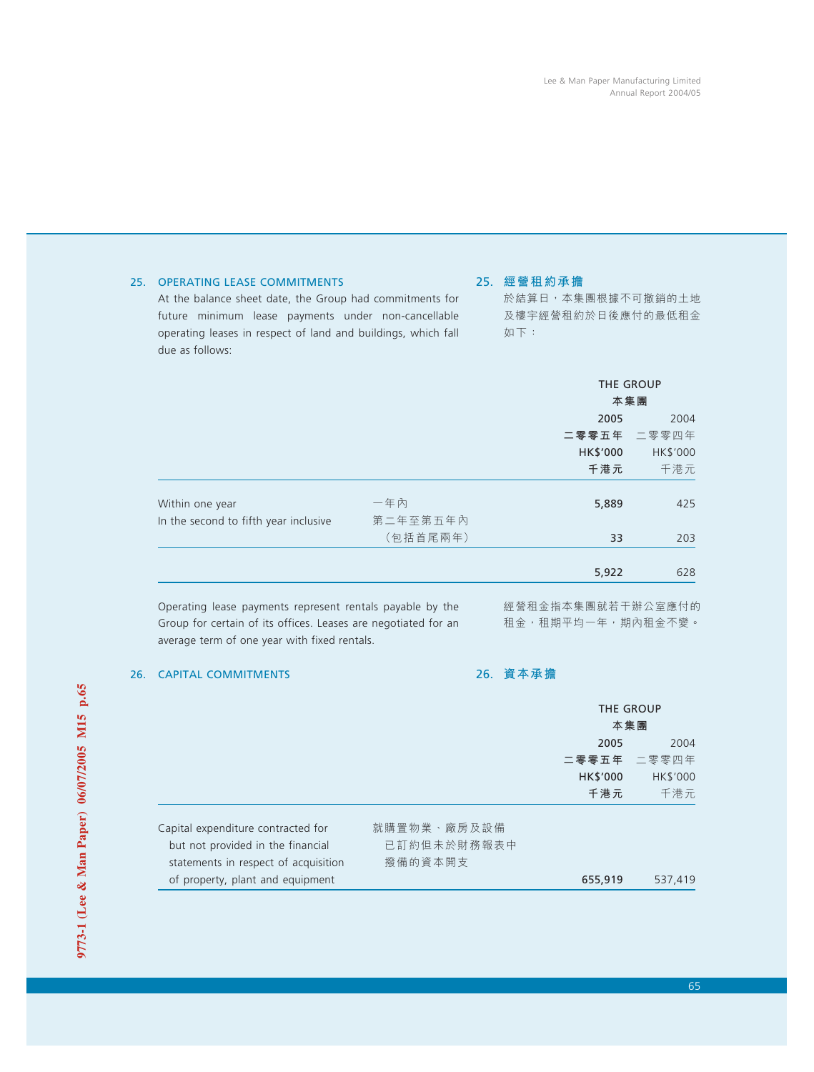於結算日,本集團根據不可撤銷的土地 及樓宇經營租約於日後應付的最低租金

| due as follows:                                           |          |                   |             |
|-----------------------------------------------------------|----------|-------------------|-------------|
|                                                           |          |                   | THE GROUP   |
|                                                           |          |                   | 本集團         |
|                                                           |          | 2005              |             |
|                                                           |          |                   | 二零零五年 二零零四年 |
|                                                           |          | HK\$'000          | HK\$'000    |
|                                                           |          | 千港元               | 千港元         |
| Within one year                                           | 一年內      | 5,889             | 425         |
| In the second to fifth year inclusive                     | 第二年至第五年內 |                   |             |
|                                                           | (包括首尾兩年) | 33                | 203         |
|                                                           |          | 5,922             | 628         |
| Operating lease payments represent rentals payable by the |          | 經營租金指本集團就若干辦公室應付的 |             |

Group for certain of its offices. Leases are negotiated for an 租金,租期平均一年,期内租金不變。

## 25. OPERATING LEASE COMMITMENTS

At the balance sheet date, the Group had commitments for future minimum lease payments under non-cancellable operating leases in respect of land and buildings, which fall

## 26. CAPITAL COMMITMENTS

average term of one year with fixed rentals.

26. **資本承擔**

25. **經營租約承擔**

如下:

|                                      |             | <b>THE GROUP</b> |             |  |
|--------------------------------------|-------------|------------------|-------------|--|
|                                      |             |                  | 本集團         |  |
|                                      |             | 2005             | 2004        |  |
|                                      |             |                  | 二零零五年 二零零四年 |  |
|                                      |             | HK\$'000         | HK\$'000    |  |
|                                      |             | 千港元              | 千港元         |  |
| Capital expenditure contracted for   | 就購置物業、廠房及設備 |                  |             |  |
| but not provided in the financial    | 已訂約但未於財務報表中 |                  |             |  |
| statements in respect of acquisition | 撥備的資本開支     |                  |             |  |
| of property, plant and equipment     |             | 655,919          | 537.419     |  |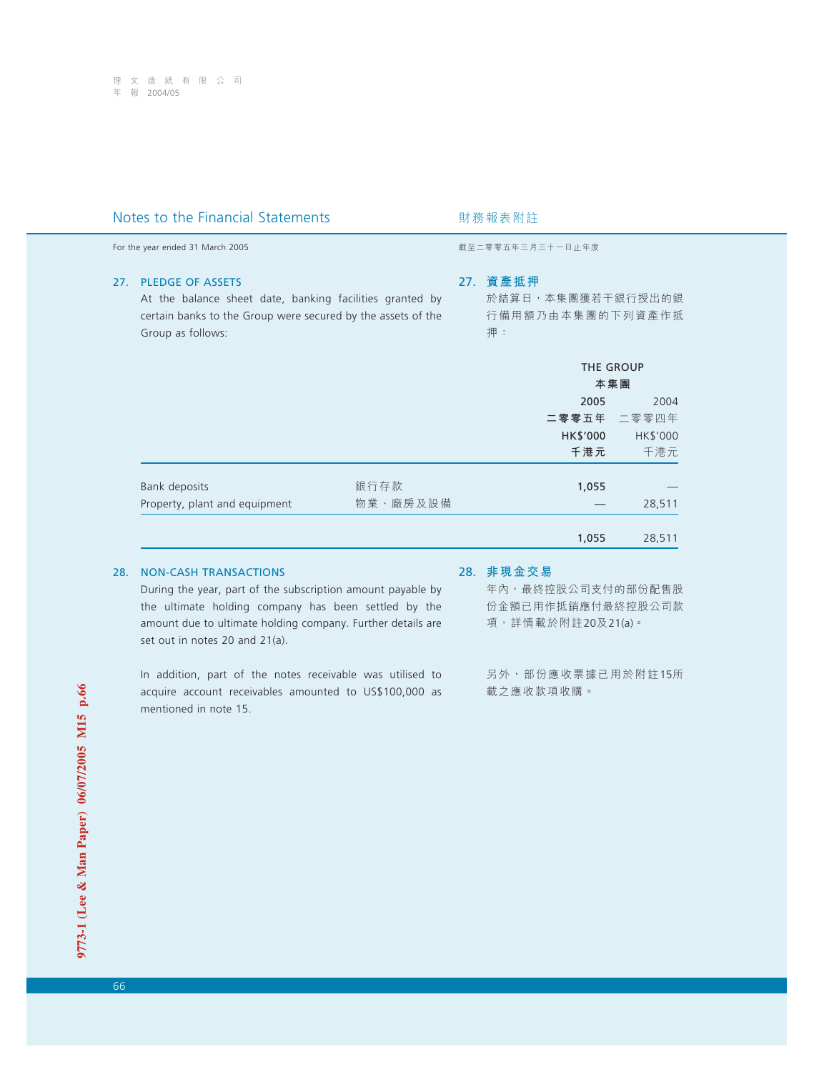For the year ended 31 March 2005 **by a strategies and the year ended 31 March 2005** by a strategies of the strategies and the strategies are strategies and the strategies are strategies and the strategies are strategies a

### 27. PLEDGE OF ASSETS

At the balance sheet date, banking facilities granted by certain banks to the Group were secured by the assets of the Group as follows:

## 27. **資產抵押**

於結算日,本集團獲若干銀行授出的銀 行備用額乃由本集團的下列資產作抵 押:

|                               |          | THE GROUP<br>本集團 |             |
|-------------------------------|----------|------------------|-------------|
|                               |          | 2005             | 2004        |
|                               |          |                  | 二零零五年 二零零四年 |
|                               |          | HK\$'000         | HK\$'000    |
|                               |          | 千港元              | 千港元         |
| Bank deposits                 | 銀行存款     | 1,055            |             |
| Property, plant and equipment | 物業、廠房及設備 |                  | 28,511      |
|                               |          | 1,055            | 28,511      |

## 28. NON-CASH TRANSACTIONS

During the year, part of the subscription amount payable by the ultimate holding company has been settled by the amount due to ultimate holding company. Further details are set out in notes 20 and 21(a).

In addition, part of the notes receivable was utilised to acquire account receivables amounted to US\$100,000 as mentioned in note 15.

#### 28. **非現金交易**

年內,最終控股公司支付的部份配售股 份金額已用作抵銷應付最終控股公司款 項,詳情載於附註20及21(a)。

另外,部份應收票據已用於附註15所 載之應收款項收購。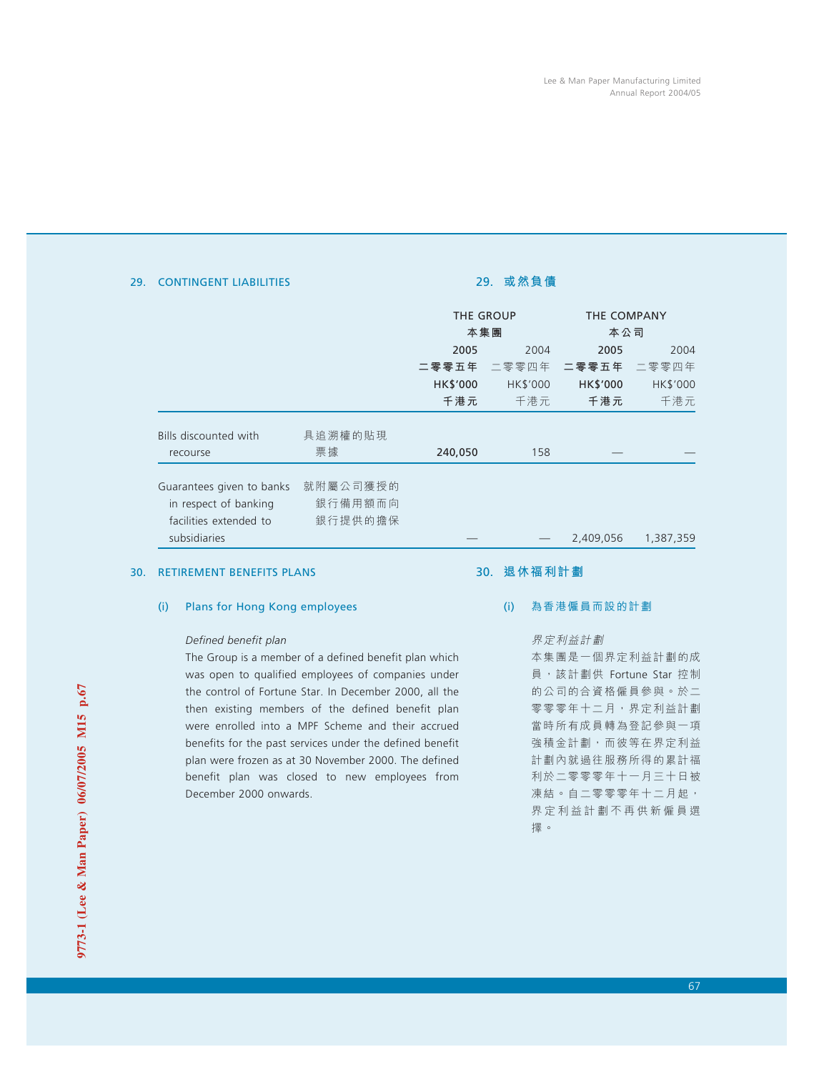## 29. CONTINGENT LIABILITIES

# 29. **或然負債**

|                           |          | <b>THE GROUP</b><br>本集團 |                 | THE COMPANY<br>本公司 |                 |  |
|---------------------------|----------|-------------------------|-----------------|--------------------|-----------------|--|
|                           |          |                         |                 |                    |                 |  |
|                           |          | 2005<br>2004            |                 | 2005               | 2004            |  |
|                           |          | 二零零五年                   | 二零零四年           | 二零零五年              | 二零零四年           |  |
|                           |          | <b>HK\$'000</b>         | <b>HK\$'000</b> | <b>HK\$'000</b>    | <b>HK\$'000</b> |  |
|                           |          | 千港元                     | 千港元             | 千港元                | 千港元             |  |
| Bills discounted with     | 具追溯權的貼現  |                         |                 |                    |                 |  |
| recourse                  | 票據       | 240,050                 | 158             |                    |                 |  |
| Guarantees given to banks | 就附屬公司獲授的 |                         |                 |                    |                 |  |
| in respect of banking     | 銀行備用額而向  |                         |                 |                    |                 |  |
| facilities extended to    | 銀行提供的擔保  |                         |                 |                    |                 |  |
| subsidiaries              |          |                         |                 | 2,409,056          | 1,387,359       |  |

#### 30. RETIREMENT BENEFITS PLANS

## (i) Plans for Hong Kong employees

## *Defined benefit plan*

The Group is a member of a defined benefit plan which was open to qualified employees of companies under the control of Fortune Star. In December 2000, all the then existing members of the defined benefit plan were enrolled into a MPF Scheme and their accrued benefits for the past services under the defined benefit plan were frozen as at 30 November 2000. The defined benefit plan was closed to new employees from December 2000 onwards.

## 30. **退休福利計劃**

# (i) 為香港僱員而設的計劃

## 界定利益計劃

本集團是一個界定利益計劃的成 員,該計劃供 Fortune Star 控制 的公司的合資格僱員參與。於二 零零零年十二月,界定利益計劃 當時所有成員轉為登記參與一項 強積金計劃,而彼等在界定利益 計劃內就過往服務所得的累計福 利於二零零零年十一月三十日被 凍結。自二零零零年十二月起, 界定利益計劃不再供新僱員選 擇。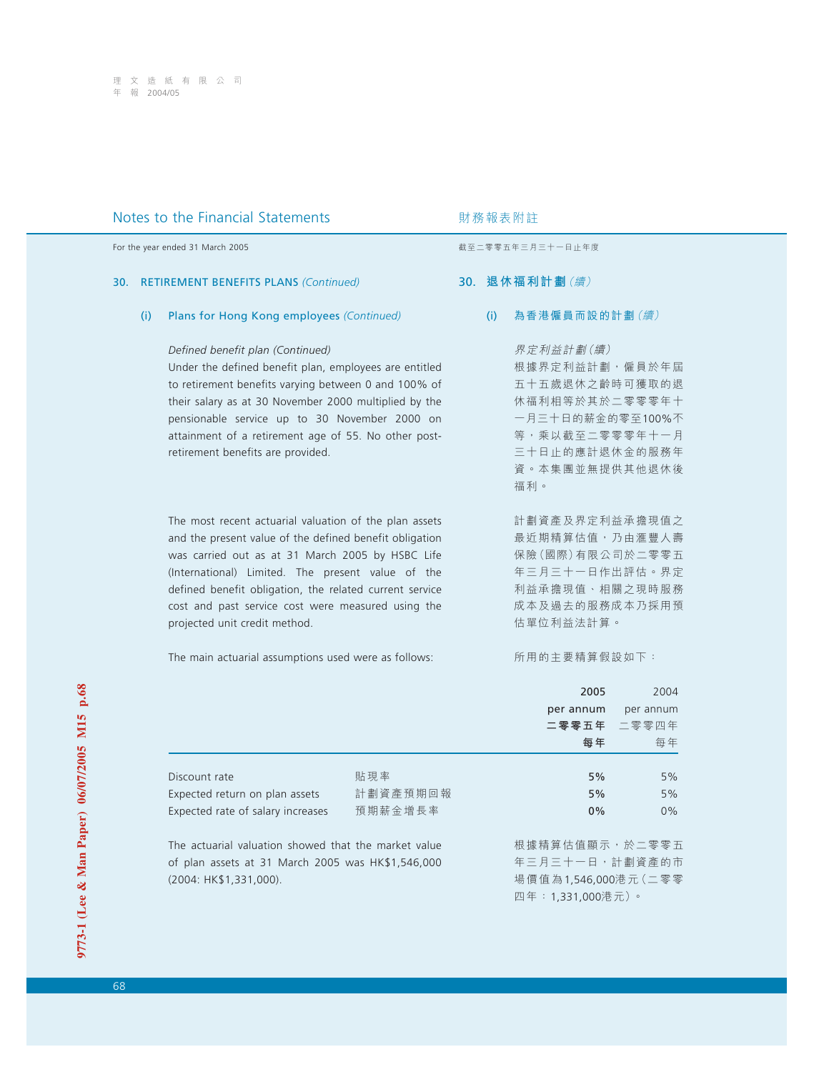### 30. RETIREMENT BENEFITS PLANS *(Continued)*

### (i) Plans for Hong Kong employees *(Continued)*

### *Defined benefit plan (Continued)*

Under the defined benefit plan, employees are entitled to retirement benefits varying between 0 and 100% of their salary as at 30 November 2000 multiplied by the pensionable service up to 30 November 2000 on attainment of a retirement age of 55. No other postretirement benefits are provided.

The most recent actuarial valuation of the plan assets and the present value of the defined benefit obligation was carried out as at 31 March 2005 by HSBC Life (International) Limited. The present value of the defined benefit obligation, the related current service cost and past service cost were measured using the projected unit credit method.

The main actuarial assumptions used were as follows:

For the year ended 31 March 2005 **by a strategies and the year ended 31 March 2005** by a strategies of the strategies and the strategies are strategies and the strategies are strategies and the strategies are strategies a

## 30. **退休福利計劃**(續)

(i) 為香港僱員而設的計劃(續)

界定利益計劃(續)

根據界定利益計劃,僱員於年屆 五十五歲退休之齡時可獲取的退 休福利相等於其於二零零零年十 一月三十日的薪金的零至100%不 等,乘以截至二零零零年十一月 三十日止的應計退休金的服務年 資。本集團並無提供其他退休後 福利。

計劃資產及界定利益承擔現值之 最近期精算估值,乃由滙豐人壽 保險(國際)有限公司於二零零五 年三月三十一日作出評估。界定 利益承擔現值、相關之現時服務 成本及過去的服務成本乃採用預 估單位利益法計算。

所用的主要精算假設如下:

|                                                      |          | 2005                        | 2004        |
|------------------------------------------------------|----------|-----------------------------|-------------|
|                                                      |          | per annum                   | per annum   |
|                                                      |          |                             | 二零零五年 二零零四年 |
|                                                      |          | 每年                          | 每年          |
| Discount rate                                        | 貼現率      | 5%                          | 5%          |
| Expected return on plan assets                       | 計劃資產預期回報 | 5%                          | 5%          |
| Expected rate of salary increases                    | 預期薪金增長率  | $0\%$                       | $0\%$       |
| The actuarial valuation showed that the market value |          | 根據精算估值顯示,於二零零五              |             |
| of plan accots at 31 March 2005 was HK\$1 546 000    |          | 在 三 日 二 十 — 日 , 計 劃 咨 產 的 市 |             |

of plan assets at 31 March 2005 was HK\$1,546,000 (2004: HK\$1,331,000).

計劃貨産的巾 場價值為1,546,000港元(二零零 四年:1,331,000港元)。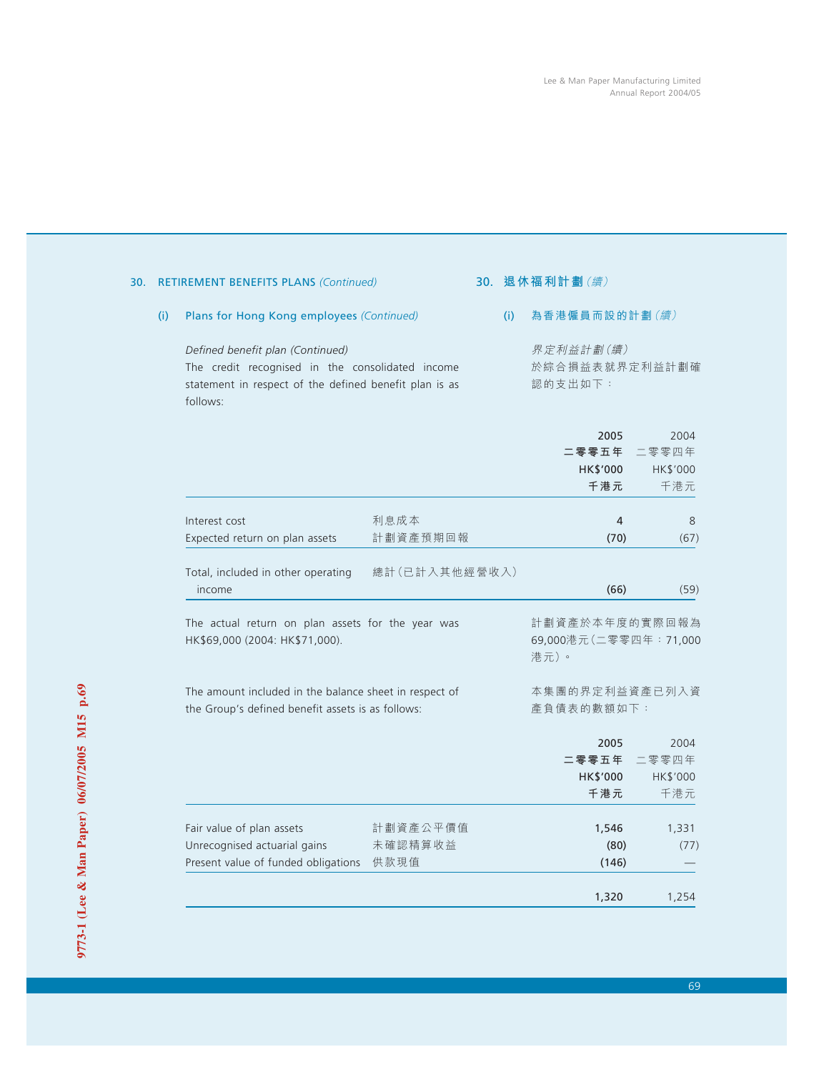|                                                                                                             | <b>RETIREMENT BENEFITS PLANS (Continued)</b>                                                                                                               |                             |     | 30. 退休福利計劃 (續)                                   |                                  |  |
|-------------------------------------------------------------------------------------------------------------|------------------------------------------------------------------------------------------------------------------------------------------------------------|-----------------------------|-----|--------------------------------------------------|----------------------------------|--|
| (i)                                                                                                         | Plans for Hong Kong employees (Continued)                                                                                                                  |                             | (i) | 為香港僱員而設的計劃(續)                                    |                                  |  |
|                                                                                                             | Defined benefit plan (Continued)<br>The credit recognised in the consolidated income<br>statement in respect of the defined benefit plan is as<br>follows: |                             |     | 界定利益計劃(續)<br>於綜合損益表就界定利益計劃確<br>認的支出如下:           |                                  |  |
|                                                                                                             |                                                                                                                                                            |                             |     | 2005<br>二零零五年<br>HK\$'000<br>千港元                 | 2004<br>二零零四年<br>HK\$'000<br>千港元 |  |
|                                                                                                             | Interest cost<br>Expected return on plan assets                                                                                                            | 利息成本<br>計劃資產預期回報            |     | 4<br>(70)                                        | 8<br>(67)                        |  |
|                                                                                                             | Total, included in other operating<br>income                                                                                                               | 總計(已計入其他經營收入)               |     | (66)                                             | (59)                             |  |
|                                                                                                             | The actual return on plan assets for the year was<br>HK\$69,000 (2004: HK\$71,000).                                                                        |                             |     | 計劃資產於本年度的實際回報為<br>69,000港元(二零零四年: 71,000<br>港元)。 |                                  |  |
| The amount included in the balance sheet in respect of<br>the Group's defined benefit assets is as follows: |                                                                                                                                                            |                             |     | 本集團的界定利益資產已列入資<br>產負債表的數額如下:                     |                                  |  |
|                                                                                                             |                                                                                                                                                            |                             |     | 2005<br>二零零五年<br>HK\$'000<br>千港元                 | 2004<br>二零零四年<br>HK\$'000<br>千港元 |  |
|                                                                                                             | Fair value of plan assets<br>Unrecognised actuarial gains<br>Present value of funded obligations                                                           | 計劃資產公平價值<br>未確認精算收益<br>供款現值 |     | 1,546<br>(80)<br>(146)                           | 1,331<br>(77)                    |  |
|                                                                                                             |                                                                                                                                                            |                             |     | 1,320                                            | 1,254                            |  |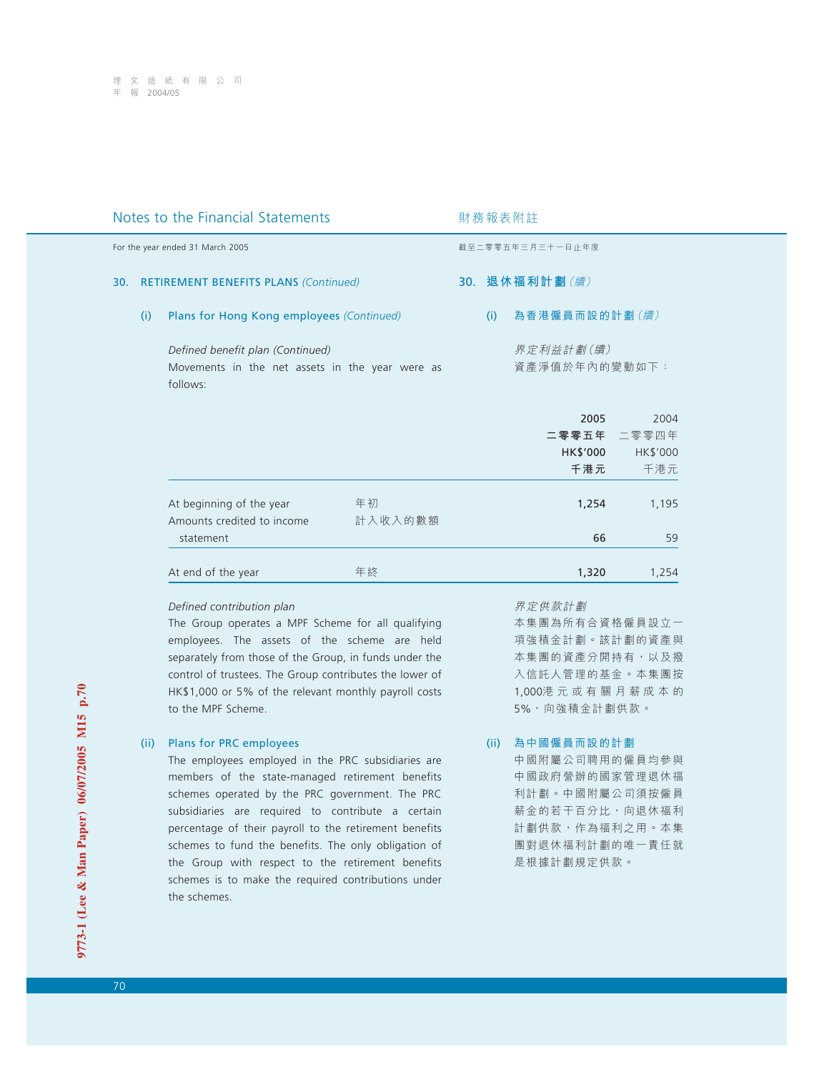| Notes to the Financial Statements |                                                                                                 |                                                                     |               | 財務報表附註           |     |                            |                                        |  |
|-----------------------------------|-------------------------------------------------------------------------------------------------|---------------------------------------------------------------------|---------------|------------------|-----|----------------------------|----------------------------------------|--|
|                                   |                                                                                                 | For the year ended 31 March 2005                                    |               | 截至二零零五年三月三十一日止年度 |     |                            |                                        |  |
|                                   | 30. RETIREMENT BENEFITS PLANS (Continued)                                                       |                                                                     |               |                  |     | 30. 退休福利計劃 (續)             |                                        |  |
|                                   | (i)                                                                                             | Plans for Hong Kong employees (Continued)                           |               |                  | (i) | 為香港僱員而設的計劃(續)              |                                        |  |
|                                   | Defined benefit plan (Continued)<br>Movements in the net assets in the year were as<br>follows: |                                                                     |               |                  |     | 界定利益計劃(續)<br>資產淨值於年內的變動如下: |                                        |  |
|                                   |                                                                                                 |                                                                     |               |                  |     | 2005<br>HK\$'000<br>千港元    | 2004<br>二零零五年 二零零四年<br>HK\$'000<br>千港元 |  |
|                                   |                                                                                                 | At beginning of the year<br>Amounts credited to income<br>statement | 年初<br>計入收入的數額 |                  |     | 1,254<br>66                | 1,195<br>59                            |  |
|                                   |                                                                                                 | At end of the year                                                  | 年終            |                  |     | 1,320                      | 1,254                                  |  |

## *Defined contribution plan*

The Group operates a MPF Scheme for all qualifying employees. The assets of the scheme are held separately from those of the Group, in funds under the control of trustees. The Group contributes the lower of HK\$1,000 or 5% of the relevant monthly payroll costs to the MPF Scheme.

## (ii) Plans for PRC employees

The employees employed in the PRC subsidiaries are members of the state-managed retirement benefits schemes operated by the PRC government. The PRC subsidiaries are required to contribute a certain percentage of their payroll to the retirement benefits schemes to fund the benefits. The only obligation of the Group with respect to the retirement benefits schemes is to make the required contributions under the schemes.

界定供款計劃

本集團為所有合資格僱員設立一 項強積金計劃。該計劃的資產與 本集團的資產分開持有,以及撥 入信託人管理的基金。本集團按 1,000港元或有關月薪成本的 5%,向強積金計劃供款。

## (ii) 為中國僱員而設的計劃

中國附屬公司聘用的僱員均參與 中國政府營辦的國家管理退休福 利計劃。中國附屬公司須按僱員 薪金的若干百分比,向退休福利 計劃供款,作為福利之用。本集 團對退休福利計劃的唯一責任就 是根據計劃規定供款。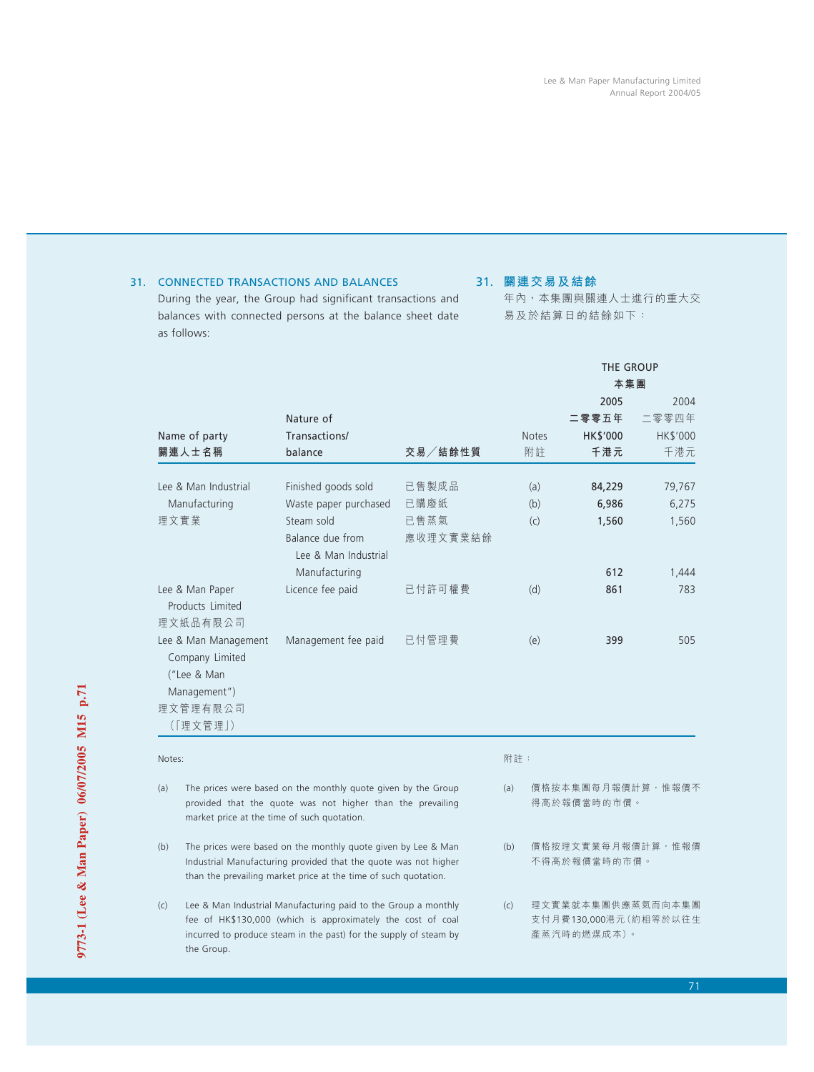# 31. CONNECTED TRANSACTIONS AND BALANCES

During the year, the Group had significant transactions and balances with connected persons at the balance sheet date as follows:

# 31. **關連交易及結餘**

年內,本集團與關連人士進行的重大交 易及於結算日的結餘如下:

|                                                                                                                                                                                                            |                                                                                                                                                                                                    |          |                                   | THE GROUP                                                 |          |
|------------------------------------------------------------------------------------------------------------------------------------------------------------------------------------------------------------|----------------------------------------------------------------------------------------------------------------------------------------------------------------------------------------------------|----------|-----------------------------------|-----------------------------------------------------------|----------|
|                                                                                                                                                                                                            |                                                                                                                                                                                                    |          |                                   | 本集團                                                       |          |
|                                                                                                                                                                                                            |                                                                                                                                                                                                    |          |                                   | 2005                                                      | 2004     |
|                                                                                                                                                                                                            | Nature of                                                                                                                                                                                          |          |                                   | 二零零五年                                                     | 二零零四年    |
| Name of party                                                                                                                                                                                              | Transactions/                                                                                                                                                                                      |          | <b>Notes</b>                      | HK\$'000                                                  | HK\$'000 |
| 關連人士名稱                                                                                                                                                                                                     | balance                                                                                                                                                                                            | 交易/結餘性質  | 附註                                | 千港元                                                       | 千港元      |
| Lee & Man Industrial                                                                                                                                                                                       | Finished goods sold                                                                                                                                                                                | 已售製成品    | (a)                               | 84,229                                                    | 79,767   |
| Manufacturing                                                                                                                                                                                              | Waste paper purchased                                                                                                                                                                              | 已購廢紙     | (b)                               | 6,986                                                     | 6,275    |
| 理文實業                                                                                                                                                                                                       | Steam sold                                                                                                                                                                                         | 已售蒸氣     | (c)                               | 1,560                                                     | 1,560    |
|                                                                                                                                                                                                            | Balance due from<br>Lee & Man Industrial                                                                                                                                                           | 應收理文實業結餘 |                                   |                                                           |          |
|                                                                                                                                                                                                            | Manufacturing                                                                                                                                                                                      |          |                                   | 612                                                       | 1,444    |
| Lee & Man Paper<br>Products Limited                                                                                                                                                                        | Licence fee paid                                                                                                                                                                                   | 已付許可權費   | (d)                               | 861                                                       | 783      |
| 理文紙品有限公司                                                                                                                                                                                                   |                                                                                                                                                                                                    |          |                                   |                                                           |          |
| Lee & Man Management<br>Company Limited<br>("Lee & Man                                                                                                                                                     | Management fee paid                                                                                                                                                                                | 已付管理費    | (e)                               | 399                                                       | 505      |
| Management")                                                                                                                                                                                               |                                                                                                                                                                                                    |          |                                   |                                                           |          |
| 理文管理有限公司                                                                                                                                                                                                   |                                                                                                                                                                                                    |          |                                   |                                                           |          |
| (「理文管理」)                                                                                                                                                                                                   |                                                                                                                                                                                                    |          |                                   |                                                           |          |
| Notes:                                                                                                                                                                                                     |                                                                                                                                                                                                    |          | 附註:                               |                                                           |          |
| (a)                                                                                                                                                                                                        | The prices were based on the monthly quote given by the Group<br>provided that the quote was not higher than the prevailing<br>market price at the time of such quotation.                         |          | (a)                               | 價格按本集團每月報價計算,惟報價不<br>得高於報價當時的市價。                          |          |
| The prices were based on the monthly quote given by Lee & Man<br>(b)<br>Industrial Manufacturing provided that the quote was not higher<br>than the prevailing market price at the time of such quotation. |                                                                                                                                                                                                    | (b)      | 價格按理文實業每月報價計算,惟報價<br>不得高於報價當時的市價。 |                                                           |          |
| (c)<br>the Group.                                                                                                                                                                                          | Lee & Man Industrial Manufacturing paid to the Group a monthly<br>fee of HK\$130,000 (which is approximately the cost of coal<br>incurred to produce steam in the past) for the supply of steam by |          | (c)                               | 理文實業就本集團供應蒸氣而向本集團<br>支付月費130,000港元(約相等於以往生<br>產蒸汽時的燃煤成本)。 |          |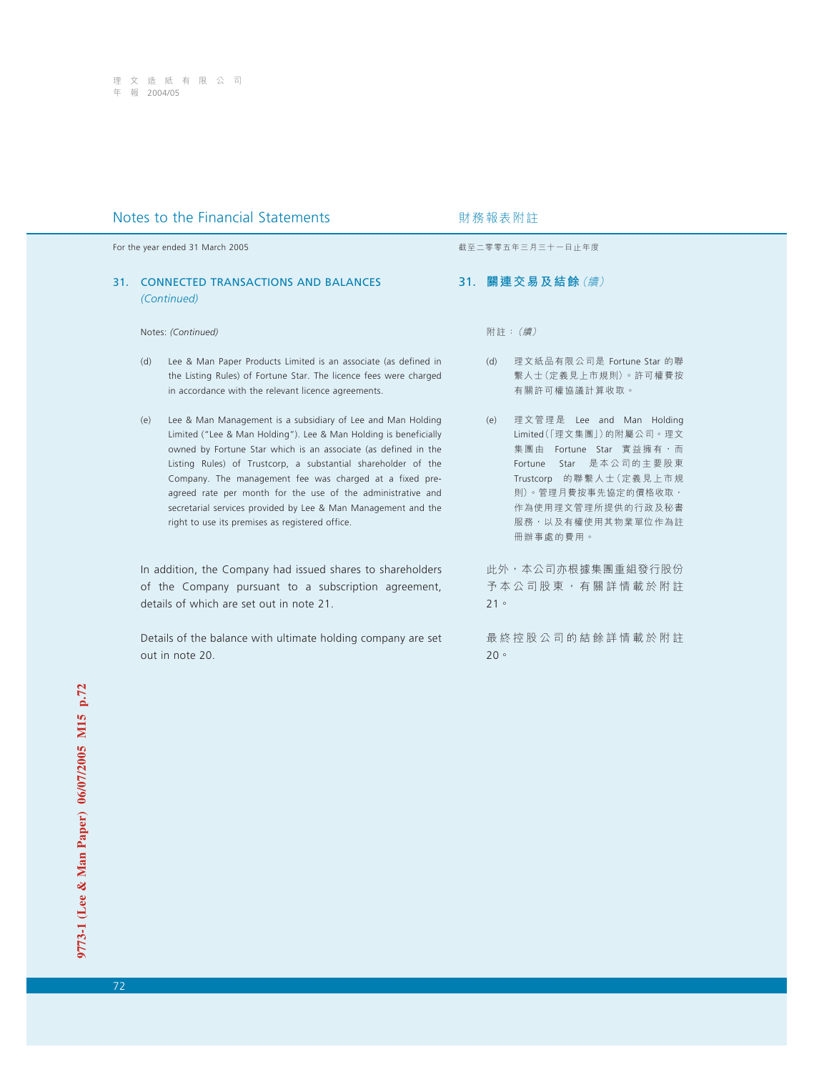## Notes to the Financial Statements **Notes** to the Financial Statements

For the year ended 31 March 2005 **by a strategies and the year ended 31 March 2005** by a strategies of the strategies and the strategies are strategies and the strategies are strategies and the strategies are strategies a

### 31. CONNECTED TRANSACTIONS AND BALANCES *(Continued)*

Notes: *(Continued)*

- (d) Lee & Man Paper Products Limited is an associate (as defined in the Listing Rules) of Fortune Star. The licence fees were charged in accordance with the relevant licence agreements.
- (e) Lee & Man Management is a subsidiary of Lee and Man Holding Limited ("Lee & Man Holding"). Lee & Man Holding is beneficially owned by Fortune Star which is an associate (as defined in the Listing Rules) of Trustcorp, a substantial shareholder of the Company. The management fee was charged at a fixed preagreed rate per month for the use of the administrative and secretarial services provided by Lee & Man Management and the right to use its premises as registered office.

In addition, the Company had issued shares to shareholders of the Company pursuant to a subscription agreement, details of which are set out in note 21.

Details of the balance with ultimate holding company are set out in note 20.

31. **關連交易及結餘**(續)

附註:(續)

- (d) 理文紙品有限公司是 Fortune Star 的聯 繫人士(定義見上市規則)。許可權費按 有關許可權協議計算收取。
- (e) 理文管理是 Lee and Man Holding Limited(「理文集團」)的附屬公司。理文 集團由 Fortune Star 實益擁有,而 Fortune Star 是本公司的主要股東 Trustcorp 的聯繫人士(定義見上市規 則)。管理月費按事先協定的價格收取, 作為使用理文管理所提供的行政及秘書 服務,以及有權使用其物業單位作為註 冊辦事處的費用。

此外,本公司亦根據集團重組發行股份 予本公司股東,有關詳情載於附註 21。

最終控股公司的結餘詳情載於附註 20。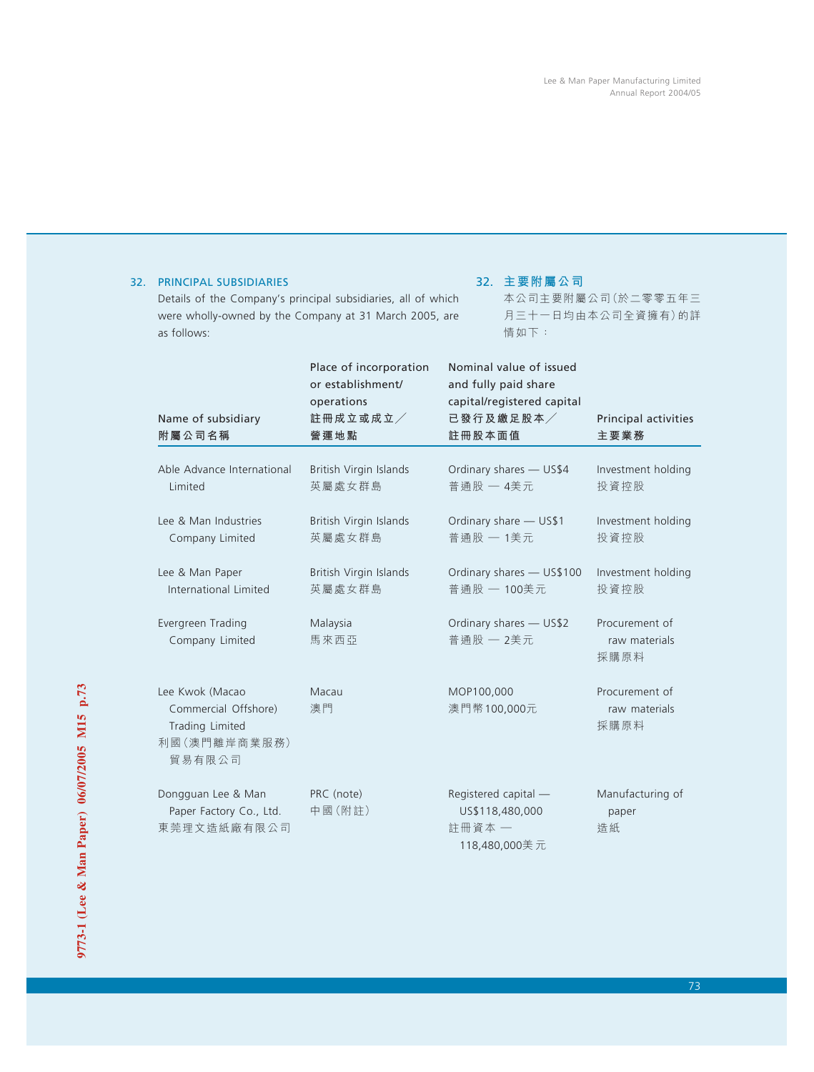## 32. PRINCIPAL SUBSIDIARIES

Details of the Company's principal subsidiaries, all of which were wholly-owned by the Company at 31 March 2005, are as follows:

## 32. **主要附屬公司**

本公司主要附屬公司(於二零零五年三 月三十一日均由本公司全資擁有)的詳 情如下:

| Name of subsidiary<br>附屬公司名稱                                                          | Place of incorporation<br>or establishment/<br>operations<br>註冊成立或成立<br>營運地點 | Nominal value of issued<br>and fully paid share<br>capital/registered capital<br>已發行及繳足股本<br>註冊股本面值 | Principal activities<br>主要業務            |  |
|---------------------------------------------------------------------------------------|------------------------------------------------------------------------------|-----------------------------------------------------------------------------------------------------|-----------------------------------------|--|
|                                                                                       |                                                                              |                                                                                                     |                                         |  |
| Able Advance International<br>Limited                                                 | British Virgin Islands<br>英屬處女群島                                             | Ordinary shares - US\$4<br>普通股 一 4美元                                                                | Investment holding<br>投資控股              |  |
| Lee & Man Industries<br>Company Limited                                               | British Virgin Islands<br>英屬處女群島                                             | Ordinary share - US\$1<br>普通股 一 1美元                                                                 | Investment holding<br>投資控股              |  |
| Lee & Man Paper<br>International Limited                                              | British Virgin Islands<br>英屬處女群島                                             | Ordinary shares - US\$100<br>普通股 一 100美元                                                            | Investment holding<br>投資控股              |  |
| Evergreen Trading<br>Company Limited                                                  | Malaysia<br>馬來西亞                                                             | Ordinary shares - US\$2<br>普通股 一 2美元                                                                | Procurement of<br>raw materials<br>採購原料 |  |
| Lee Kwok (Macao<br>Commercial Offshore)<br>Trading Limited<br>利國 (澳門離岸商業服務)<br>貿易有限公司 | Macau<br>澳門                                                                  | MOP100,000<br>澳門幣100,000元                                                                           | Procurement of<br>raw materials<br>採購原料 |  |
| Dongguan Lee & Man<br>Paper Factory Co., Ltd.<br>東莞理文造紙廠有限公司                          | PRC (note)<br>中國(附註)                                                         | Registered capital -<br>US\$118,480,000<br>註冊資本 一<br>118,480,000美元                                  | Manufacturing of<br>paper<br>造紙         |  |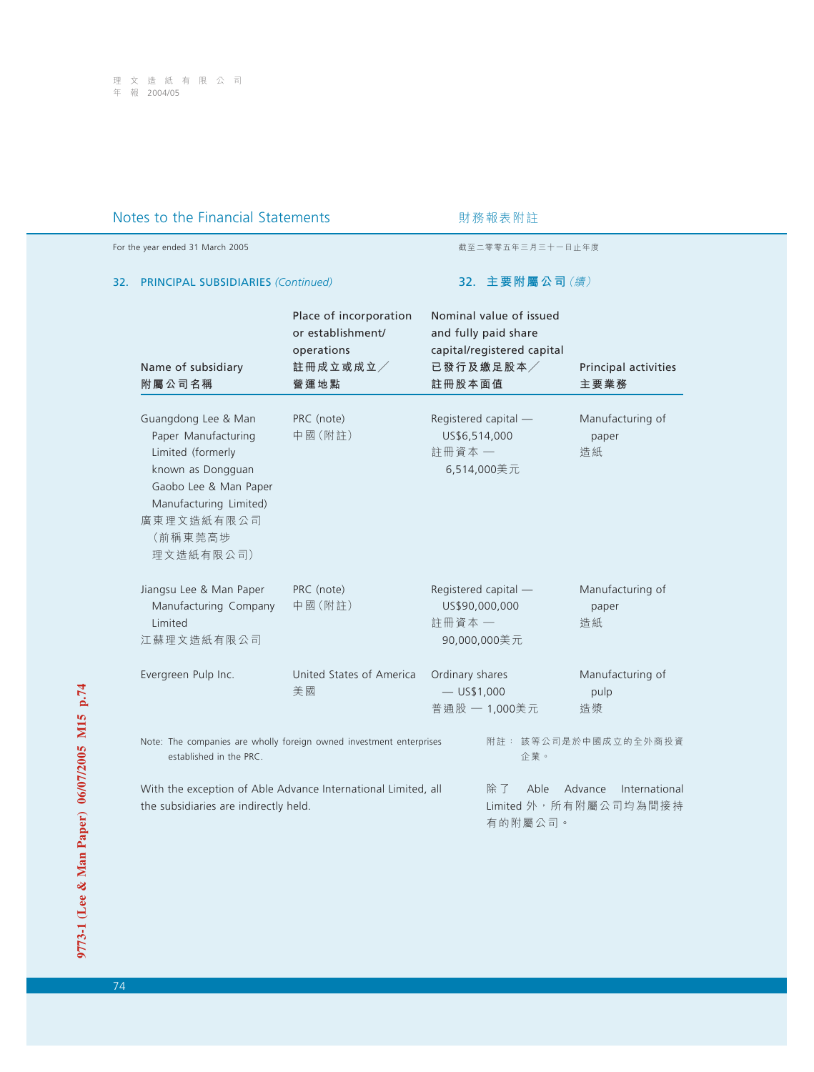## Notes to the Financial Statements **Notes** 财務報表附註

For the year ended 31 March 2005 截至二零零五年三月三十一日止年度

## 32. PRINCIPAL SUBSIDIARIES *(Continued)*

32. **主要附屬公司**(續)

|                                                                                                                                                                               | Place of incorporation<br>or establishment/<br>operations | Nominal value of issued<br>and fully paid share<br>capital/registered capital |                                 |  |
|-------------------------------------------------------------------------------------------------------------------------------------------------------------------------------|-----------------------------------------------------------|-------------------------------------------------------------------------------|---------------------------------|--|
| Name of subsidiary<br>附屬公司名稱                                                                                                                                                  | 註冊成立或成立<br>營運地點                                           | 已發行及繳足股本<br>註冊股本面值                                                            | Principal activities<br>主要業務    |  |
| Guangdong Lee & Man<br>Paper Manufacturing<br>Limited (formerly<br>known as Dongguan<br>Gaobo Lee & Man Paper<br>Manufacturing Limited)<br>廣東理文造紙有限公司<br>(前稱東莞高埗<br>理文造紙有限公司) | PRC (note)<br>中國(附註)                                      | Registered capital -<br>US\$6,514,000<br>註冊資本一<br>6,514,000美元                 | Manufacturing of<br>paper<br>造紙 |  |
| Jiangsu Lee & Man Paper<br>Manufacturing Company<br>Limited<br>江蘇理文造紙有限公司                                                                                                     | PRC (note)<br>中國(附註)                                      | Registered capital -<br>US\$90,000,000<br>註冊資本一<br>90,000,000美元               | Manufacturing of<br>paper<br>造紙 |  |
| Evergreen Pulp Inc.                                                                                                                                                           | United States of America<br>美國                            | Ordinary shares<br>$-$ US\$1,000<br>普通股 一 1,000美元                             | Manufacturing of<br>pulp<br>造漿  |  |
| Note: The companies are wholly foreign owned investment enterprises<br>established in the PRC.                                                                                | 企業。                                                       | 附註: 該等公司是於中國成立的全外商投資                                                          |                                 |  |
| With the exception of Able Advance International Limited, all<br>the subsidiaries are indirectly held.                                                                        | 除 了<br>Able<br>有的附屬公司。                                    | Advance<br>International<br>Limited 外, 所有附屬公司均為間接持                            |                                 |  |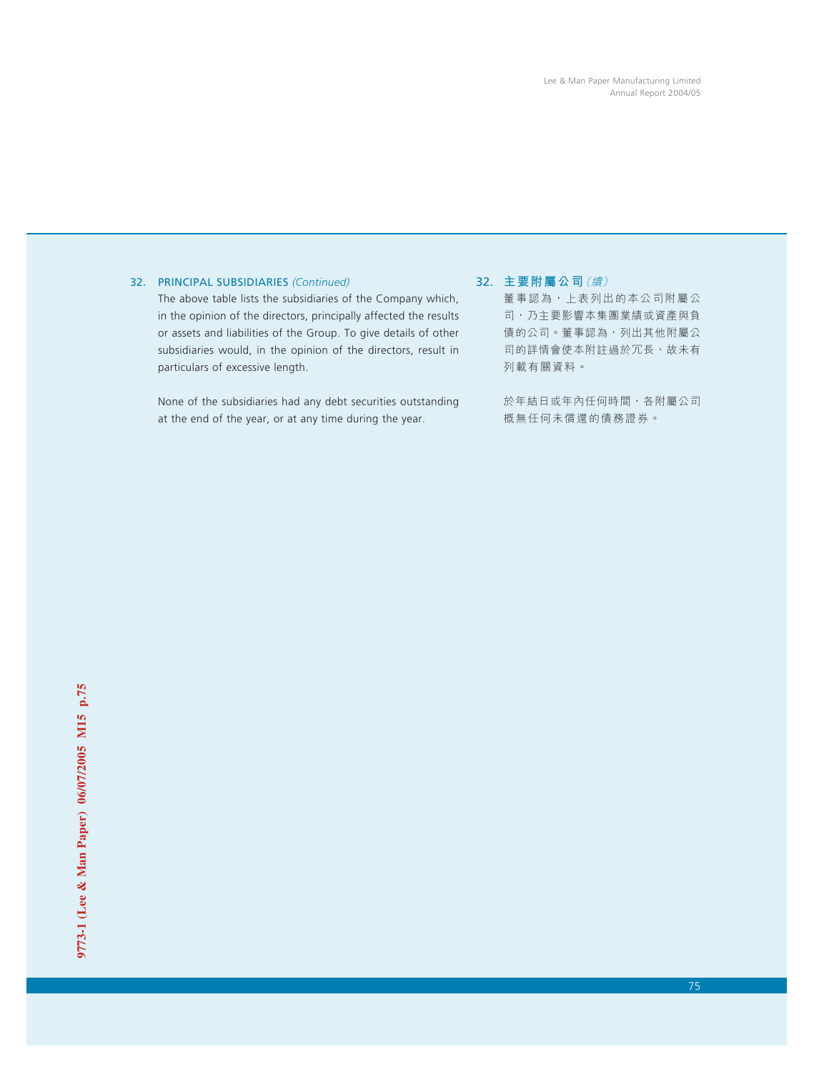## 32. PRINCIPAL SUBSIDIARIES *(Continued)*

The above table lists the subsidiaries of the Company which, in the opinion of the directors, principally affected the results or assets and liabilities of the Group. To give details of other subsidiaries would, in the opinion of the directors, result in particulars of excessive length.

None of the subsidiaries had any debt securities outstanding at the end of the year, or at any time during the year.

32. **主要附屬公司**(續)

董事認為,上表列出的本公司附屬公 司,乃主要影響本集團業績或資產與負 債的公司。董事認為,列出其他附屬公 司的詳情會使本附註過於冗長,故未有 列載有關資料。

於年結日或年內任何時間,各附屬公司 概無任何未償還的債務證券。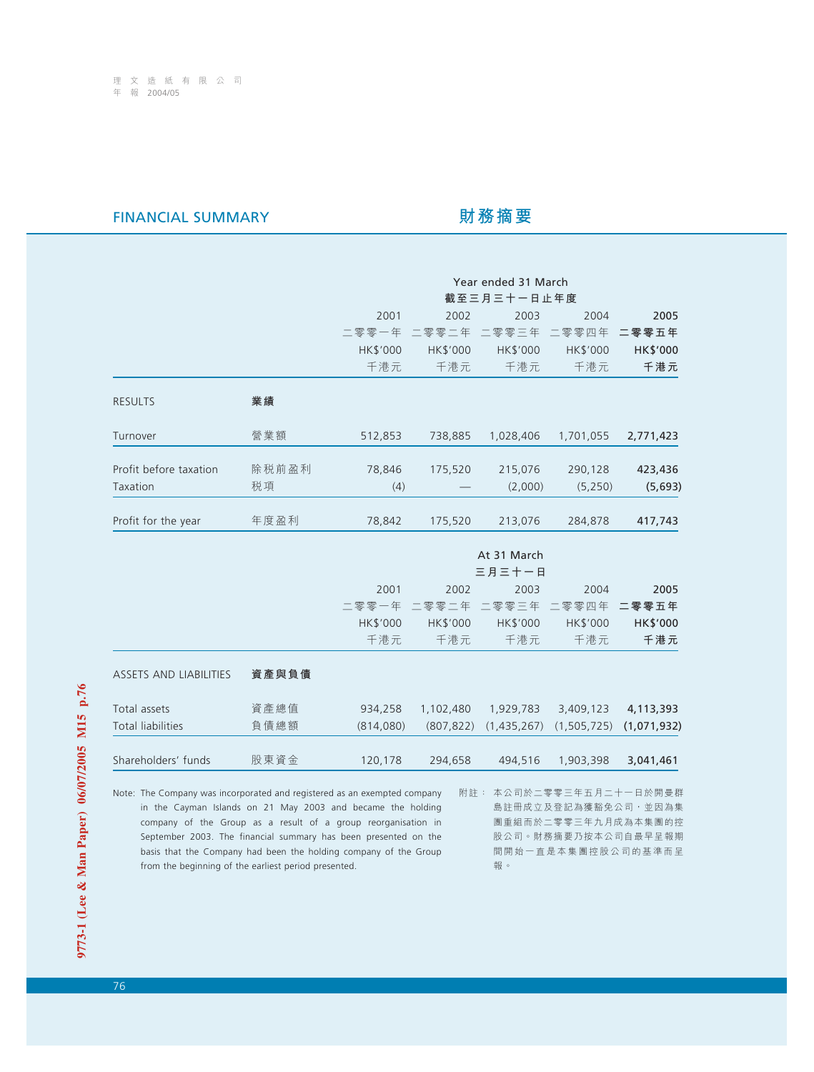# FINANCIAL SUMMARY **財務摘要**

報。

|                                                                                                                                                                                                                                                                                                                                                 |       | Year ended 31 March<br>截至三月三十一日止年度 |                 |                 |                                                                  |                                            |
|-------------------------------------------------------------------------------------------------------------------------------------------------------------------------------------------------------------------------------------------------------------------------------------------------------------------------------------------------|-------|------------------------------------|-----------------|-----------------|------------------------------------------------------------------|--------------------------------------------|
|                                                                                                                                                                                                                                                                                                                                                 |       | 2001                               | 2002            | 2003            | 2004                                                             | 2005                                       |
|                                                                                                                                                                                                                                                                                                                                                 |       | 二零零一年                              | 二零零二年           | 二零零三年           | 二零零四年                                                            | 二零零五年                                      |
|                                                                                                                                                                                                                                                                                                                                                 |       | HK\$'000                           | HK\$'000        | HK\$'000        | HK\$'000                                                         | HK\$'000                                   |
|                                                                                                                                                                                                                                                                                                                                                 |       | 千港元                                | 千港元             | 千港元             | 千港元                                                              | 千港元                                        |
| <b>RESULTS</b>                                                                                                                                                                                                                                                                                                                                  | 業績    |                                    |                 |                 |                                                                  |                                            |
| Turnover                                                                                                                                                                                                                                                                                                                                        | 營業額   | 512,853                            | 738,885         | 1,028,406       | 1,701,055                                                        | 2,771,423                                  |
| Profit before taxation                                                                                                                                                                                                                                                                                                                          | 除税前盈利 | 78,846                             | 175,520         | 215,076         | 290,128                                                          | 423,436                                    |
| Taxation                                                                                                                                                                                                                                                                                                                                        | 税項    | (4)                                |                 | (2,000)         | (5, 250)                                                         | (5,693)                                    |
| Profit for the year                                                                                                                                                                                                                                                                                                                             | 年度盈利  | 78,842                             | 175,520         | 213,076         | 284,878                                                          | 417,743                                    |
|                                                                                                                                                                                                                                                                                                                                                 |       |                                    |                 |                 |                                                                  |                                            |
|                                                                                                                                                                                                                                                                                                                                                 |       |                                    |                 | At 31 March     |                                                                  |                                            |
|                                                                                                                                                                                                                                                                                                                                                 |       |                                    |                 | 三月三十一日          |                                                                  |                                            |
|                                                                                                                                                                                                                                                                                                                                                 |       | 2001                               | 2002            | 2003            | 2004                                                             | 2005                                       |
|                                                                                                                                                                                                                                                                                                                                                 |       | 二零零一年                              | 二零零二年           | 二零零三年           | 二零零四年                                                            | 二零零五年                                      |
|                                                                                                                                                                                                                                                                                                                                                 |       | HK\$'000<br>千港元                    | HK\$'000<br>千港元 | HK\$'000<br>千港元 | HK\$'000<br>千港元                                                  | HK\$'000<br>千港元                            |
|                                                                                                                                                                                                                                                                                                                                                 |       |                                    |                 |                 |                                                                  |                                            |
| <b>ASSETS AND LIABILITIES</b>                                                                                                                                                                                                                                                                                                                   | 資產與負債 |                                    |                 |                 |                                                                  |                                            |
| Total assets                                                                                                                                                                                                                                                                                                                                    | 資產總值  | 934,258                            | 1,102,480       | 1,929,783       | 3,409,123                                                        | 4,113,393                                  |
| <b>Total liabilities</b>                                                                                                                                                                                                                                                                                                                        | 負債總額  | (814,080)                          | (807, 822)      | (1,435,267)     | (1, 505, 725)                                                    | (1,071,932)                                |
| Shareholders' funds                                                                                                                                                                                                                                                                                                                             | 股東資金  | 120,178                            | 294,658         | 494,516         | 1,903,398                                                        | 3,041,461                                  |
| Note: The Company was incorporated and registered as an exempted company<br>in the Cayman Islands on 21 May 2003 and became the holding<br>company of the Group as a result of a group reorganisation in<br>September 2003. The financial summary has been presented on the<br>basis that the Company had been the holding company of the Group |       |                                    | 附註:             |                 | 本公司於二零零三年五月二十一日於開曼群<br>股公司。財務摘要乃按本公司自最早呈報期<br>間開始一直是本集團控股公司的基準而呈 | 島註冊成立及登記為獲豁免公司,並因為集<br>團重組而於二零零三年九月成為本集團的控 |

9773-1 (Lee & Man Paper) 06/07/2005 M15 p.76 **9773-1 (Lee & Man Paper) 06/07/2005 M15 p.76**

from the beginning of the earliest period presented.